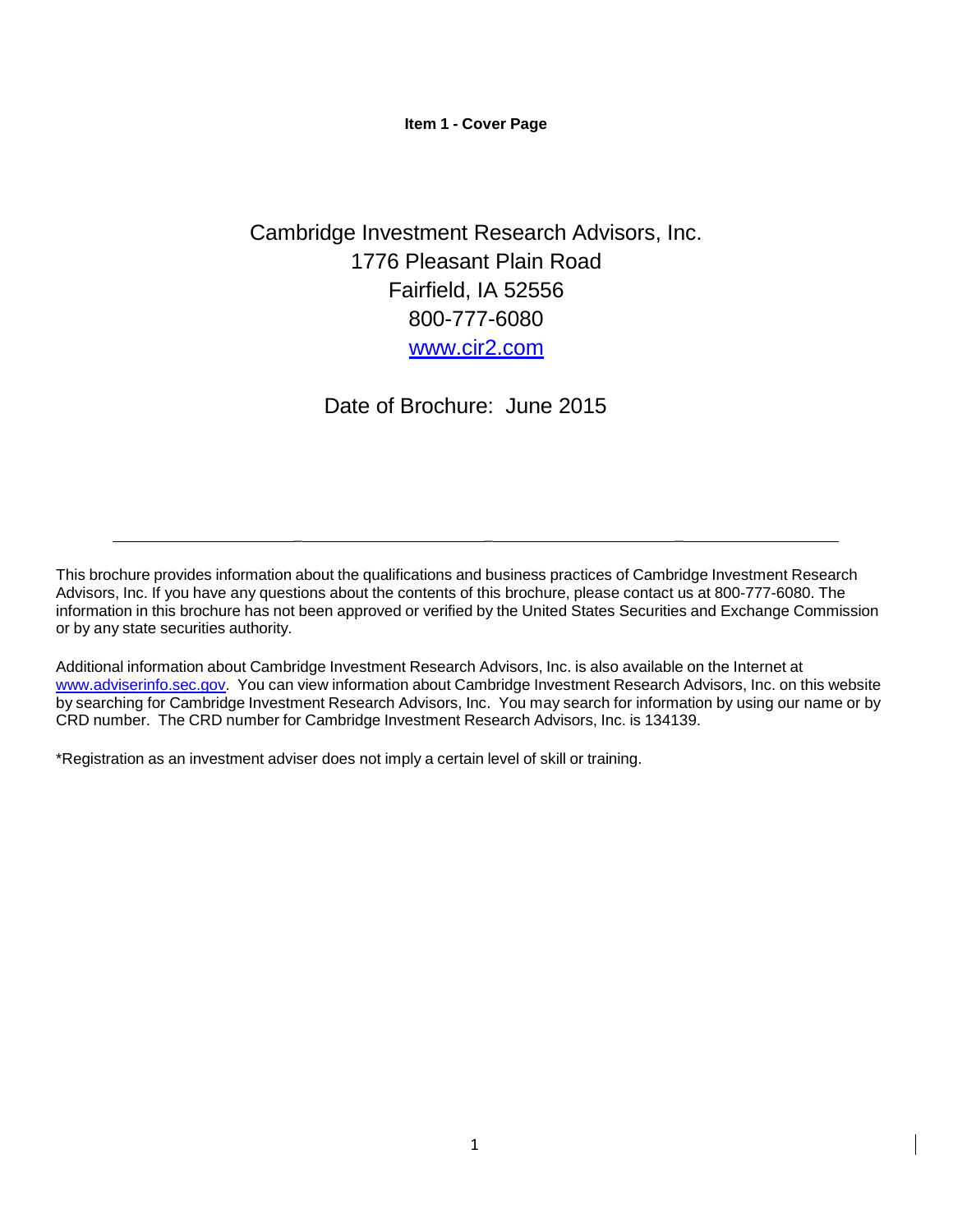**Item 1 - Cover Page**

# <span id="page-0-0"></span>Cambridge Investment Research Advisors, Inc. 1776 Pleasant Plain Road Fairfield, IA 52556 800-777-6080 [www.cir2.com](http://www.rjlwm.com/)

Date of Brochure: June 2015

This brochure provides information about the qualifications and business practices of Cambridge Investment Research Advisors, Inc. If you have any questions about the contents of this brochure, please contact us at 800-777-6080. The information in this brochure has not been approved or verified by the United States Securities and Exchange Commission or by any state securities authority.

\_ \_ \_

Additional information about Cambridge Investment Research Advisors, Inc. is also available on the Internet at [www.adviserinfo.sec.gov.](http://www.adviserinfo.sec.gov/) You can view information about Cambridge Investment Research Advisors, Inc. on this website by searching for Cambridge Investment Research Advisors, Inc. You may search for information by using our name or by CRD number. The CRD number for Cambridge Investment Research Advisors, Inc. is 134139.

\*Registration as an investment adviser does not imply a certain level of skill or training.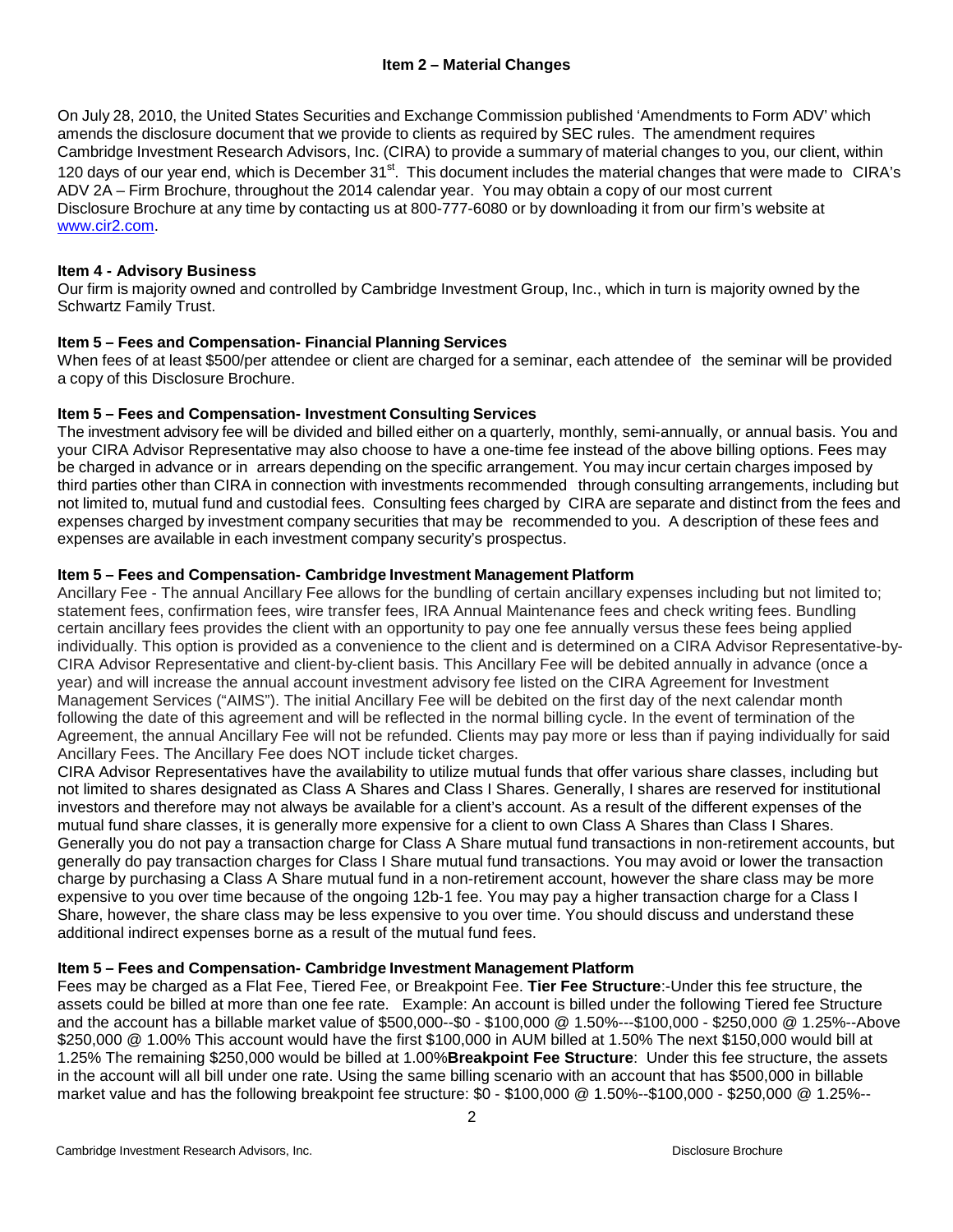On July 28, 2010, the United States Securities and Exchange Commission published 'Amendments to Form ADV' which amends the disclosure document that we provide to clients as required by SEC rules. The amendment requires Cambridge Investment Research Advisors, Inc. (CIRA) to provide a summary of material changes to you, our client, within 120 days of our year end, which is December 31<sup>st</sup>. This document includes the material changes that were made to CIRA's ADV 2A – Firm Brochure, throughout the 2014 calendar year. You may obtain a copy of our most current Disclosure Brochure at any time by contacting us at 800-777-6080 or by downloading it from our firm's website at [www.cir2.com.](http://www.cir2.com/)

## <span id="page-1-0"></span>**Item 4 - Advisory Business**

Our firm is majority owned and controlled by Cambridge Investment Group, Inc., which in turn is majority owned by the Schwartz Family Trust.

## **Item 5 – Fees and Compensation- Financial Planning Services**

When fees of at least \$500/per attendee or client are charged for a seminar, each attendee of the seminar will be provided a copy of this Disclosure Brochure.

#### **Item 5 – Fees and Compensation- Investment Consulting Services**

The investment advisory fee will be divided and billed either on a quarterly, monthly, semi-annually, or annual basis. You and your CIRA Advisor Representative may also choose to have a one-time fee instead of the above billing options. Fees may be charged in advance or in arrears depending on the specific arrangement. You may incur certain charges imposed by third parties other than CIRA in connection with investments recommended through consulting arrangements, including but not limited to, mutual fund and custodial fees. Consulting fees charged by CIRA are separate and distinct from the fees and expenses charged by investment company securities that may be recommended to you. A description of these fees and expenses are available in each investment company security's prospectus.

## **Item 5 – Fees and Compensation- Cambridge Investment Management Platform**

Ancillary Fee - The annual Ancillary Fee allows for the bundling of certain ancillary expenses including but not limited to; statement fees, confirmation fees, wire transfer fees, IRA Annual Maintenance fees and check writing fees. Bundling certain ancillary fees provides the client with an opportunity to pay one fee annually versus these fees being applied individually. This option is provided as a convenience to the client and is determined on a CIRA Advisor Representative-by-CIRA Advisor Representative and client-by-client basis. This Ancillary Fee will be debited annually in advance (once a year) and will increase the annual account investment advisory fee listed on the CIRA Agreement for Investment Management Services ("AIMS"). The initial Ancillary Fee will be debited on the first day of the next calendar month following the date of this agreement and will be reflected in the normal billing cycle. In the event of termination of the Agreement, the annual Ancillary Fee will not be refunded. Clients may pay more or less than if paying individually for said Ancillary Fees. The Ancillary Fee does NOT include ticket charges.

CIRA Advisor Representatives have the availability to utilize mutual funds that offer various share classes, including but not limited to shares designated as Class A Shares and Class I Shares. Generally, I shares are reserved for institutional investors and therefore may not always be available for a client's account. As a result of the different expenses of the mutual fund share classes, it is generally more expensive for a client to own Class A Shares than Class I Shares. Generally you do not pay a transaction charge for Class A Share mutual fund transactions in non-retirement accounts, but generally do pay transaction charges for Class I Share mutual fund transactions. You may avoid or lower the transaction charge by purchasing a Class A Share mutual fund in a non-retirement account, however the share class may be more expensive to you over time because of the ongoing 12b-1 fee. You may pay a higher transaction charge for a Class I Share, however, the share class may be less expensive to you over time. You should discuss and understand these additional indirect expenses borne as a result of the mutual fund fees.

#### **Item 5 – Fees and Compensation- Cambridge Investment Management Platform**

Fees may be charged as a Flat Fee, Tiered Fee, or Breakpoint Fee. **Tier Fee Structure**:-Under this fee structure, the assets could be billed at more than one fee rate. Example: An account is billed under the following Tiered fee Structure and the account has a billable market value of \$500,000--\$0 - \$100,000 @ 1.50%---\$100,000 - \$250,000 @ 1.25%--Above \$250,000 @ 1.00% This account would have the first \$100,000 in AUM billed at 1.50% The next \$150,000 would bill at 1.25% The remaining \$250,000 would be billed at 1.00%**Breakpoint Fee Structure**: Under this fee structure, the assets in the account will all bill under one rate. Using the same billing scenario with an account that has \$500,000 in billable market value and has the following breakpoint fee structure: \$0 - \$100,000 @ 1.50%--\$100,000 - \$250,000 @ 1.25%--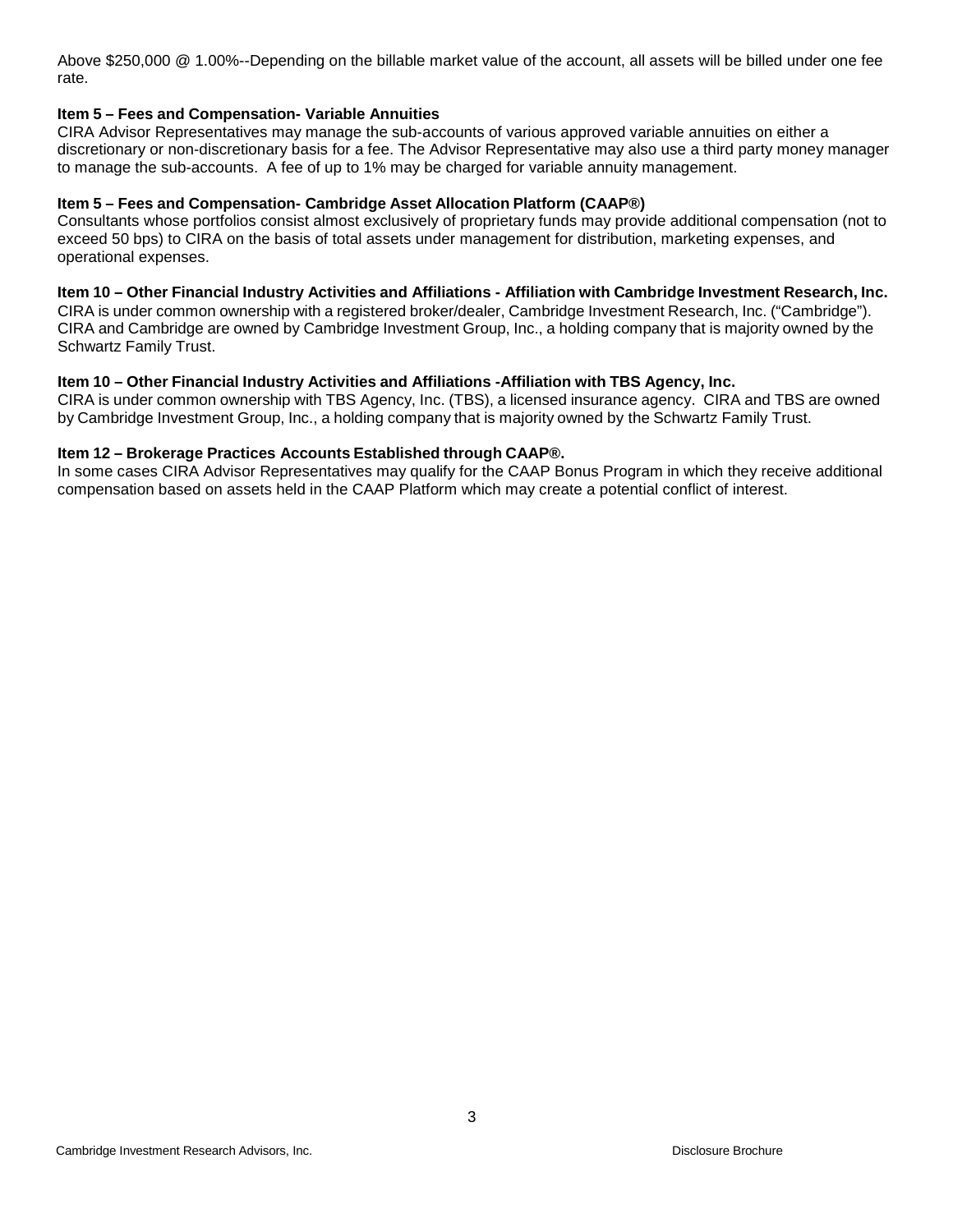Above \$250,000 @ 1.00%--Depending on the billable market value of the account, all assets will be billed under one fee rate.

#### **Item 5 – Fees and Compensation- Variable Annuities**

CIRA Advisor Representatives may manage the sub-accounts of various approved variable annuities on either a discretionary or non-discretionary basis for a fee. The Advisor Representative may also use a third party money manager to manage the sub-accounts. A fee of up to 1% may be charged for variable annuity management.

#### **Item 5 – Fees and Compensation- Cambridge Asset Allocation Platform (CAAP®)**

Consultants whose portfolios consist almost exclusively of proprietary funds may provide additional compensation (not to exceed 50 bps) to CIRA on the basis of total assets under management for distribution, marketing expenses, and operational expenses.

#### Item 10 - Other Financial Industry Activities and Affiliations - Affiliation with Cambridge Investment Research, Inc.

CIRA is under common ownership with a registered broker/dealer, Cambridge Investment Research, Inc. ("Cambridge"). CIRA and Cambridge are owned by Cambridge Investment Group, Inc., a holding company that is majority owned by the Schwartz Family Trust.

#### **Item 10 – Other Financial Industry Activities and Affiliations -Affiliation with TBS Agency, Inc.**

CIRA is under common ownership with TBS Agency, Inc. (TBS), a licensed insurance agency. CIRA and TBS are owned by Cambridge Investment Group, Inc., a holding company that is majority owned by the Schwartz Family Trust.

#### **Item 12 – Brokerage Practices Accounts Established through CAAP®.**

In some cases CIRA Advisor Representatives may qualify for the CAAP Bonus Program in which they receive additional compensation based on assets held in the CAAP Platform which may create a potential conflict of interest.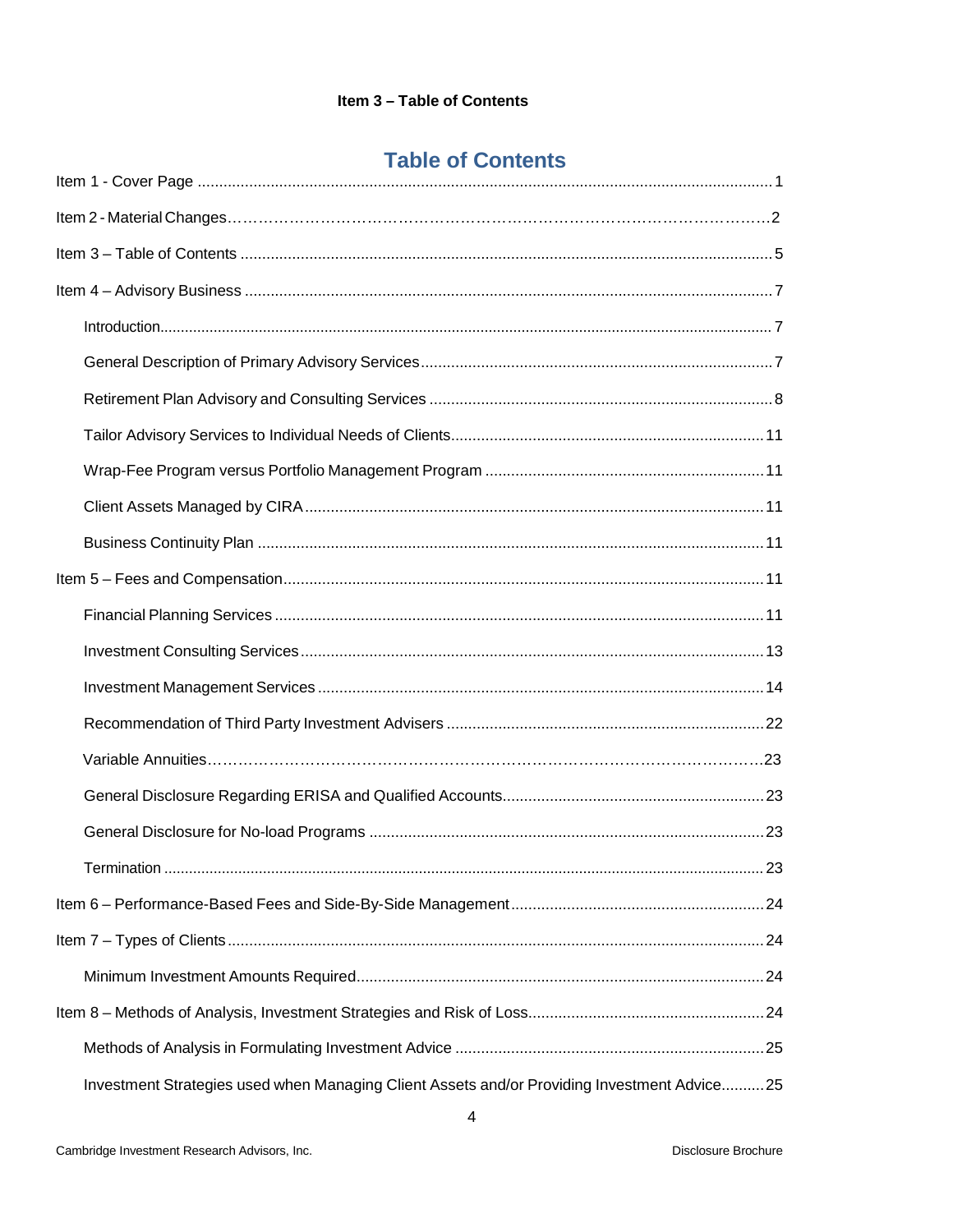# **Table of Contents**

|  | Investment Strategies used when Managing Client Assets and/or Providing Investment Advice25 |  |  |  |  |
|--|---------------------------------------------------------------------------------------------|--|--|--|--|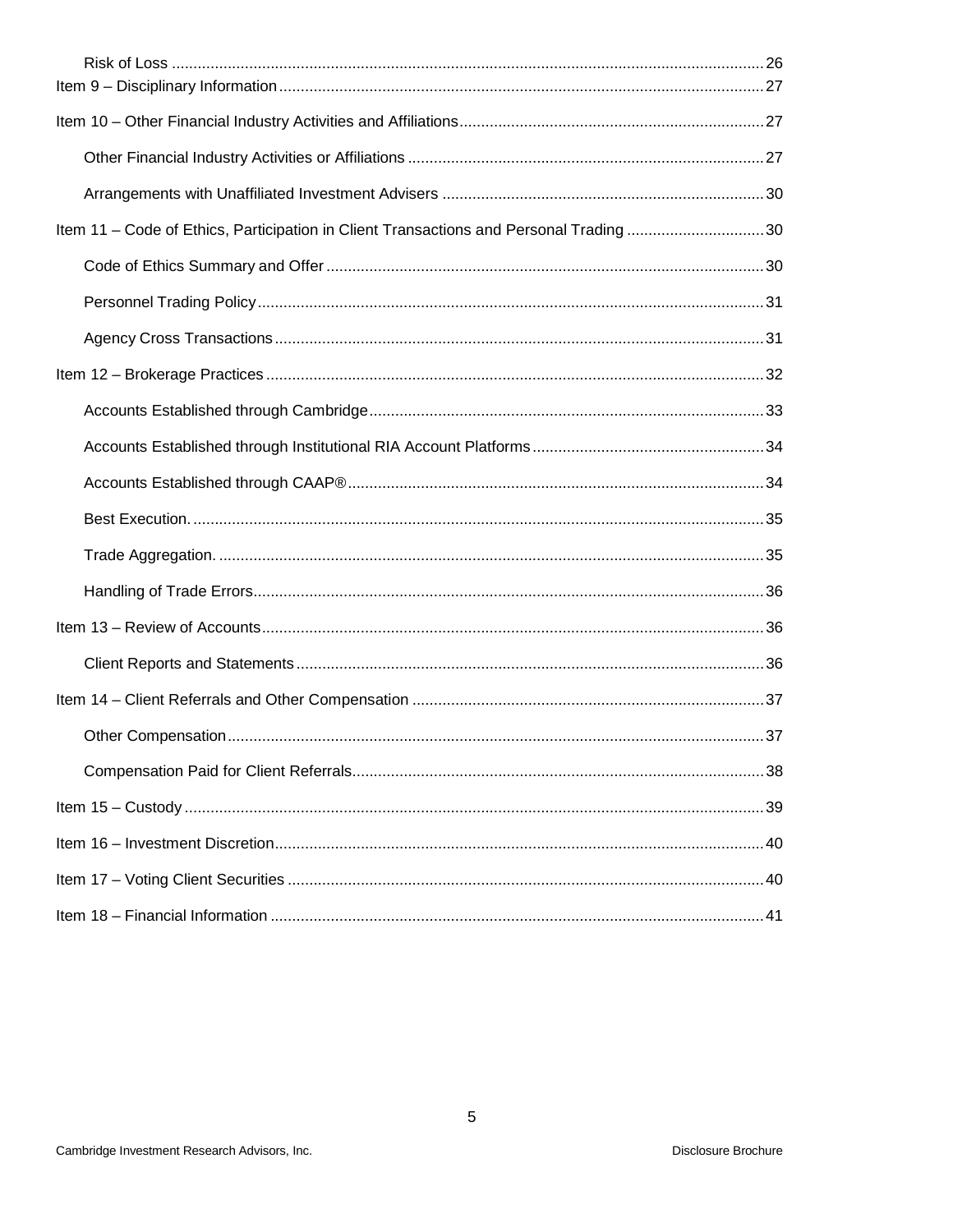| Item 11 - Code of Ethics, Participation in Client Transactions and Personal Trading 30 |  |  |  |  |  |
|----------------------------------------------------------------------------------------|--|--|--|--|--|
|                                                                                        |  |  |  |  |  |
|                                                                                        |  |  |  |  |  |
|                                                                                        |  |  |  |  |  |
|                                                                                        |  |  |  |  |  |
|                                                                                        |  |  |  |  |  |
|                                                                                        |  |  |  |  |  |
|                                                                                        |  |  |  |  |  |
|                                                                                        |  |  |  |  |  |
|                                                                                        |  |  |  |  |  |
|                                                                                        |  |  |  |  |  |
|                                                                                        |  |  |  |  |  |
|                                                                                        |  |  |  |  |  |
|                                                                                        |  |  |  |  |  |
|                                                                                        |  |  |  |  |  |
|                                                                                        |  |  |  |  |  |
|                                                                                        |  |  |  |  |  |
|                                                                                        |  |  |  |  |  |
|                                                                                        |  |  |  |  |  |
|                                                                                        |  |  |  |  |  |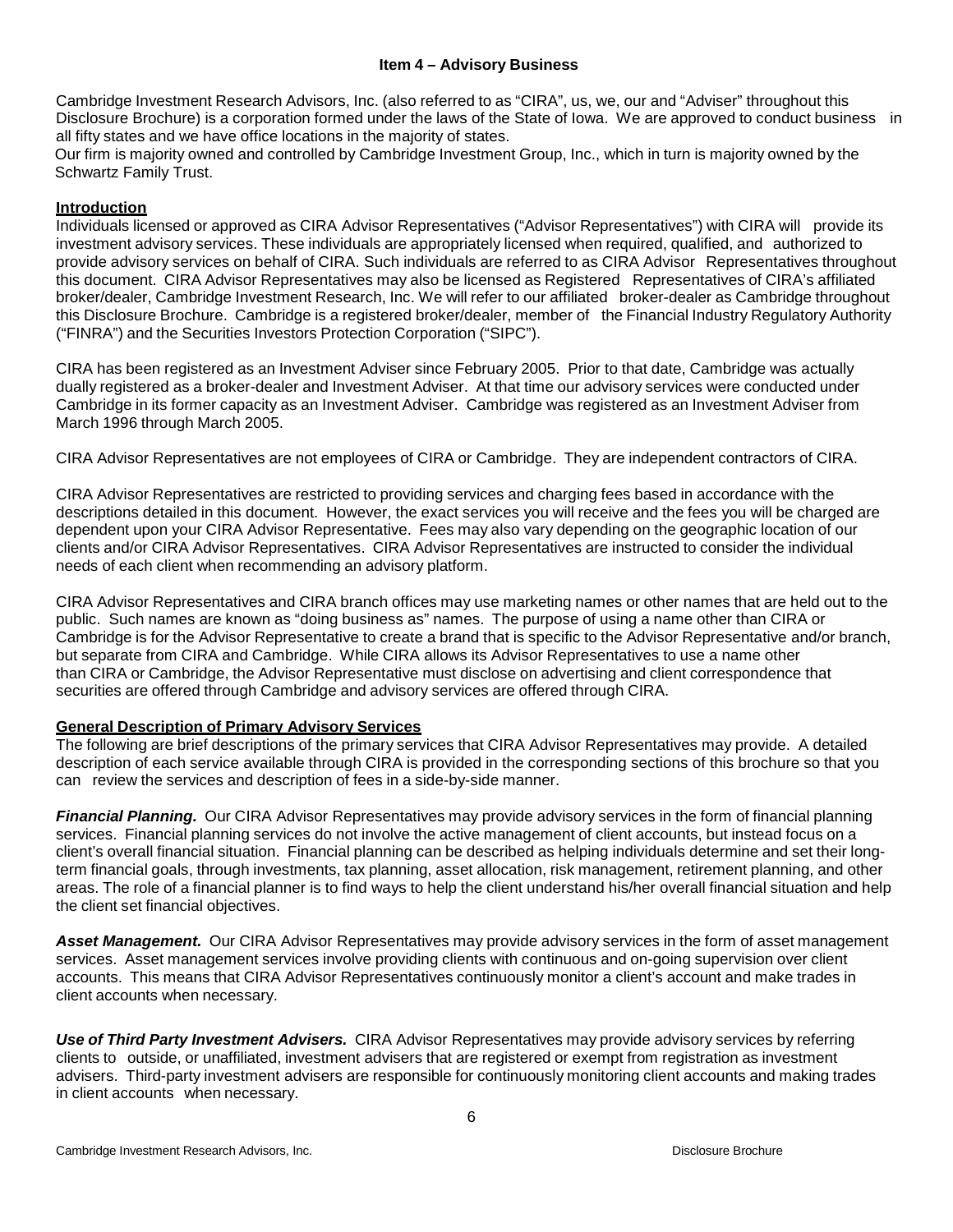#### **Item 4 – Advisory Business**

<span id="page-5-0"></span>Cambridge Investment Research Advisors, Inc. (also referred to as "CIRA", us, we, our and "Adviser" throughout this Disclosure Brochure) is a corporation formed under the laws of the State of Iowa. We are approved to conduct business in all fifty states and we have office locations in the majority of states.

Our firm is majority owned and controlled by Cambridge Investment Group, Inc., which in turn is majority owned by the Schwartz Family Trust.

## <span id="page-5-1"></span>**Introduction**

Individuals licensed or approved as CIRA Advisor Representatives ("Advisor Representatives") with CIRA will provide its investment advisory services. These individuals are appropriately licensed when required, qualified, and authorized to provide advisory services on behalf of CIRA. Such individuals are referred to as CIRA Advisor Representatives throughout this document. CIRA Advisor Representatives may also be licensed as Registered Representatives of CIRA's affiliated broker/dealer, Cambridge Investment Research, Inc. We will refer to our affiliated broker-dealer as Cambridge throughout this Disclosure Brochure. Cambridge is a registered broker/dealer, member of the Financial Industry Regulatory Authority ("FINRA") and the Securities Investors Protection Corporation ("SIPC").

CIRA has been registered as an Investment Adviser since February 2005. Prior to that date, Cambridge was actually dually registered as a broker-dealer and Investment Adviser. At that time our advisory services were conducted under Cambridge in its former capacity as an Investment Adviser. Cambridge was registered as an Investment Adviser from March 1996 through March 2005.

CIRA Advisor Representatives are not employees of CIRA or Cambridge. They are independent contractors of CIRA.

CIRA Advisor Representatives are restricted to providing services and charging fees based in accordance with the descriptions detailed in this document. However, the exact services you will receive and the fees you will be charged are dependent upon your CIRA Advisor Representative. Fees may also vary depending on the geographic location of our clients and/or CIRA Advisor Representatives. CIRA Advisor Representatives are instructed to consider the individual needs of each client when recommending an advisory platform.

CIRA Advisor Representatives and CIRA branch offices may use marketing names or other names that are held out to the public. Such names are known as "doing business as" names. The purpose of using a name other than CIRA or Cambridge is for the Advisor Representative to create a brand that is specific to the Advisor Representative and/or branch, but separate from CIRA and Cambridge. While CIRA allows its Advisor Representatives to use a name other than CIRA or Cambridge, the Advisor Representative must disclose on advertising and client correspondence that securities are offered through Cambridge and advisory services are offered through CIRA.

#### <span id="page-5-2"></span>**General Description of Primary Advisory Services**

The following are brief descriptions of the primary services that CIRA Advisor Representatives may provide. A detailed description of each service available through CIRA is provided in the corresponding sections of this brochure so that you can review the services and description of fees in a side-by-side manner.

*Financial Planning.* Our CIRA Advisor Representatives may provide advisory services in the form of financial planning services. Financial planning services do not involve the active management of client accounts, but instead focus on a client's overall financial situation. Financial planning can be described as helping [individuals](http://www.businessdictionary.com/definition/individual.html) determine and set their [long](http://www.investorwords.com/2885/long_term.html)[term](http://www.investorwords.com/2885/long_term.html) [financial](http://www.investorwords.com/5572/financial.html) [goals,](http://www.investorwords.com/2187/goal.html) through [investments,](http://www.investorwords.com/2599/investment.html) tax [planning,](http://www.investorwords.com/4907/tax_planning.html) asset [allocation,](http://www.investorwords.com/275/asset_allocation.html) risk [management,](http://www.investorwords.com/4304/risk_management.html) [retirement](http://www.investorwords.com/6907/retirement_planning.html) planning, and [other](http://www.investorwords.com/1752/estate_planning.html) areas. The [role](http://www.businessdictionary.com/definition/role.html) of a financial planner is to find ways to help the client understand his/her [overall](http://www.investorwords.com/3267/net_worth.html) financial situation and help the [client](http://www.investorwords.com/883/client.html) set financial [objectives.](http://www.investorwords.com/3372/objective.html)

*Asset Management.* Our CIRA Advisor Representatives may provide advisory services in the form of asset management services. Asset management services involve providing clients with continuous and on-going supervision over client accounts. This means that CIRA Advisor Representatives continuously monitor a client's account and make trades in client accounts when necessary.

*Use of Third Party Investment Advisers.* CIRA Advisor Representatives may provide advisory services by referring clients to outside, or unaffiliated, investment advisers that are registered or exempt from registration as investment advisers. Third-party investment advisers are responsible for continuously monitoring client accounts and making trades in client accounts when necessary.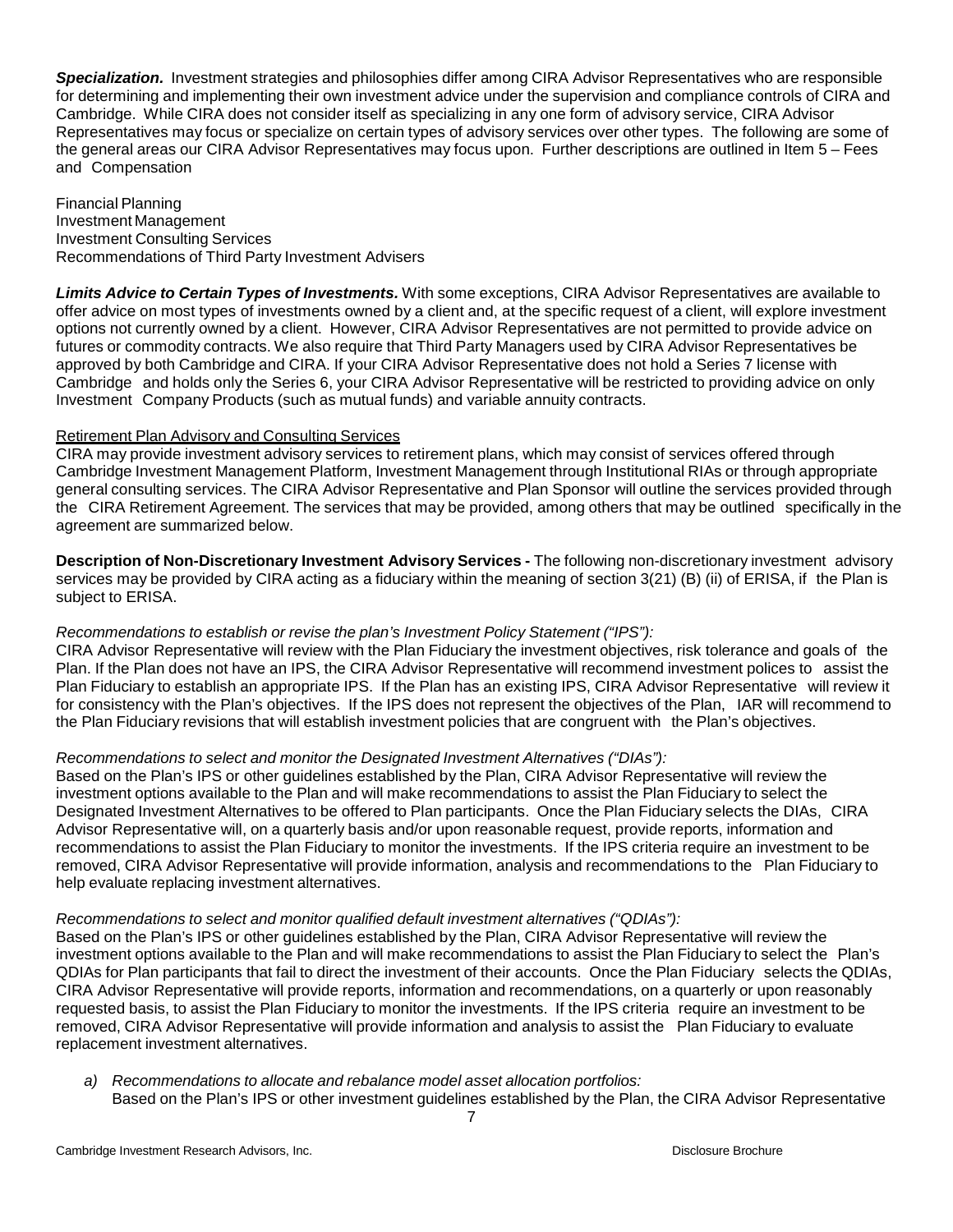**Specialization.** Investment strategies and philosophies differ among CIRA Advisor Representatives who are responsible for determining and implementing their own investment advice under the supervision and compliance controls of CIRA and Cambridge. While CIRA does not consider itself as specializing in any one form of advisory service, CIRA Advisor Representatives may focus or specialize on certain types of advisory services over other types. The following are some of the general areas our CIRA Advisor Representatives may focus upon. Further descriptions are outlined in Item 5 – Fees and Compensation

Financial Planning Investment Management Investment Consulting Services Recommendations of Third Party Investment Advisers

*Limits Advice to Certain Types of Investments.* With some exceptions, CIRA Advisor Representatives are available to offer advice on most types of investments owned by a client and, at the specific request of a client, will explore investment options not currently owned by a client. However, CIRA Advisor Representatives are not permitted to provide advice on futures or commodity contracts. We also require that Third Party Managers used by CIRA Advisor Representatives be approved by both Cambridge and CIRA. If your CIRA Advisor Representative does not hold a Series 7 license with Cambridge and holds only the Series 6, your CIRA Advisor Representative will be restricted to providing advice on only Investment Company Products (such as mutual funds) and variable annuity contracts.

## <span id="page-6-0"></span>Retirement Plan Advisory and Consulting Services

CIRA may provide investment advisory services to retirement plans, which may consist of services offered through Cambridge Investment Management Platform, Investment Management through Institutional RIAs or through appropriate general consulting services. The CIRA Advisor Representative and Plan Sponsor will outline the services provided through the CIRA Retirement Agreement. The services that may be provided, among others that may be outlined specifically in the agreement are summarized below.

**Description of Non-Discretionary Investment Advisory Services -** The following non-discretionary investment advisory services may be provided by CIRA acting as a fiduciary within the meaning of section 3(21) (B) (ii) of ERISA, if the Plan is subject to ERISA.

# *Recommendations to establish or revise the plan's Investment Policy Statement ("IPS"):*

CIRA Advisor Representative will review with the Plan Fiduciary the investment objectives, risk tolerance and goals of the Plan. If the Plan does not have an IPS, the CIRA Advisor Representative will recommend investment polices to assist the Plan Fiduciary to establish an appropriate IPS. If the Plan has an existing IPS, CIRA Advisor Representative will review it for consistency with the Plan's objectives. If the IPS does not represent the objectives of the Plan, IAR will recommend to the Plan Fiduciary revisions that will establish investment policies that are congruent with the Plan's objectives.

# *Recommendations to select and monitor the Designated Investment Alternatives ("DIAs"):*

Based on the Plan's IPS or other guidelines established by the Plan, CIRA Advisor Representative will review the investment options available to the Plan and will make recommendations to assist the Plan Fiduciary to select the Designated Investment Alternatives to be offered to Plan participants. Once the Plan Fiduciary selects the DIAs, CIRA Advisor Representative will, on a quarterly basis and/or upon reasonable request, provide reports, information and recommendations to assist the Plan Fiduciary to monitor the investments. If the IPS criteria require an investment to be removed, CIRA Advisor Representative will provide information, analysis and recommendations to the Plan Fiduciary to help evaluate replacing investment alternatives.

#### *Recommendations to select and monitor qualified default investment alternatives ("QDIAs"):*

Based on the Plan's IPS or other guidelines established by the Plan, CIRA Advisor Representative will review the investment options available to the Plan and will make recommendations to assist the Plan Fiduciary to select the Plan's QDIAs for Plan participants that fail to direct the investment of their accounts. Once the Plan Fiduciary selects the QDIAs, CIRA Advisor Representative will provide reports, information and recommendations, on a quarterly or upon reasonably requested basis, to assist the Plan Fiduciary to monitor the investments. If the IPS criteria require an investment to be removed, CIRA Advisor Representative will provide information and analysis to assist the Plan Fiduciary to evaluate replacement investment alternatives.

*a) Recommendations to allocate and rebalance model asset allocation portfolios:* Based on the Plan's IPS or other investment guidelines established by the Plan, the CIRA Advisor Representative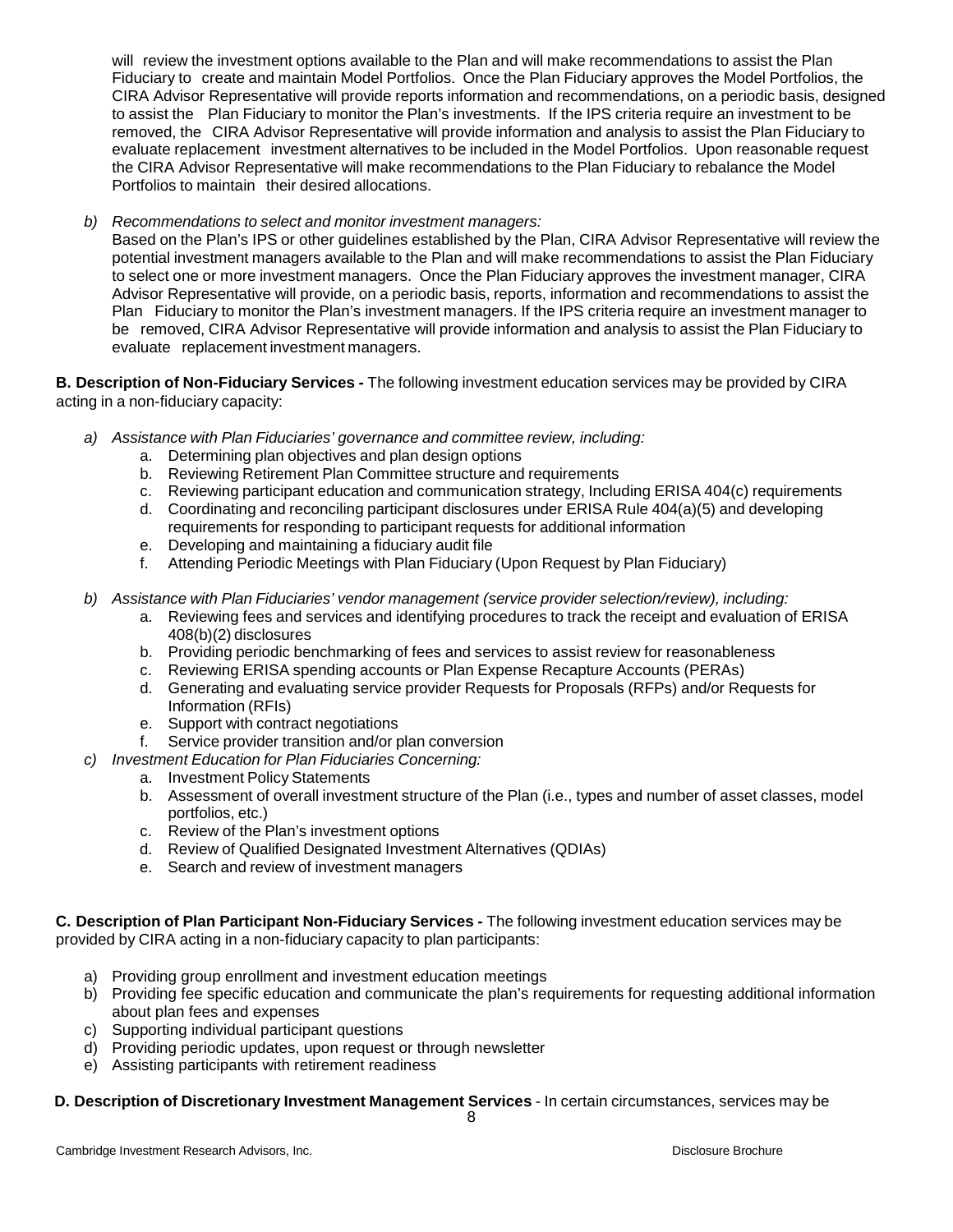will review the investment options available to the Plan and will make recommendations to assist the Plan Fiduciary to create and maintain Model Portfolios. Once the Plan Fiduciary approves the Model Portfolios, the CIRA Advisor Representative will provide reports information and recommendations, on a periodic basis, designed to assist the Plan Fiduciary to monitor the Plan's investments. If the IPS criteria require an investment to be removed, the CIRA Advisor Representative will provide information and analysis to assist the Plan Fiduciary to evaluate replacement investment alternatives to be included in the Model Portfolios. Upon reasonable request the CIRA Advisor Representative will make recommendations to the Plan Fiduciary to rebalance the Model Portfolios to maintain their desired allocations.

*b) Recommendations to select and monitor investment managers:*

Based on the Plan's IPS or other guidelines established by the Plan, CIRA Advisor Representative will review the potential investment managers available to the Plan and will make recommendations to assist the Plan Fiduciary to select one or more investment managers. Once the Plan Fiduciary approves the investment manager, CIRA Advisor Representative will provide, on a periodic basis, reports, information and recommendations to assist the Plan Fiduciary to monitor the Plan's investment managers. If the IPS criteria require an investment manager to be removed, CIRA Advisor Representative will provide information and analysis to assist the Plan Fiduciary to evaluate replacement investment managers.

**B. Description of Non-Fiduciary Services -** The following investment education services may be provided by CIRA acting in a non-fiduciary capacity:

- *a) Assistance with Plan Fiduciaries' governance and committee review, including:*
	- a. Determining plan objectives and plan design options
	- b. Reviewing Retirement Plan Committee structure and requirements
	- c. Reviewing participant education and communication strategy, Including ERISA 404(c) requirements
	- d. Coordinating and reconciling participant disclosures under ERISA Rule 404(a)(5) and developing requirements for responding to participant requests for additional information
	- e. Developing and maintaining a fiduciary audit file
	- f. Attending Periodic Meetings with Plan Fiduciary (Upon Request by Plan Fiduciary)
- *b) Assistance with Plan Fiduciaries' vendor management (service provider selection/review), including:*
	- a. Reviewing fees and services and identifying procedures to track the receipt and evaluation of ERISA 408(b)(2) disclosures
	- b. Providing periodic benchmarking of fees and services to assist review for reasonableness
	- c. Reviewing ERISA spending accounts or Plan Expense Recapture Accounts (PERAs)
	- d. Generating and evaluating service provider Requests for Proposals (RFPs) and/or Requests for Information (RFIs)
	- e. Support with contract negotiations
	- f. Service provider transition and/or plan conversion
- *c) Investment Education for Plan Fiduciaries Concerning:*
	- a. Investment Policy Statements
	- b. Assessment of overall investment structure of the Plan (i.e., types and number of asset classes, model portfolios, etc.)
	- c. Review of the Plan's investment options
	- d. Review of Qualified Designated Investment Alternatives (QDIAs)
	- e. Search and review of investment managers

**C. Description of Plan Participant Non-Fiduciary Services -** The following investment education services may be provided by CIRA acting in a non-fiduciary capacity to plan participants:

- a) Providing group enrollment and investment education meetings
- b) Providing fee specific education and communicate the plan's requirements for requesting additional information about plan fees and expenses
- c) Supporting individual participant questions
- d) Providing periodic updates, upon request or through newsletter
- e) Assisting participants with retirement readiness

# **D. Description of Discretionary Investment Management Services** - In certain circumstances, services may be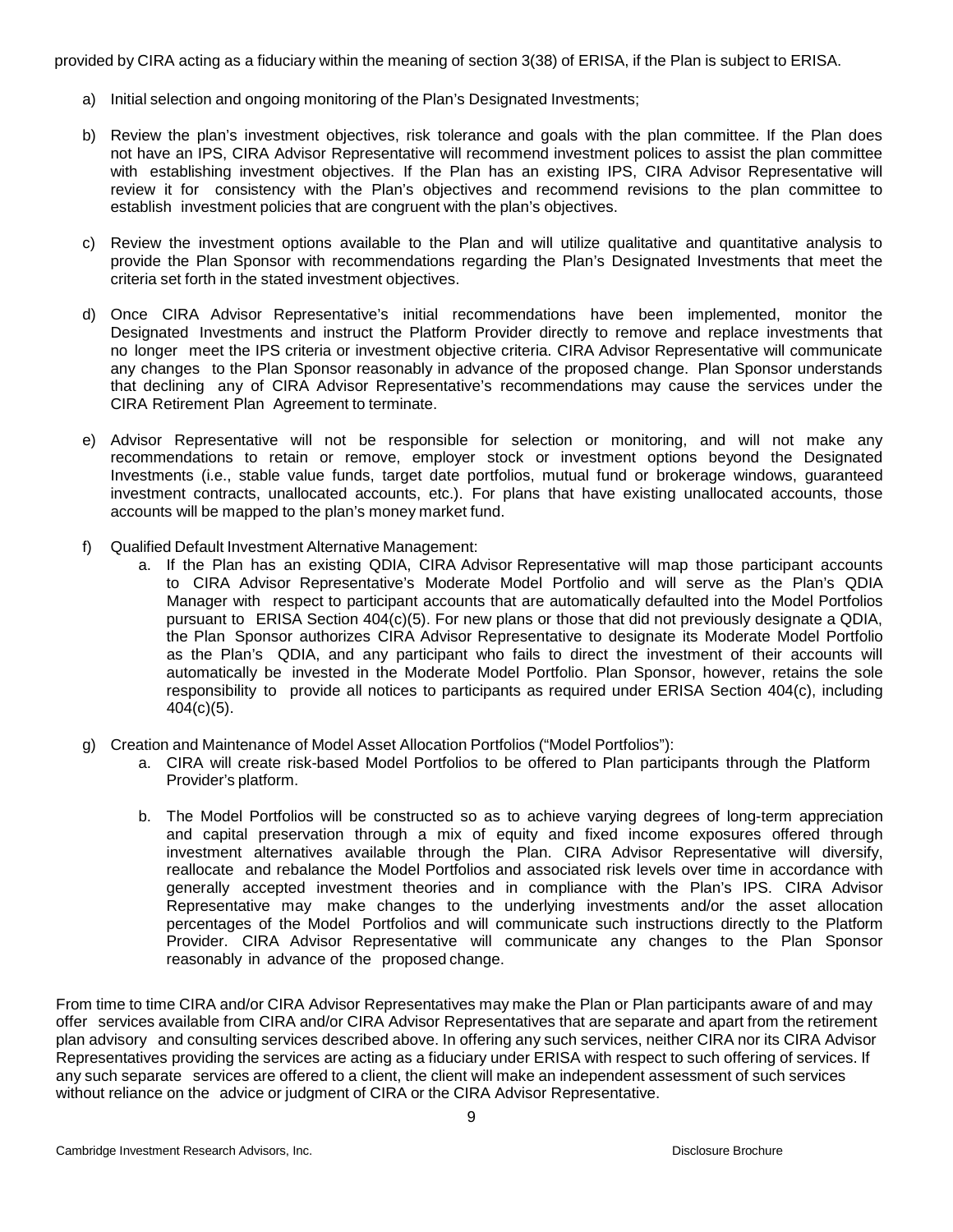provided by CIRA acting as a fiduciary within the meaning of section 3(38) of ERISA, if the Plan is subject to ERISA.

- a) Initial selection and ongoing monitoring of the Plan's Designated Investments;
- b) Review the plan's investment objectives, risk tolerance and goals with the plan committee. If the Plan does not have an IPS, CIRA Advisor Representative will recommend investment polices to assist the plan committee with establishing investment objectives. If the Plan has an existing IPS, CIRA Advisor Representative will review it for consistency with the Plan's objectives and recommend revisions to the plan committee to establish investment policies that are congruent with the plan's objectives.
- c) Review the investment options available to the Plan and will utilize qualitative and quantitative analysis to provide the Plan Sponsor with recommendations regarding the Plan's Designated Investments that meet the criteria set forth in the stated investment objectives.
- d) Once CIRA Advisor Representative's initial recommendations have been implemented, monitor the Designated Investments and instruct the Platform Provider directly to remove and replace investments that no longer meet the IPS criteria or investment objective criteria. CIRA Advisor Representative will communicate any changes to the Plan Sponsor reasonably in advance of the proposed change. Plan Sponsor understands that declining any of CIRA Advisor Representative's recommendations may cause the services under the CIRA Retirement Plan Agreement to terminate.
- e) Advisor Representative will not be responsible for selection or monitoring, and will not make any recommendations to retain or remove, employer stock or investment options beyond the Designated Investments (i.e., stable value funds, target date portfolios, mutual fund or brokerage windows, guaranteed investment contracts, unallocated accounts, etc.). For plans that have existing unallocated accounts, those accounts will be mapped to the plan's money market fund.
- f) Qualified Default Investment Alternative Management:
	- a. If the Plan has an existing QDIA, CIRA Advisor Representative will map those participant accounts to CIRA Advisor Representative's Moderate Model Portfolio and will serve as the Plan's QDIA Manager with respect to participant accounts that are automatically defaulted into the Model Portfolios pursuant to ERISA Section 404(c)(5). For new plans or those that did not previously designate a QDIA, the Plan Sponsor authorizes CIRA Advisor Representative to designate its Moderate Model Portfolio as the Plan's QDIA, and any participant who fails to direct the investment of their accounts will automatically be invested in the Moderate Model Portfolio. Plan Sponsor, however, retains the sole responsibility to provide all notices to participants as required under ERISA Section 404(c), including  $404(c)(5)$ .
- g) Creation and Maintenance of Model Asset Allocation Portfolios ("Model Portfolios"):
	- a. CIRA will create risk-based Model Portfolios to be offered to Plan participants through the Platform Provider's platform.
	- b. The Model Portfolios will be constructed so as to achieve varying degrees of long-term appreciation and capital preservation through a mix of equity and fixed income exposures offered through investment alternatives available through the Plan. CIRA Advisor Representative will diversify, reallocate and rebalance the Model Portfolios and associated risk levels over time in accordance with generally accepted investment theories and in compliance with the Plan's IPS. CIRA Advisor Representative may make changes to the underlying investments and/or the asset allocation percentages of the Model Portfolios and will communicate such instructions directly to the Platform Provider. CIRA Advisor Representative will communicate any changes to the Plan Sponsor reasonably in advance of the proposed change.

From time to time CIRA and/or CIRA Advisor Representatives may make the Plan or Plan participants aware of and may offer services available from CIRA and/or CIRA Advisor Representatives that are separate and apart from the retirement plan advisory and consulting services described above. In offering any such services, neither CIRA nor its CIRA Advisor Representatives providing the services are acting as a fiduciary under ERISA with respect to such offering of services. If any such separate services are offered to a client, the client will make an independent assessment of such services without reliance on the advice or judgment of CIRA or the CIRA Advisor Representative.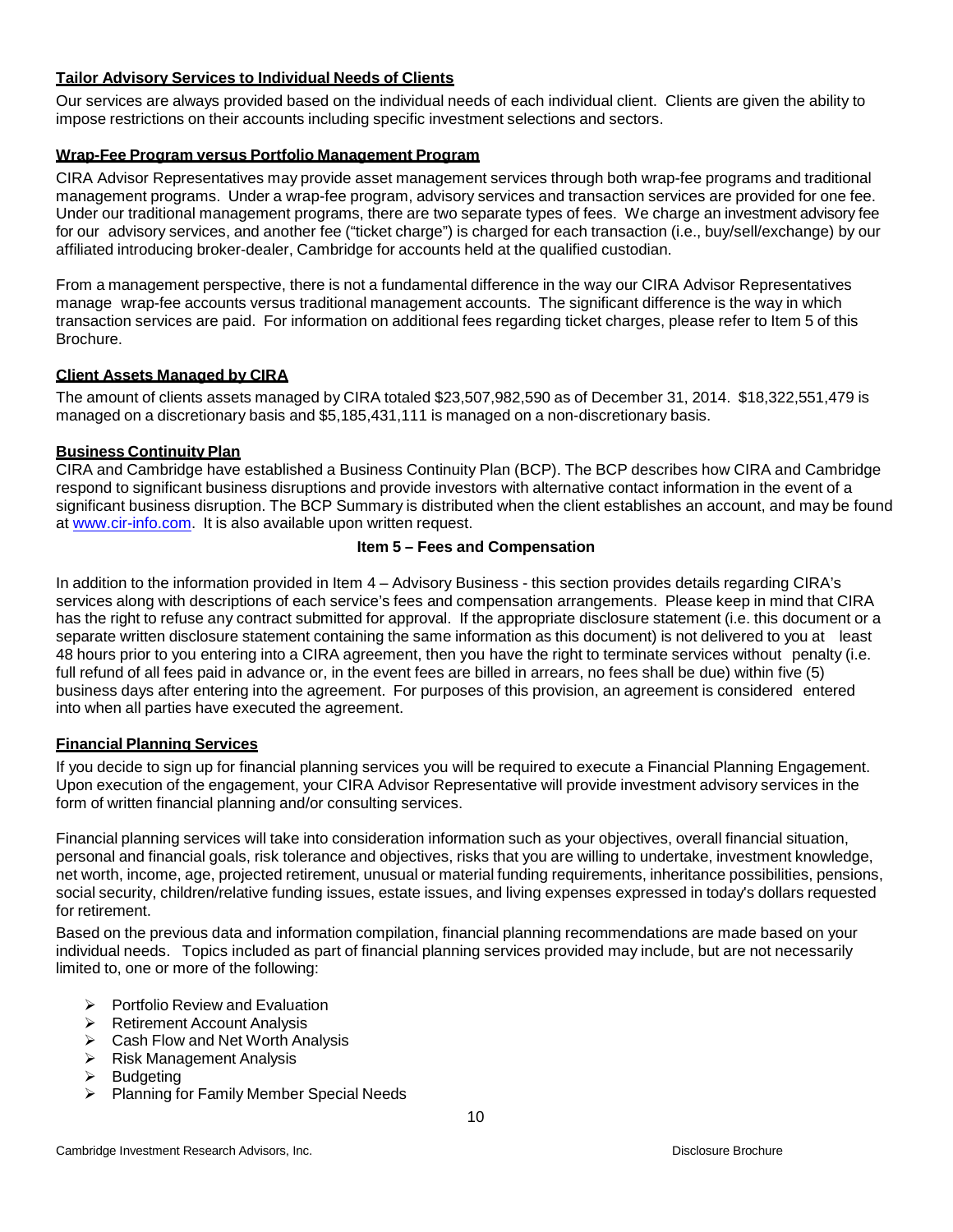## **Tailor Advisory Services to Individual Needs of Clients**

Our services are always provided based on the individual needs of each individual client. Clients are given the ability to impose restrictions on their accounts including specific investment selections and sectors.

## **Wrap-Fee Program versus Portfolio Management Program**

CIRA Advisor Representatives may provide asset management services through both wrap-fee programs and traditional management programs. Under a wrap-fee program, advisory services and transaction services are provided for one fee. Under our traditional management programs, there are two separate types of fees. We charge an investment advisory fee for our advisory services, and another fee ("ticket charge") is charged for each transaction (i.e., buy/sell/exchange) by our affiliated introducing broker-dealer, Cambridge for accounts held at the qualified custodian.

From a management perspective, there is not a fundamental difference in the way our CIRA Advisor Representatives manage wrap-fee accounts versus traditional management accounts. The significant difference is the way in which transaction services are paid. For information on additional fees regarding ticket charges, please refer to Item 5 of this Brochure.

## **Client Assets Managed by CIRA**

The amount of clients assets managed by CIRA totaled \$23,507,982,590 as of December 31, 2014. \$18,322,551,479 is managed on a discretionary basis and \$5,185,431,111 is managed on a non-discretionary basis.

## **Business Continuity Plan**

CIRA and Cambridge have established a Business Continuity Plan (BCP). The BCP describes how CIRA and Cambridge respond to significant business disruptions and provide investors with alternative contact information in the event of a significant business disruption. The BCP Summary is distributed when the client establishes an account, and may be found at [www.cir-info.com.](http://www.cir-info.com/) It is also available upon written request.

## **Item 5 – Fees and Compensation**

<span id="page-9-0"></span>In addition to the information provided in Item 4 – Advisory Business - this section provides details regarding CIRA's services along with descriptions of each service's fees and compensation arrangements. Please keep in mind that CIRA has the right to refuse any contract submitted for approval. If the appropriate disclosure statement (i.e. this document or a separate written disclosure statement containing the same information as this document) is not delivered to you at least 48 hours prior to you entering into a CIRA agreement, then you have the right to terminate services without penalty (i.e. full refund of all fees paid in advance or, in the event fees are billed in arrears, no fees shall be due) within five (5) business days after entering into the agreement. For purposes of this provision, an agreement is considered entered into when all parties have executed the agreement.

## <span id="page-9-1"></span>**Financial Planning Services**

If you decide to sign up for financial planning services you will be required to execute a Financial Planning Engagement. Upon execution of the engagement, your CIRA Advisor Representative will provide investment advisory services in the form of written financial planning and/or consulting services.

Financial planning services will take into consideration information such as your objectives, overall financial situation, personal and financial goals, risk tolerance and objectives, risks that you are willing to undertake, investment knowledge, net worth, income, age, projected retirement, unusual or material funding requirements, inheritance possibilities, pensions, social security, children/relative funding issues, estate issues, and living expenses expressed in today's dollars requested for retirement.

Based on the previous data and information compilation, financial planning recommendations are made based on your individual needs. Topics included as part of financial planning services provided may include, but are not necessarily limited to, one or more of the following:

- $\triangleright$  Portfolio Review and Evaluation
- **EXA** Retirement Account Analysis
- $\triangleright$  Cash Flow and Net Worth Analysis
- $\triangleright$  Risk Management Analysis<br> $\triangleright$  Budgeting
- **Budgeting**
- ▶ Planning for Family Member Special Needs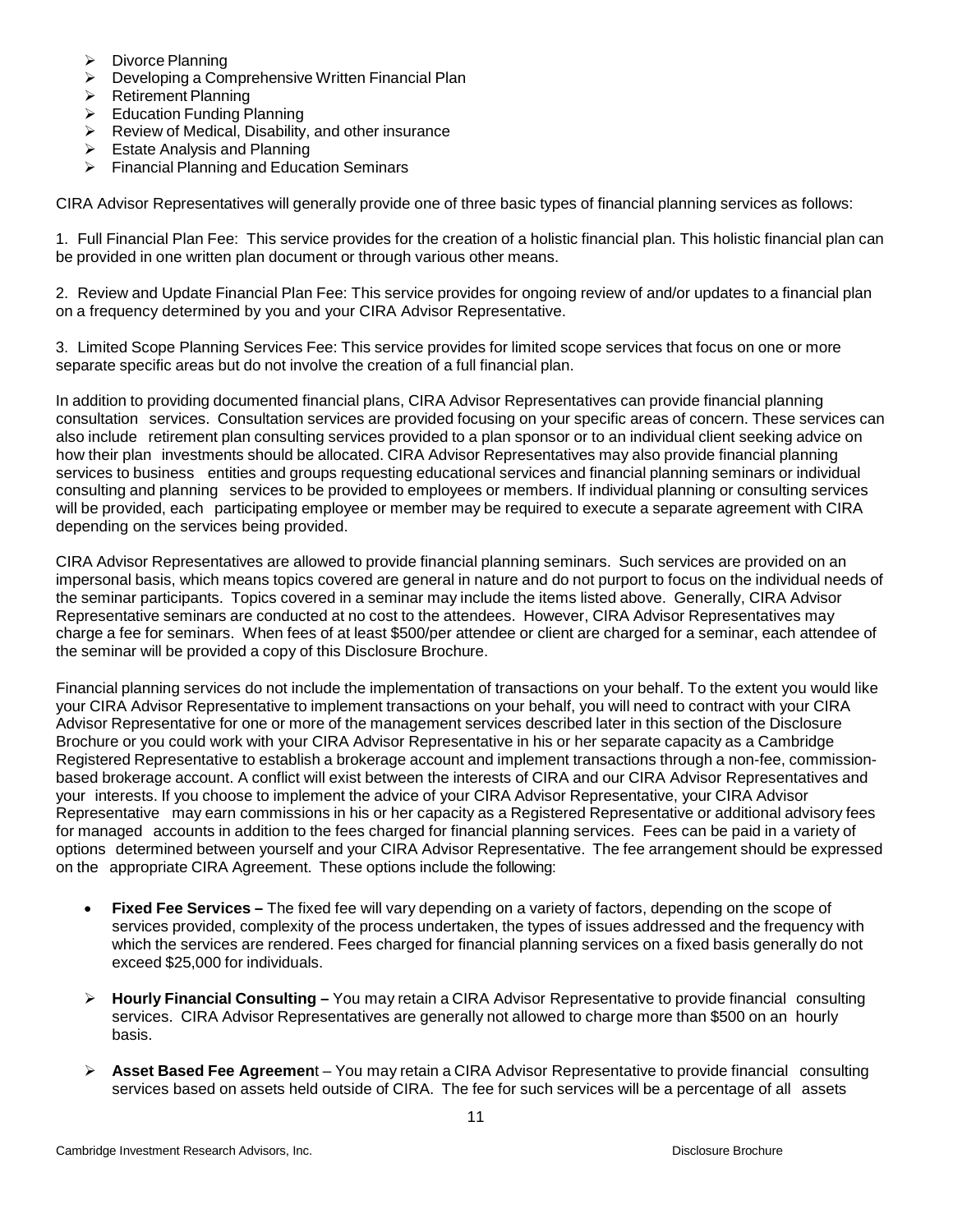- $\triangleright$  Divorce Planning
- **EXEC** Developing a Comprehensive Written Financial Plan
- **▶ Retirement Planning**
- $\triangleright$  Education Funding Planning
- ▶ Review of Medical, Disability, and other insurance
- $\triangleright$  Estate Analysis and Planning
- $\triangleright$  Financial Planning and Education Seminars

CIRA Advisor Representatives will generally provide one of three basic types of financial planning services as follows:

1. Full Financial Plan Fee: This service provides for the creation of a holistic financial plan. This holistic financial plan can be provided in one written plan document or through various other means.

2. Review and Update Financial Plan Fee: This service provides for ongoing review of and/or updates to a financial plan on a frequency determined by you and your CIRA Advisor Representative.

3. Limited Scope Planning Services Fee: This service provides for limited scope services that focus on one or more separate specific areas but do not involve the creation of a full financial plan.

In addition to providing documented financial plans, CIRA Advisor Representatives can provide financial planning consultation services. Consultation services are provided focusing on your specific areas of concern. These services can also include retirement plan consulting services provided to a plan sponsor or to an individual client seeking advice on how their plan investments should be allocated. CIRA Advisor Representatives may also provide financial planning services to business entities and groups requesting educational services and financial planning seminars or individual consulting and planning services to be provided to employees or members. If individual planning or consulting services will be provided, each participating employee or member may be required to execute a separate agreement with CIRA depending on the services being provided.

CIRA Advisor Representatives are allowed to provide financial planning seminars. Such services are provided on an impersonal basis, which means topics covered are general in nature and do not purport to focus on the individual needs of the seminar participants. Topics covered in a seminar may include the items listed above. Generally, CIRA Advisor Representative seminars are conducted at no cost to the attendees. However, CIRA Advisor Representatives may charge a fee for seminars. When fees of at least \$500/per attendee or client are charged for a seminar, each attendee of the seminar will be provided a copy of this Disclosure Brochure.

Financial planning services do not include the implementation of transactions on your behalf. To the extent you would like your CIRA Advisor Representative to implement transactions on your behalf, you will need to contract with your CIRA Advisor Representative for one or more of the management services described later in this section of the Disclosure Brochure or you could work with your CIRA Advisor Representative in his or her separate capacity as a Cambridge Registered Representative to establish a brokerage account and implement transactions through a non-fee, commissionbased brokerage account. A conflict will exist between the interests of CIRA and our CIRA Advisor Representatives and your interests. If you choose to implement the advice of your CIRA Advisor Representative, your CIRA Advisor Representative may earn commissions in his or her capacity as a Registered Representative or additional advisory fees for managed accounts in addition to the fees charged for financial planning services. Fees can be paid in a variety of options determined between yourself and your CIRA Advisor Representative. The fee arrangement should be expressed on the appropriate CIRA Agreement. These options include the following:

- **Fixed Fee Services –** The fixed fee will vary depending on a variety of factors, depending on the scope of services provided, complexity of the process undertaken, the types of issues addressed and the frequency with which the services are rendered. Fees charged for financial planning services on a fixed basis generally do not exceed \$25,000 for individuals.
- **Hourly Financial Consulting –** You may retain a CIRA Advisor Representative to provide financial consulting services. CIRA Advisor Representatives are generally not allowed to charge more than \$500 on an hourly basis.
- **Asset Based Fee Agreemen**t You may retain a CIRA Advisor Representative to provide financial consulting services based on assets held outside of CIRA. The fee for such services will be a percentage of all assets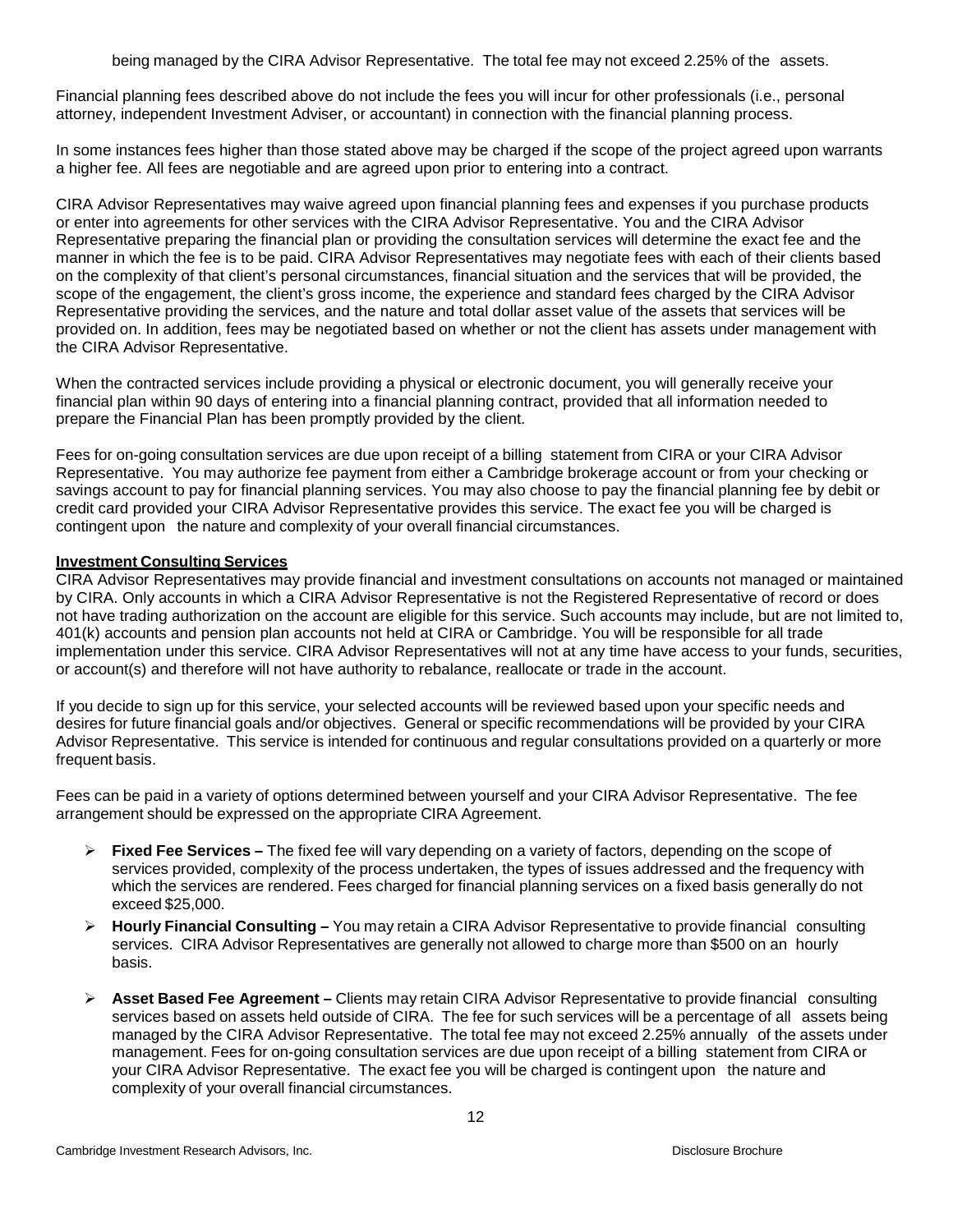being managed by the CIRA Advisor Representative. The total fee may not exceed 2.25% of the assets.

Financial planning fees described above do not include the fees you will incur for other professionals (i.e., personal attorney, independent Investment Adviser, or accountant) in connection with the financial planning process.

In some instances fees higher than those stated above may be charged if the scope of the project agreed upon warrants a higher fee. All fees are negotiable and are agreed upon prior to entering into a contract.

CIRA Advisor Representatives may waive agreed upon financial planning fees and expenses if you purchase products or enter into agreements for other services with the CIRA Advisor Representative. You and the CIRA Advisor Representative preparing the financial plan or providing the consultation services will determine the exact fee and the manner in which the fee is to be paid. CIRA Advisor Representatives may negotiate fees with each of their clients based on the complexity of that client's personal circumstances, financial situation and the services that will be provided, the scope of the engagement, the client's gross income, the experience and standard fees charged by the CIRA Advisor Representative providing the services, and the nature and total dollar asset value of the assets that services will be provided on. In addition, fees may be negotiated based on whether or not the client has assets under management with the CIRA Advisor Representative.

When the contracted services include providing a physical or electronic document, you will generally receive your financial plan within 90 days of entering into a financial planning contract, provided that all information needed to prepare the Financial Plan has been promptly provided by the client.

Fees for on-going consultation services are due upon receipt of a billing statement from CIRA or your CIRA Advisor Representative. You may authorize fee payment from either a Cambridge brokerage account or from your checking or savings account to pay for financial planning services. You may also choose to pay the financial planning fee by debit or credit card provided your CIRA Advisor Representative provides this service. The exact fee you will be charged is contingent upon the nature and complexity of your overall financial circumstances.

#### <span id="page-11-0"></span>**Investment Consulting Services**

CIRA Advisor Representatives may provide financial and investment consultations on accounts not managed or maintained by CIRA. Only accounts in which a CIRA Advisor Representative is not the Registered Representative of record or does not have trading authorization on the account are eligible for this service. Such accounts may include, but are not limited to, 401(k) accounts and pension plan accounts not held at CIRA or Cambridge. You will be responsible for all trade implementation under this service. CIRA Advisor Representatives will not at any time have access to your funds, securities, or account(s) and therefore will not have authority to rebalance, reallocate or trade in the account.

If you decide to sign up for this service, your selected accounts will be reviewed based upon your specific needs and desires for future financial goals and/or objectives. General or specific recommendations will be provided by your CIRA Advisor Representative. This service is intended for continuous and regular consultations provided on a quarterly or more frequent basis.

Fees can be paid in a variety of options determined between yourself and your CIRA Advisor Representative. The fee arrangement should be expressed on the appropriate CIRA Agreement.

- **Fixed Fee Services –** The fixed fee will vary depending on a variety of factors, depending on the scope of services provided, complexity of the process undertaken, the types of issues addressed and the frequency with which the services are rendered. Fees charged for financial planning services on a fixed basis generally do not exceed \$25,000.
- **Hourly Financial Consulting –** You may retain a CIRA Advisor Representative to provide financial consulting services. CIRA Advisor Representatives are generally not allowed to charge more than \$500 on an hourly basis.
- **Asset Based Fee Agreement –** Clients may retain CIRA Advisor Representative to provide financial consulting services based on assets held outside of CIRA. The fee for such services will be a percentage of all assets being managed by the CIRA Advisor Representative. The total fee may not exceed 2.25% annually of the assets under management. Fees for on-going consultation services are due upon receipt of a billing statement from CIRA or your CIRA Advisor Representative. The exact fee you will be charged is contingent upon the nature and complexity of your overall financial circumstances.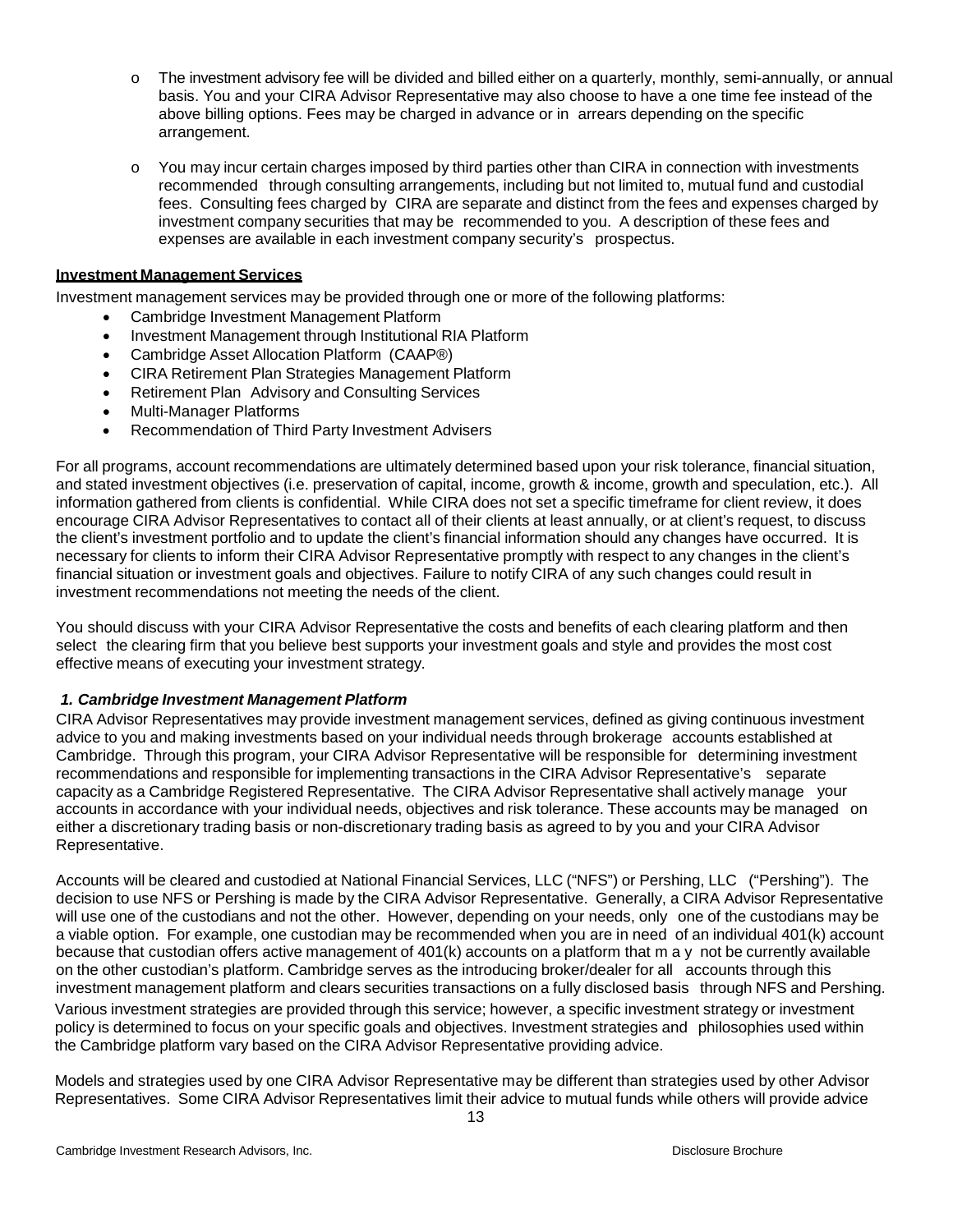- o The investment advisory fee will be divided and billed either on a quarterly, monthly, semi-annually, or annual basis. You and your CIRA Advisor Representative may also choose to have a one time fee instead of the above billing options. Fees may be charged in advance or in arrears depending on the specific arrangement.
- o You may incur certain charges imposed by third parties other than CIRA in connection with investments recommended through consulting arrangements, including but not limited to, mutual fund and custodial fees. Consulting fees charged by CIRA are separate and distinct from the fees and expenses charged by investment company securities that may be recommended to you. A description of these fees and expenses are available in each investment company security's prospectus.

# **Investment Management Services**

Investment management services may be provided through one or more of the following platforms:

- Cambridge Investment Management Platform
- Investment Management through Institutional RIA Platform
- Cambridge Asset Allocation Platform (CAAP®)
- CIRA Retirement Plan Strategies Management Platform
- Retirement Plan Advisory and Consulting Services
- Multi-Manager Platforms
- Recommendation of Third Party Investment Advisers

<span id="page-12-0"></span>For all programs, account recommendations are ultimately determined based upon your risk tolerance, financial situation, and stated investment objectives (i.e. preservation of capital, income, growth & income, growth and speculation, etc.). All information gathered from clients is confidential. While CIRA does not set a specific timeframe for client review, it does encourage CIRA Advisor Representatives to contact all of their clients at least annually, or at client's request, to discuss the client's investment portfolio and to update the client's financial information should any changes have occurred. It is necessary for clients to inform their CIRA Advisor Representative promptly with respect to any changes in the client's financial situation or investment goals and objectives. Failure to notify CIRA of any such changes could result in investment recommendations not meeting the needs of the client.

You should discuss with your CIRA Advisor Representative the costs and benefits of each clearing platform and then select the clearing firm that you believe best supports your investment goals and style and provides the most cost effective means of executing your investment strategy.

#### *1. Cambridge Investment Management Platform*

CIRA Advisor Representatives may provide investment management services, defined as giving continuous investment advice to you and making investments based on your individual needs through brokerage accounts established at Cambridge. Through this program, your CIRA Advisor Representative will be responsible for determining investment recommendations and responsible for implementing transactions in the CIRA Advisor Representative's separate capacity as a Cambridge Registered Representative. The CIRA Advisor Representative shall actively manage your accounts in accordance with your individual needs, objectives and risk tolerance. These accounts may be managed on either a discretionary trading basis or non-discretionary trading basis as agreed to by you and your CIRA Advisor Representative.

Accounts will be cleared and custodied at National Financial Services, LLC ("NFS") or Pershing, LLC ("Pershing"). The decision to use NFS or Pershing is made by the CIRA Advisor Representative. Generally, a CIRA Advisor Representative will use one of the custodians and not the other. However, depending on your needs, only one of the custodians may be a viable option. For example, one custodian may be recommended when you are in need of an individual 401(k) account because that custodian offers active management of 401(k) accounts on a platform that may not be currently available on the other custodian's platform. Cambridge serves as the introducing broker/dealer for all accounts through this investment management platform and clears securities transactions on a fully disclosed basis through NFS and Pershing. Various investment strategies are provided through this service; however, a specific investment strategy or investment policy is determined to focus on your specific goals and objectives. Investment strategies and philosophies used within the Cambridge platform vary based on the CIRA Advisor Representative providing advice.

Models and strategies used by one CIRA Advisor Representative may be different than strategies used by other Advisor Representatives. Some CIRA Advisor Representatives limit their advice to mutual funds while others will provide advice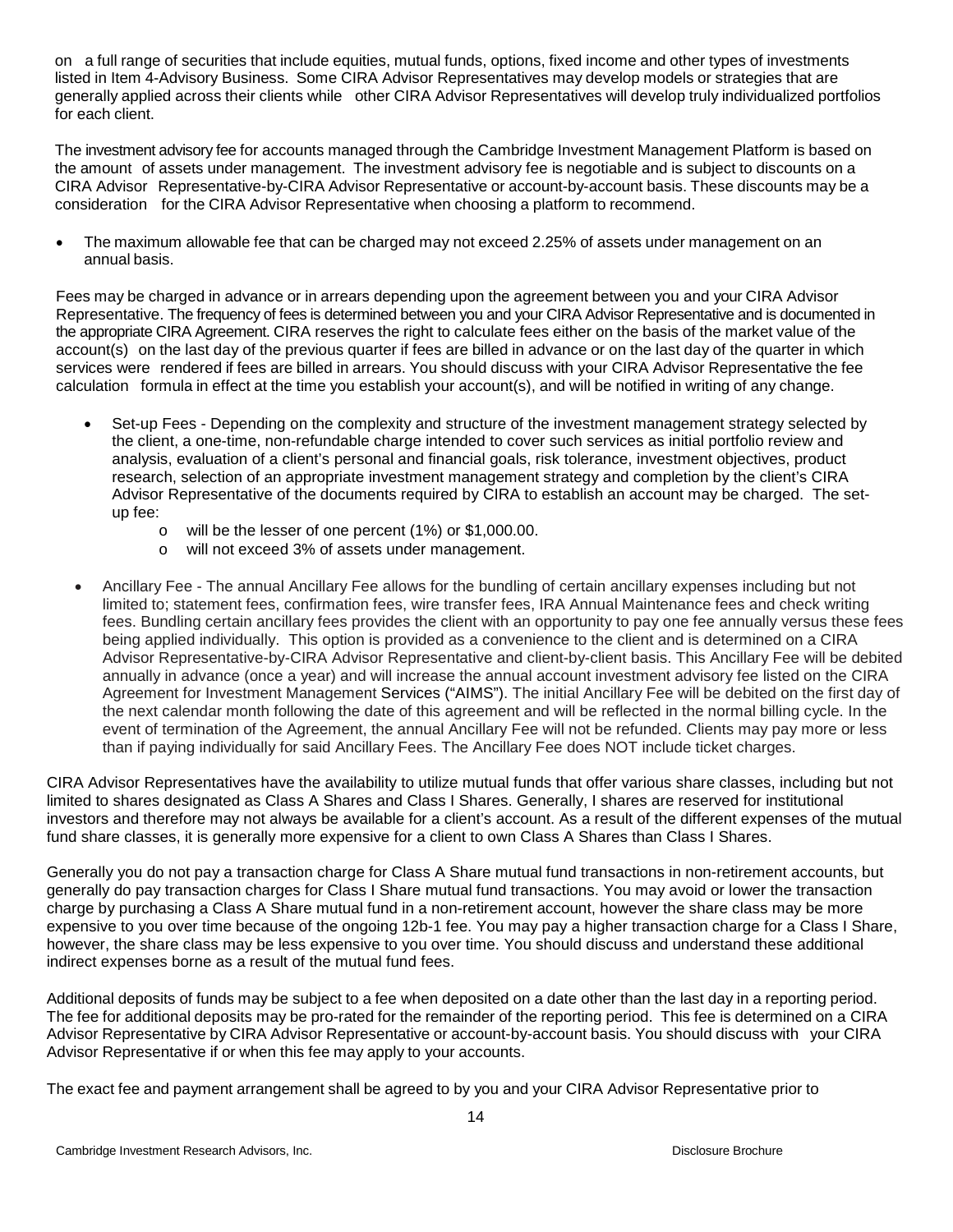on a full range of securities that include equities, mutual funds, options, fixed income and other types of investments listed in Item 4-Advisory Business. Some CIRA Advisor Representatives may develop models or strategies that are generally applied across their clients while other CIRA Advisor Representatives will develop truly individualized portfolios for each client.

The investment advisory fee for accounts managed through the Cambridge Investment Management Platform is based on the amount of assets under management. The investment advisory fee is negotiable and is subject to discounts on a CIRA Advisor Representative-by-CIRA Advisor Representative or account-by-account basis. These discounts may be a consideration for the CIRA Advisor Representative when choosing a platform to recommend.

• The maximum allowable fee that can be charged may not exceed 2.25% of assets under management on an annual basis.

Fees may be charged in advance or in arrears depending upon the agreement between you and your CIRA Advisor Representative. The frequency of fees is determined between you and your CIRA Advisor Representative and is documented in the appropriate CIRA Agreement. CIRA reserves the right to calculate fees either on the basis of the market value of the account(s) on the last day of the previous quarter if fees are billed in advance or on the last day of the quarter in which services were rendered if fees are billed in arrears. You should discuss with your CIRA Advisor Representative the fee calculation formula in effect at the time you establish your account(s), and will be notified in writing of any change.

- Set-up Fees Depending on the complexity and structure of the investment management strategy selected by the client, a one-time, non-refundable charge intended to cover such services as initial portfolio review and analysis, evaluation of a client's personal and financial goals, risk tolerance, investment objectives, product research, selection of an appropriate investment management strategy and completion by the client's CIRA Advisor Representative of the documents required by CIRA to establish an account may be charged. The setup fee:
	- o will be the lesser of one percent (1%) or \$1,000.00.
	- o will not exceed 3% of assets under management.
- Ancillary Fee The annual Ancillary Fee allows for the bundling of certain ancillary expenses including but not limited to; statement fees, confirmation fees, wire transfer fees, IRA Annual Maintenance fees and check writing fees. Bundling certain ancillary fees provides the client with an opportunity to pay one fee annually versus these fees being applied individually. This option is provided as a convenience to the client and is determined on a CIRA Advisor Representative-by-CIRA Advisor Representative and client-by-client basis. This Ancillary Fee will be debited annually in advance (once a year) and will increase the annual account investment advisory fee listed on the CIRA Agreement for Investment Management Services ("AIMS"). The initial Ancillary Fee will be debited on the first day of the next calendar month following the date of this agreement and will be reflected in the normal billing cycle. In the event of termination of the Agreement, the annual Ancillary Fee will not be refunded. Clients may pay more or less than if paying individually for said Ancillary Fees. The Ancillary Fee does NOT include ticket charges.

CIRA Advisor Representatives have the availability to utilize mutual funds that offer various share classes, including but not limited to shares designated as Class A Shares and Class I Shares. Generally, I shares are reserved for institutional investors and therefore may not always be available for a client's account. As a result of the different expenses of the mutual fund share classes, it is generally more expensive for a client to own Class A Shares than Class I Shares.

Generally you do not pay a transaction charge for Class A Share mutual fund transactions in non-retirement accounts, but generally do pay transaction charges for Class I Share mutual fund transactions. You may avoid or lower the transaction charge by purchasing a Class A Share mutual fund in a non-retirement account, however the share class may be more expensive to you over time because of the ongoing 12b-1 fee. You may pay a higher transaction charge for a Class I Share, however, the share class may be less expensive to you over time. You should discuss and understand these additional indirect expenses borne as a result of the mutual fund fees.

Additional deposits of funds may be subject to a fee when deposited on a date other than the last day in a reporting period. The fee for additional deposits may be pro-rated for the remainder of the reporting period. This fee is determined on a CIRA Advisor Representative by CIRA Advisor Representative or account-by-account basis. You should discuss with your CIRA Advisor Representative if or when this fee may apply to your accounts.

The exact fee and payment arrangement shall be agreed to by you and your CIRA Advisor Representative prior to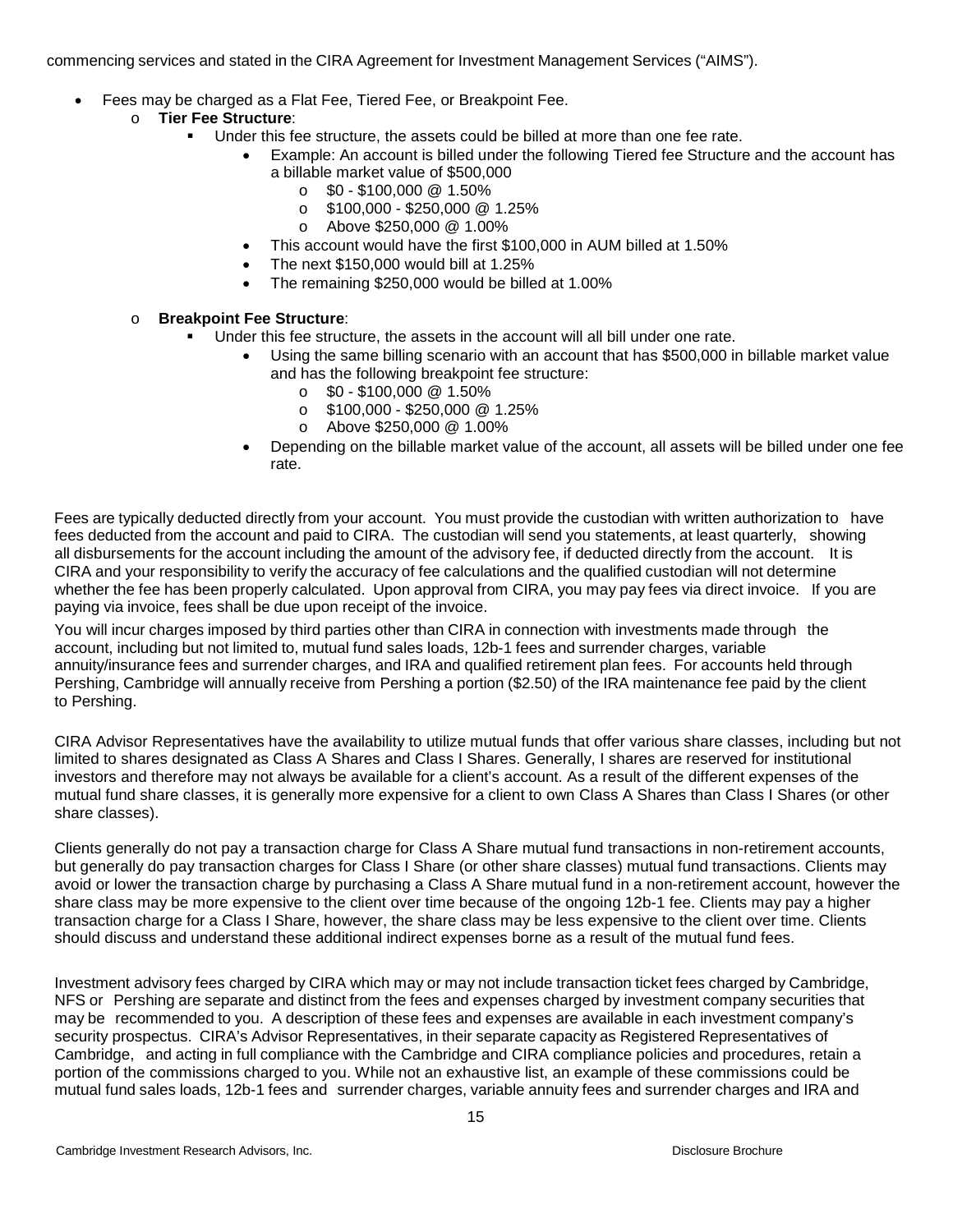commencing services and stated in the CIRA Agreement for Investment Management Services ("AIMS").

- Fees may be charged as a Flat Fee, Tiered Fee, or Breakpoint Fee.
	- o **Tier Fee Structure**:
		- Under this fee structure, the assets could be billed at more than one fee rate.
			- Example: An account is billed under the following Tiered fee Structure and the account has a billable market value of \$500,000
				- $\circ$  \$0 \$100,000 @ 1.50%
				- $\circ$  \$100,000 \$250,000 @ 1.25%
				- o Above \$250,000 @ 1.00%
			- This account would have the first \$100,000 in AUM billed at 1.50%
			- The next \$150,000 would bill at 1.25%
			- The remaining \$250,000 would be billed at 1.00%

## o **Breakpoint Fee Structure**:

- Under this fee structure, the assets in the account will all bill under one rate.
	- Using the same billing scenario with an account that has \$500,000 in billable market value and has the following breakpoint fee structure:
		- $\circ$  \$0 \$100,000 @ 1.50%
		- $\circ$  \$100,000 \$250,000 @ 1.25%<br>  $\circ$  Above \$250,000 @ 1.00%
		- o Above \$250,000 @ 1.00%
	- Depending on the billable market value of the account, all assets will be billed under one fee rate.

Fees are typically deducted directly from your account. You must provide the custodian with written authorization to have fees deducted from the account and paid to CIRA. The custodian will send you statements, at least quarterly, showing all disbursements for the account including the amount of the advisory fee, if deducted directly from the account. It is CIRA and your responsibility to verify the accuracy of fee calculations and the qualified custodian will not determine whether the fee has been properly calculated. Upon approval from CIRA, you may pay fees via direct invoice. If you are paying via invoice, fees shall be due upon receipt of the invoice.

You will incur charges imposed by third parties other than CIRA in connection with investments made through the account, including but not limited to, mutual fund sales loads, 12b-1 fees and surrender charges, variable annuity/insurance fees and surrender charges, and IRA and qualified retirement plan fees. For accounts held through Pershing, Cambridge will annually receive from Pershing a portion (\$2.50) of the IRA maintenance fee paid by the client to Pershing.

CIRA Advisor Representatives have the availability to utilize mutual funds that offer various share classes, including but not limited to shares designated as Class A Shares and Class I Shares. Generally, I shares are reserved for institutional investors and therefore may not always be available for a client's account. As a result of the different expenses of the mutual fund share classes, it is generally more expensive for a client to own Class A Shares than Class I Shares (or other share classes).

Clients generally do not pay a transaction charge for Class A Share mutual fund transactions in non-retirement accounts, but generally do pay transaction charges for Class I Share (or other share classes) mutual fund transactions. Clients may avoid or lower the transaction charge by purchasing a Class A Share mutual fund in a non-retirement account, however the share class may be more expensive to the client over time because of the ongoing 12b-1 fee. Clients may pay a higher transaction charge for a Class I Share, however, the share class may be less expensive to the client over time. Clients should discuss and understand these additional indirect expenses borne as a result of the mutual fund fees.

Investment advisory fees charged by CIRA which may or may not include transaction ticket fees charged by Cambridge, NFS or Pershing are separate and distinct from the fees and expenses charged by investment company securities that may be recommended to you. A description of these fees and expenses are available in each investment company's security prospectus. CIRA's Advisor Representatives, in their separate capacity as Registered Representatives of Cambridge, and acting in full compliance with the Cambridge and CIRA compliance policies and procedures, retain a portion of the commissions charged to you. While not an exhaustive list, an example of these commissions could be mutual fund sales loads, 12b-1 fees and surrender charges, variable annuity fees and surrender charges and IRA and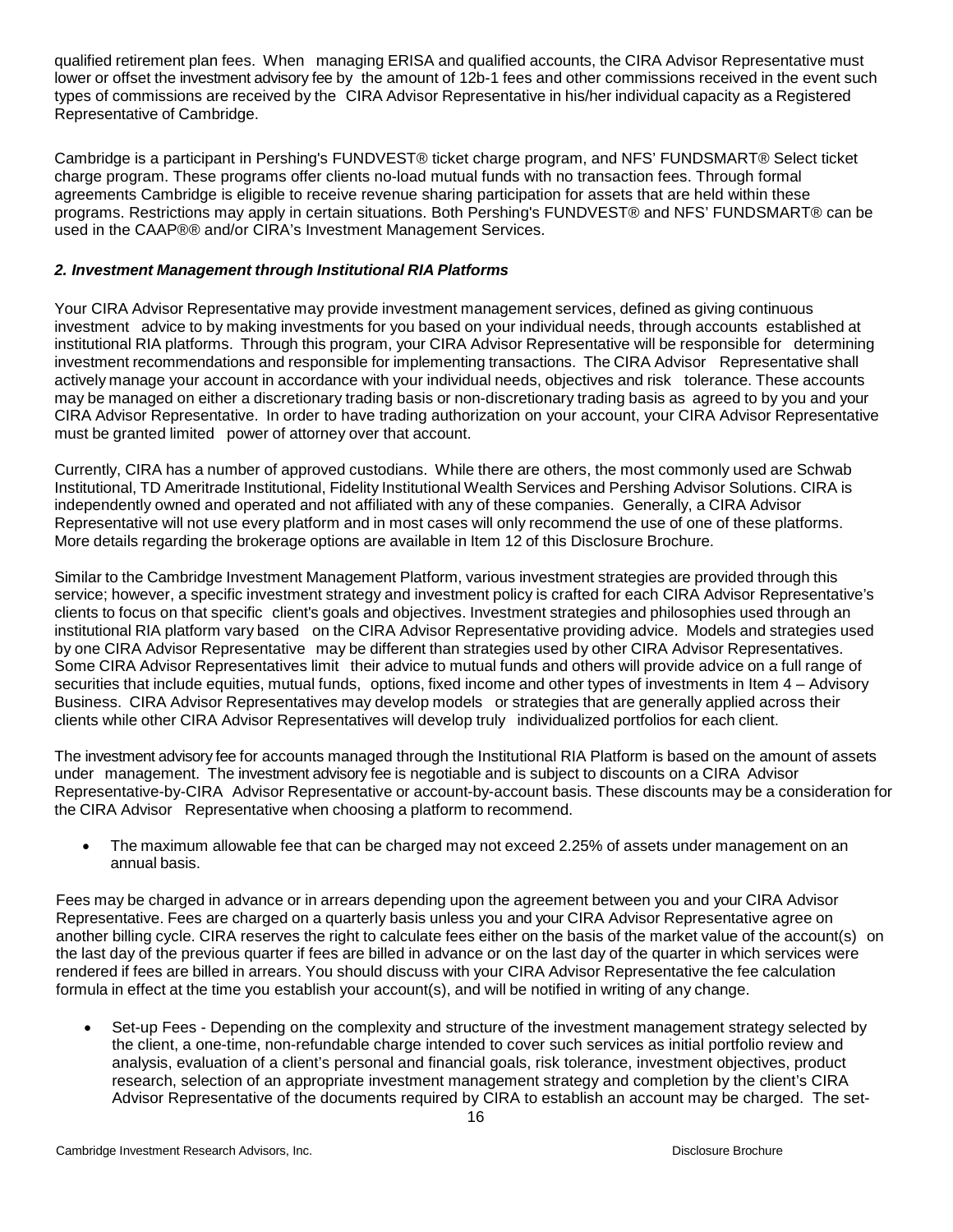qualified retirement plan fees. When managing ERISA and qualified accounts, the CIRA Advisor Representative must lower or offset the investment advisory fee by the amount of 12b-1 fees and other commissions received in the event such types of commissions are received by the CIRA Advisor Representative in his/her individual capacity as a Registered Representative of Cambridge.

Cambridge is a participant in Pershing's FUNDVEST® ticket charge program, and NFS' FUNDSMART® Select ticket charge program. These programs offer clients no-load mutual funds with no transaction fees. Through formal agreements Cambridge is eligible to receive revenue sharing participation for assets that are held within these programs. Restrictions may apply in certain situations. Both Pershing's FUNDVEST® and NFS' FUNDSMART® can be used in the CAAP®® and/or CIRA's Investment Management Services.

# *2. Investment Management through Institutional RIA Platforms*

Your CIRA Advisor Representative may provide investment management services, defined as giving continuous investment advice to by making investments for you based on your individual needs, through accounts established at institutional RIA platforms. Through this program, your CIRA Advisor Representative will be responsible for determining investment recommendations and responsible for implementing transactions. The CIRA Advisor Representative shall actively manage your account in accordance with your individual needs, objectives and risk tolerance. These accounts may be managed on either a discretionary trading basis or non-discretionary trading basis as agreed to by you and your CIRA Advisor Representative. In order to have trading authorization on your account, your CIRA Advisor Representative must be granted limited power of attorney over that account.

Currently, CIRA has a number of approved custodians. While there are others, the most commonly used are Schwab Institutional, TD Ameritrade Institutional, Fidelity Institutional Wealth Services and Pershing Advisor Solutions. CIRA is independently owned and operated and not affiliated with any of these companies. Generally, a CIRA Advisor Representative will not use every platform and in most cases will only recommend the use of one of these platforms. More details regarding the brokerage options are available in Item 12 of this Disclosure Brochure.

Similar to the Cambridge Investment Management Platform, various investment strategies are provided through this service; however, a specific investment strategy and investment policy is crafted for each CIRA Advisor Representative's clients to focus on that specific client's goals and objectives. Investment strategies and philosophies used through an institutional RIA platform vary based on the CIRA Advisor Representative providing advice. Models and strategies used by one CIRA Advisor Representative may be different than strategies used by other CIRA Advisor Representatives. Some CIRA Advisor Representatives limit their advice to mutual funds and others will provide advice on a full range of securities that include equities, mutual funds, options, fixed income and other types of investments in Item 4 – Advisory Business. CIRA Advisor Representatives may develop models or strategies that are generally applied across their clients while other CIRA Advisor Representatives will develop truly individualized portfolios for each client.

The investment advisory fee for accounts managed through the Institutional RIA Platform is based on the amount of assets under management. The investment advisory fee is negotiable and is subject to discounts on a CIRA Advisor Representative-by-CIRA Advisor Representative or account-by-account basis. These discounts may be a consideration for the CIRA Advisor Representative when choosing a platform to recommend.

• The maximum allowable fee that can be charged may not exceed 2.25% of assets under management on an annual basis.

Fees may be charged in advance or in arrears depending upon the agreement between you and your CIRA Advisor Representative. Fees are charged on a quarterly basis unless you and your CIRA Advisor Representative agree on another billing cycle. CIRA reserves the right to calculate fees either on the basis of the market value of the account(s) on the last day of the previous quarter if fees are billed in advance or on the last day of the quarter in which services were rendered if fees are billed in arrears. You should discuss with your CIRA Advisor Representative the fee calculation formula in effect at the time you establish your account(s), and will be notified in writing of any change.

• Set-up Fees - Depending on the complexity and structure of the investment management strategy selected by the client, a one-time, non-refundable charge intended to cover such services as initial portfolio review and analysis, evaluation of a client's personal and financial goals, risk tolerance, investment objectives, product research, selection of an appropriate investment management strategy and completion by the client's CIRA Advisor Representative of the documents required by CIRA to establish an account may be charged. The set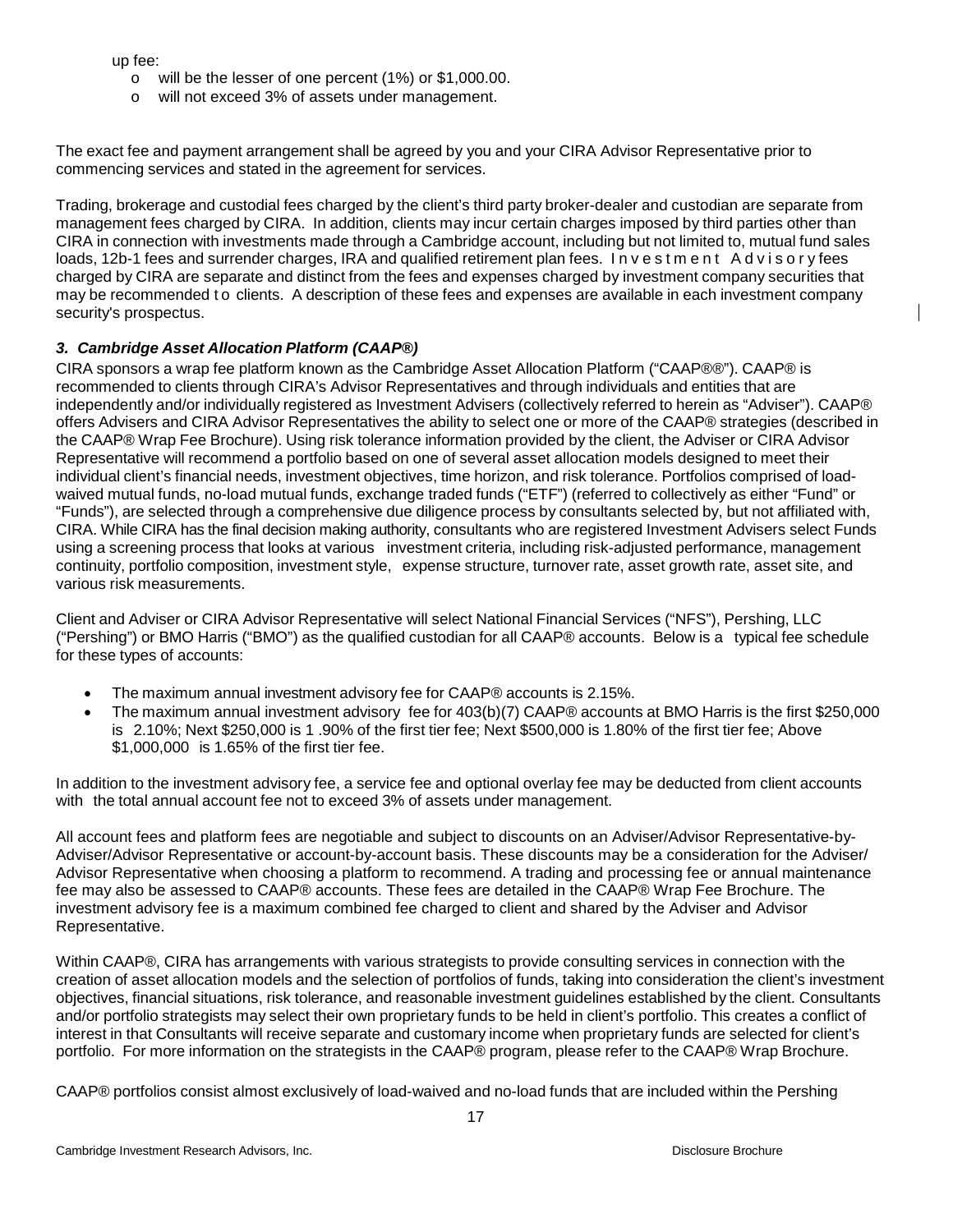up fee:

- o will be the lesser of one percent (1%) or \$1,000.00.
- o will not exceed 3% of assets under management.

The exact fee and payment arrangement shall be agreed by you and your CIRA Advisor Representative prior to commencing services and stated in the agreement for services.

Trading, brokerage and custodial fees charged by the client's third party broker-dealer and custodian are separate from management fees charged by CIRA. In addition, clients may incur certain charges imposed by third parties other than CIRA in connection with investments made through a Cambridge account, including but not limited to, mutual fund sales loads, 12b-1 fees and surrender charges, IRA and qualified retirement plan fees. Investment Advisory fees charged by CIRA are separate and distinct from the fees and expenses charged by investment company securities that may be recommended t o clients. A description of these fees and expenses are available in each investment company security's prospectus.

## *3. Cambridge Asset Allocation Platform (CAAP®)*

CIRA sponsors a wrap fee platform known as the Cambridge Asset Allocation Platform ("CAAP®®"). CAAP® is recommended to clients through CIRA's Advisor Representatives and through individuals and entities that are independently and/or individually registered as Investment Advisers (collectively referred to herein as "Adviser"). CAAP® offers Advisers and CIRA Advisor Representatives the ability to select one or more of the CAAP® strategies (described in the CAAP® Wrap Fee Brochure). Using risk tolerance information provided by the client, the Adviser or CIRA Advisor Representative will recommend a portfolio based on one of several asset allocation models designed to meet their individual client's financial needs, investment objectives, time horizon, and risk tolerance. Portfolios comprised of loadwaived mutual funds, no-load mutual funds, exchange traded funds ("ETF") (referred to collectively as either "Fund" or "Funds"), are selected through a comprehensive due diligence process by consultants selected by, but not affiliated with, CIRA. While CIRA has the final decision making authority, consultants who are registered Investment Advisers select Funds using a screening process that looks at various investment criteria, including risk-adjusted performance, management continuity, portfolio composition, investment style, expense structure, turnover rate, asset growth rate, asset site, and various risk measurements.

Client and Adviser or CIRA Advisor Representative will select National Financial Services ("NFS"), Pershing, LLC ("Pershing") or BMO Harris ("BMO") as the qualified custodian for all CAAP® accounts. Below is a typical fee schedule for these types of accounts:

- The maximum annual investment advisory fee for CAAP® accounts is 2.15%.
- The maximum annual investment advisory fee for 403(b)(7) CAAP® accounts at BMO Harris is the first \$250,000 is 2.10%; Next \$250,000 is 1 .90% of the first tier fee; Next \$500,000 is 1.80% of the first tier fee; Above \$1,000,000 is 1.65% of the first tier fee.

In addition to the investment advisory fee, a service fee and optional overlay fee may be deducted from client accounts with the total annual account fee not to exceed 3% of assets under management.

All account fees and platform fees are negotiable and subject to discounts on an Adviser/Advisor Representative-by-Adviser/Advisor Representative or account-by-account basis. These discounts may be a consideration for the Adviser/ Advisor Representative when choosing a platform to recommend. A trading and processing fee or annual maintenance fee may also be assessed to CAAP® accounts. These fees are detailed in the CAAP® Wrap Fee Brochure. The investment advisory fee is a maximum combined fee charged to client and shared by the Adviser and Advisor Representative.

Within CAAP®, CIRA has arrangements with various strategists to provide consulting services in connection with the creation of asset allocation models and the selection of portfolios of funds, taking into consideration the client's investment objectives, financial situations, risk tolerance, and reasonable investment guidelines established by the client. Consultants and/or portfolio strategists may select their own proprietary funds to be held in client's portfolio. This creates a conflict of interest in that Consultants will receive separate and customary income when proprietary funds are selected for client's portfolio. For more information on the strategists in the CAAP® program, please refer to the CAAP® Wrap Brochure.

CAAP® portfolios consist almost exclusively of load-waived and no-load funds that are included within the Pershing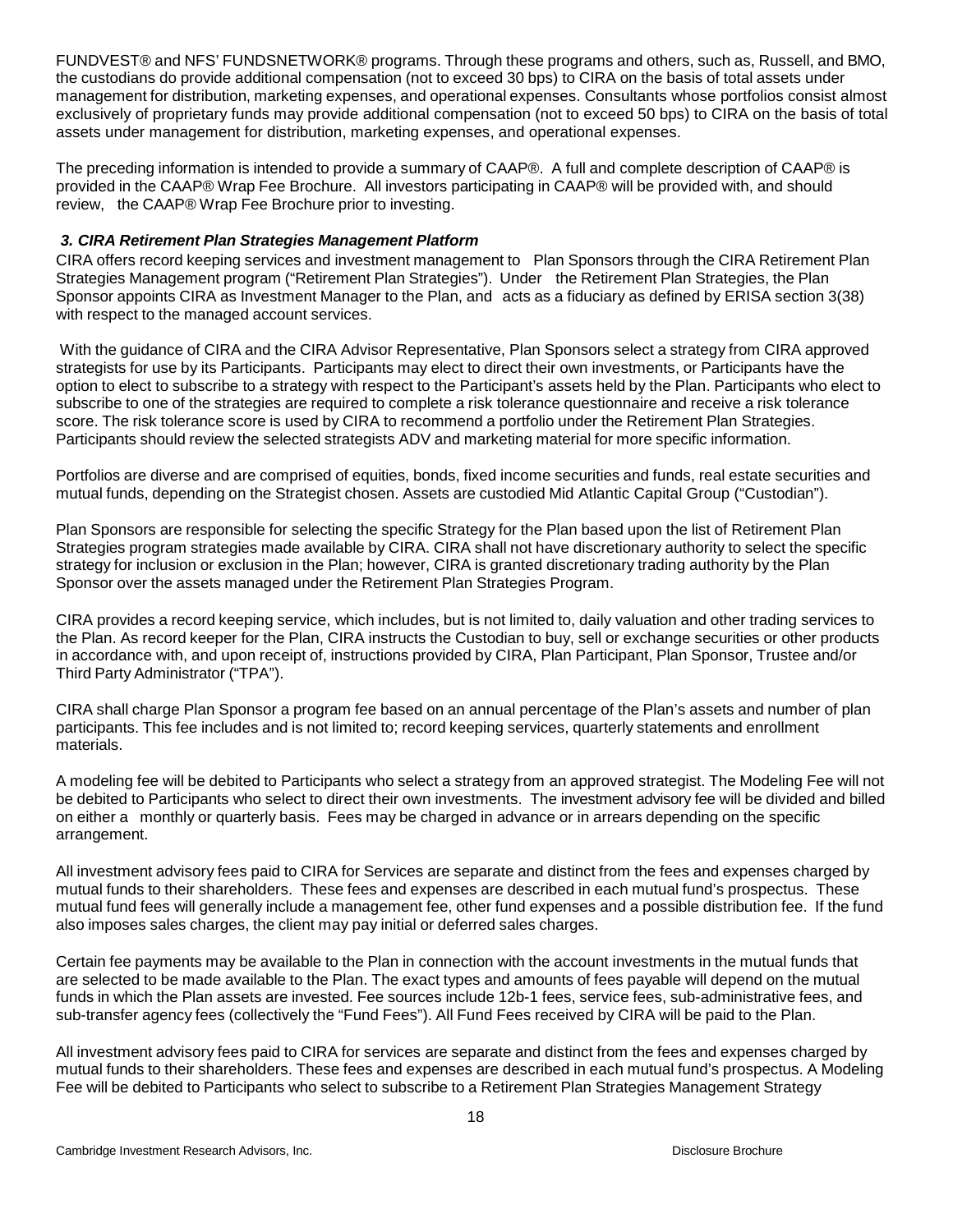FUNDVEST® and NFS' FUNDSNETWORK® programs. Through these programs and others, such as, Russell, and BMO, the custodians do provide additional compensation (not to exceed 30 bps) to CIRA on the basis of total assets under management for distribution, marketing expenses, and operational expenses. Consultants whose portfolios consist almost exclusively of proprietary funds may provide additional compensation (not to exceed 50 bps) to CIRA on the basis of total assets under management for distribution, marketing expenses, and operational expenses.

The preceding information is intended to provide a summary of CAAP®. A full and complete description of CAAP® is provided in the CAAP® Wrap Fee Brochure. All investors participating in CAAP® will be provided with, and should review, the CAAP® Wrap Fee Brochure prior to investing.

## *3. CIRA Retirement Plan Strategies Management Platform*

CIRA offers record keeping services and investment management to Plan Sponsors through the CIRA Retirement Plan Strategies Management program ("Retirement Plan Strategies"). Under the Retirement Plan Strategies, the Plan Sponsor appoints CIRA as Investment Manager to the Plan, and acts as a fiduciary as defined by ERISA section 3(38) with respect to the managed account services.

With the guidance of CIRA and the CIRA Advisor Representative, Plan Sponsors select a strategy from CIRA approved strategists for use by its Participants. Participants may elect to direct their own investments, or Participants have the option to elect to subscribe to a strategy with respect to the Participant's assets held by the Plan. Participants who elect to subscribe to one of the strategies are required to complete a risk tolerance questionnaire and receive a risk tolerance score. The risk tolerance score is used by CIRA to recommend a portfolio under the Retirement Plan Strategies. Participants should review the selected strategists ADV and marketing material for more specific information.

Portfolios are diverse and are comprised of equities, bonds, fixed income securities and funds, real estate securities and mutual funds, depending on the Strategist chosen. Assets are custodied Mid Atlantic Capital Group ("Custodian").

Plan Sponsors are responsible for selecting the specific Strategy for the Plan based upon the list of Retirement Plan Strategies program strategies made available by CIRA. CIRA shall not have discretionary authority to select the specific strategy for inclusion or exclusion in the Plan; however, CIRA is granted discretionary trading authority by the Plan Sponsor over the assets managed under the Retirement Plan Strategies Program.

CIRA provides a record keeping service, which includes, but is not limited to, daily valuation and other trading services to the Plan. As record keeper for the Plan, CIRA instructs the Custodian to buy, sell or exchange securities or other products in accordance with, and upon receipt of, instructions provided by CIRA, Plan Participant, Plan Sponsor, Trustee and/or Third Party Administrator ("TPA").

CIRA shall charge Plan Sponsor a program fee based on an annual percentage of the Plan's assets and number of plan participants. This fee includes and is not limited to; record keeping services, quarterly statements and enrollment materials.

A modeling fee will be debited to Participants who select a strategy from an approved strategist. The Modeling Fee will not be debited to Participants who select to direct their own investments. The investment advisory fee will be divided and billed on either a monthly or quarterly basis. Fees may be charged in advance or in arrears depending on the specific arrangement.

All investment advisory fees paid to CIRA for Services are separate and distinct from the fees and expenses charged by mutual funds to their shareholders. These fees and expenses are described in each mutual fund's prospectus. These mutual fund fees will generally include a management fee, other fund expenses and a possible distribution fee. If the fund also imposes sales charges, the client may pay initial or deferred sales charges.

Certain fee payments may be available to the Plan in connection with the account investments in the mutual funds that are selected to be made available to the Plan. The exact types and amounts of fees payable will depend on the mutual funds in which the Plan assets are invested. Fee sources include 12b-1 fees, service fees, sub-administrative fees, and sub-transfer agency fees (collectively the "Fund Fees"). All Fund Fees received by CIRA will be paid to the Plan.

All investment advisory fees paid to CIRA for services are separate and distinct from the fees and expenses charged by mutual funds to their shareholders. These fees and expenses are described in each mutual fund's prospectus. A Modeling Fee will be debited to Participants who select to subscribe to a Retirement Plan Strategies Management Strategy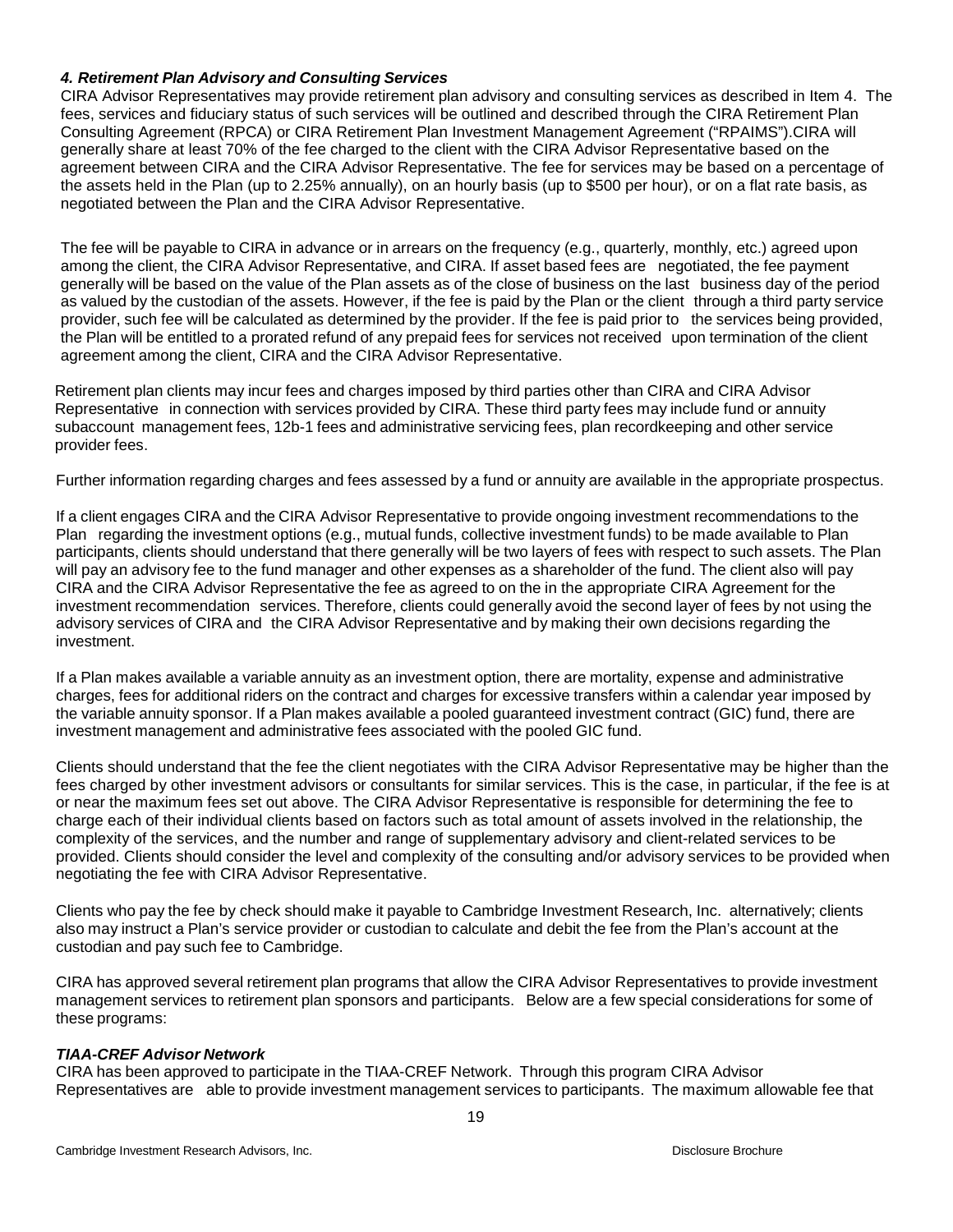#### *4. Retirement Plan Advisory and Consulting Services*

CIRA Advisor Representatives may provide retirement plan advisory and consulting services as described in Item 4. The fees, services and fiduciary status of such services will be outlined and described through the CIRA Retirement Plan Consulting Agreement (RPCA) or CIRA Retirement Plan Investment Management Agreement ("RPAIMS").CIRA will generally share at least 70% of the fee charged to the client with the CIRA Advisor Representative based on the agreement between CIRA and the CIRA Advisor Representative. The fee for services may be based on a percentage of the assets held in the Plan (up to 2.25% annually), on an hourly basis (up to \$500 per hour), or on a flat rate basis, as negotiated between the Plan and the CIRA Advisor Representative.

The fee will be payable to CIRA in advance or in arrears on the frequency (e.g., quarterly, monthly, etc.) agreed upon among the client, the CIRA Advisor Representative, and CIRA. If asset based fees are negotiated, the fee payment generally will be based on the value of the Plan assets as of the close of business on the last business day of the period as valued by the custodian of the assets. However, if the fee is paid by the Plan or the client through a third party service provider, such fee will be calculated as determined by the provider. If the fee is paid prior to the services being provided, the Plan will be entitled to a prorated refund of any prepaid fees for services not received upon termination of the client agreement among the client, CIRA and the CIRA Advisor Representative.

Retirement plan clients may incur fees and charges imposed by third parties other than CIRA and CIRA Advisor Representative in connection with services provided by CIRA. These third party fees may include fund or annuity subaccount management fees, 12b-1 fees and administrative servicing fees, plan recordkeeping and other service provider fees.

Further information regarding charges and fees assessed by a fund or annuity are available in the appropriate prospectus.

If a client engages CIRA and the CIRA Advisor Representative to provide ongoing investment recommendations to the Plan regarding the investment options (e.g., mutual funds, collective investment funds) to be made available to Plan participants, clients should understand that there generally will be two layers of fees with respect to such assets. The Plan will pay an advisory fee to the fund manager and other expenses as a shareholder of the fund. The client also will pay CIRA and the CIRA Advisor Representative the fee as agreed to on the in the appropriate CIRA Agreement for the investment recommendation services. Therefore, clients could generally avoid the second layer of fees by not using the advisory services of CIRA and the CIRA Advisor Representative and by making their own decisions regarding the investment.

If a Plan makes available a variable annuity as an investment option, there are mortality, expense and administrative charges, fees for additional riders on the contract and charges for excessive transfers within a calendar year imposed by the variable annuity sponsor. If a Plan makes available a pooled guaranteed investment contract (GIC) fund, there are investment management and administrative fees associated with the pooled GIC fund.

Clients should understand that the fee the client negotiates with the CIRA Advisor Representative may be higher than the fees charged by other investment advisors or consultants for similar services. This is the case, in particular, if the fee is at or near the maximum fees set out above. The CIRA Advisor Representative is responsible for determining the fee to charge each of their individual clients based on factors such as total amount of assets involved in the relationship, the complexity of the services, and the number and range of supplementary advisory and client-related services to be provided. Clients should consider the level and complexity of the consulting and/or advisory services to be provided when negotiating the fee with CIRA Advisor Representative.

Clients who pay the fee by check should make it payable to Cambridge Investment Research, Inc. alternatively; clients also may instruct a Plan's service provider or custodian to calculate and debit the fee from the Plan's account at the custodian and pay such fee to Cambridge.

CIRA has approved several retirement plan programs that allow the CIRA Advisor Representatives to provide investment management services to retirement plan sponsors and participants. Below are a few special considerations for some of these programs:

# *TIAA-CREF Advisor Network*

CIRA has been approved to participate in the TIAA-CREF Network. Through this program CIRA Advisor Representatives are able to provide investment management services to participants. The maximum allowable fee that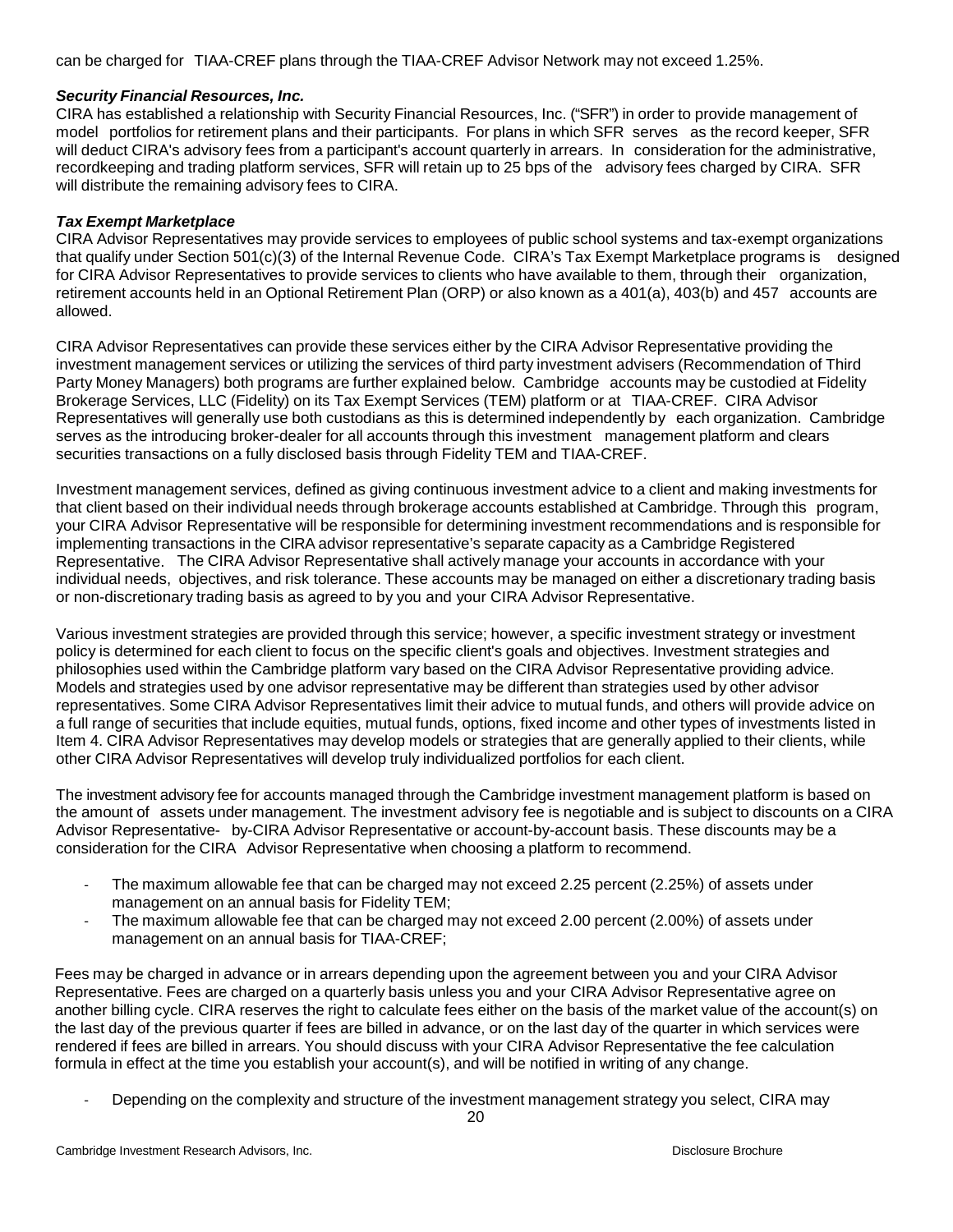can be charged for TIAA-CREF plans through the TIAA-CREF Advisor Network may not exceed 1.25%.

## *Security Financial Resources, Inc.*

CIRA has established a relationship with Security Financial Resources, Inc. ("SFR") in order to provide management of model portfolios for retirement plans and their participants. For plans in which SFR serves as the record keeper, SFR will deduct CIRA's advisory fees from a participant's account quarterly in arrears. In consideration for the administrative, recordkeeping and trading platform services, SFR will retain up to 25 bps of the advisory fees charged by CIRA. SFR will distribute the remaining advisory fees to CIRA.

## *Tax Exempt Marketplace*

CIRA Advisor Representatives may provide services to employees of public school systems and tax-exempt organizations that qualify under Section 501(c)(3) of the Internal Revenue Code. CIRA's Tax Exempt Marketplace programs is designed for CIRA Advisor Representatives to provide services to clients who have available to them, through their organization, retirement accounts held in an Optional Retirement Plan (ORP) or also known as a 401(a), 403(b) and 457 accounts are allowed.

CIRA Advisor Representatives can provide these services either by the CIRA Advisor Representative providing the investment management services or utilizing the services of third party investment advisers (Recommendation of Third Party Money Managers) both programs are further explained below. Cambridge accounts may be custodied at Fidelity Brokerage Services, LLC (Fidelity) on its Tax Exempt Services (TEM) platform or at TIAA-CREF. CIRA Advisor Representatives will generally use both custodians as this is determined independently by each organization. Cambridge serves as the introducing broker-dealer for all accounts through this investment management platform and clears securities transactions on a fully disclosed basis through Fidelity TEM and TIAA-CREF.

Investment management services, defined as giving continuous investment advice to a client and making investments for that client based on their individual needs through brokerage accounts established at Cambridge. Through this program, your CIRA Advisor Representative will be responsible for determining investment recommendations and is responsible for implementing transactions in the CIRA advisor representative's separate capacity as a Cambridge Registered Representative. The CIRA Advisor Representative shall actively manage your accounts in accordance with your individual needs, objectives, and risk tolerance. These accounts may be managed on either a discretionary trading basis or non-discretionary trading basis as agreed to by you and your CIRA Advisor Representative.

Various investment strategies are provided through this service; however, a specific investment strategy or investment policy is determined for each client to focus on the specific client's goals and objectives. Investment strategies and philosophies used within the Cambridge platform vary based on the CIRA Advisor Representative providing advice. Models and strategies used by one advisor representative may be different than strategies used by other advisor representatives. Some CIRA Advisor Representatives limit their advice to mutual funds, and others will provide advice on a full range of securities that include equities, mutual funds, options, fixed income and other types of investments listed in Item 4. CIRA Advisor Representatives may develop models or strategies that are generally applied to their clients, while other CIRA Advisor Representatives will develop truly individualized portfolios for each client.

The investment advisory fee for accounts managed through the Cambridge investment management platform is based on the amount of assets under management. The investment advisory fee is negotiable and is subject to discounts on a CIRA Advisor Representative- by-CIRA Advisor Representative or account-by-account basis. These discounts may be a consideration for the CIRA Advisor Representative when choosing a platform to recommend.

- The maximum allowable fee that can be charged may not exceed 2.25 percent (2.25%) of assets under management on an annual basis for Fidelity TEM;
- The maximum allowable fee that can be charged may not exceed 2.00 percent (2.00%) of assets under management on an annual basis for TIAA-CREF;

Fees may be charged in advance or in arrears depending upon the agreement between you and your CIRA Advisor Representative. Fees are charged on a quarterly basis unless you and your CIRA Advisor Representative agree on another billing cycle. CIRA reserves the right to calculate fees either on the basis of the market value of the account(s) on the last day of the previous quarter if fees are billed in advance, or on the last day of the quarter in which services were rendered if fees are billed in arrears. You should discuss with your CIRA Advisor Representative the fee calculation formula in effect at the time you establish your account(s), and will be notified in writing of any change.

Depending on the complexity and structure of the investment management strategy you select, CIRA may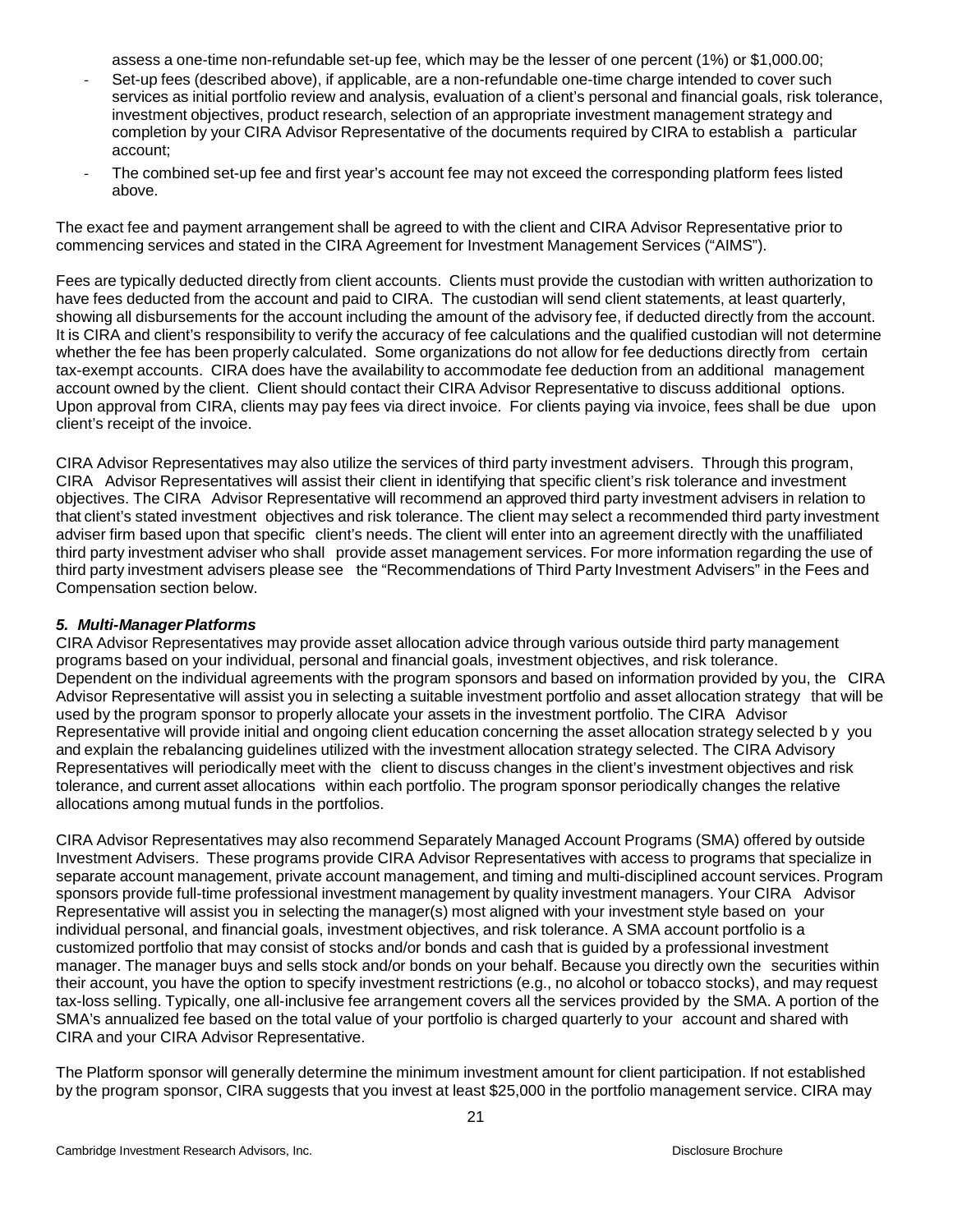assess a one-time non-refundable set-up fee, which may be the lesser of one percent (1%) or \$1,000.00;

- Set-up fees (described above), if applicable, are a non-refundable one-time charge intended to cover such services as initial portfolio review and analysis, evaluation of a client's personal and financial goals, risk tolerance, investment objectives, product research, selection of an appropriate investment management strategy and completion by your CIRA Advisor Representative of the documents required by CIRA to establish a particular account;
- The combined set-up fee and first year's account fee may not exceed the corresponding platform fees listed above.

The exact fee and payment arrangement shall be agreed to with the client and CIRA Advisor Representative prior to commencing services and stated in the CIRA Agreement for Investment Management Services ("AIMS").

Fees are typically deducted directly from client accounts. Clients must provide the custodian with written authorization to have fees deducted from the account and paid to CIRA. The custodian will send client statements, at least quarterly, showing all disbursements for the account including the amount of the advisory fee, if deducted directly from the account. It is CIRA and client's responsibility to verify the accuracy of fee calculations and the qualified custodian will not determine whether the fee has been properly calculated. Some organizations do not allow for fee deductions directly from certain tax-exempt accounts. CIRA does have the availability to accommodate fee deduction from an additional management account owned by the client. Client should contact their CIRA Advisor Representative to discuss additional options. Upon approval from CIRA, clients may pay fees via direct invoice. For clients paying via invoice, fees shall be due upon client's receipt of the invoice.

CIRA Advisor Representatives may also utilize the services of third party investment advisers. Through this program, CIRA Advisor Representatives will assist their client in identifying that specific client's risk tolerance and investment objectives. The CIRA Advisor Representative will recommend an approved third party investment advisers in relation to that client's stated investment objectives and risk tolerance. The client may select a recommended third party investment adviser firm based upon that specific client's needs. The client will enter into an agreement directly with the unaffiliated third party investment adviser who shall provide asset management services. For more information regarding the use of third party investment advisers please see the "Recommendations of Third Party Investment Advisers" in the Fees and Compensation section below.

## *5. Multi-ManagerPlatforms*

CIRA Advisor Representatives may provide asset allocation advice through various outside third party management programs based on your individual, personal and financial goals, investment objectives, and risk tolerance. Dependent on the individual agreements with the program sponsors and based on information provided by you, the CIRA Advisor Representative will assist you in selecting a suitable investment portfolio and asset allocation strategy that will be used by the program sponsor to properly allocate your assets in the investment portfolio. The CIRA Advisor Representative will provide initial and ongoing client education concerning the asset allocation strategy selected b y you and explain the rebalancing guidelines utilized with the investment allocation strategy selected. The CIRA Advisory Representatives will periodically meet with the client to discuss changes in the client's investment objectives and risk tolerance, and current asset allocations within each portfolio. The program sponsor periodically changes the relative allocations among mutual funds in the portfolios.

CIRA Advisor Representatives may also recommend Separately Managed Account Programs (SMA) offered by outside Investment Advisers. These programs provide CIRA Advisor Representatives with access to programs that specialize in separate account management, private account management, and timing and multi-disciplined account services. Program sponsors provide full-time professional investment management by quality investment managers. Your CIRA Advisor Representative will assist you in selecting the manager(s) most aligned with your investment style based on your individual personal, and financial goals, investment objectives, and risk tolerance. A SMA account portfolio is a customized portfolio that may consist of stocks and/or bonds and cash that is guided by a professional investment manager. The manager buys and sells stock and/or bonds on your behalf. Because you directly own the securities within their account, you have the option to specify investment restrictions (e.g., no alcohol or tobacco stocks), and may request tax-loss selling. Typically, one all-inclusive fee arrangement covers all the services provided by the SMA. A portion of the SMA's annualized fee based on the total value of your portfolio is charged quarterly to your account and shared with CIRA and your CIRA Advisor Representative.

The Platform sponsor will generally determine the minimum investment amount for client participation. If not established by the program sponsor, CIRA suggests that you invest at least \$25,000 in the portfolio management service. CIRA may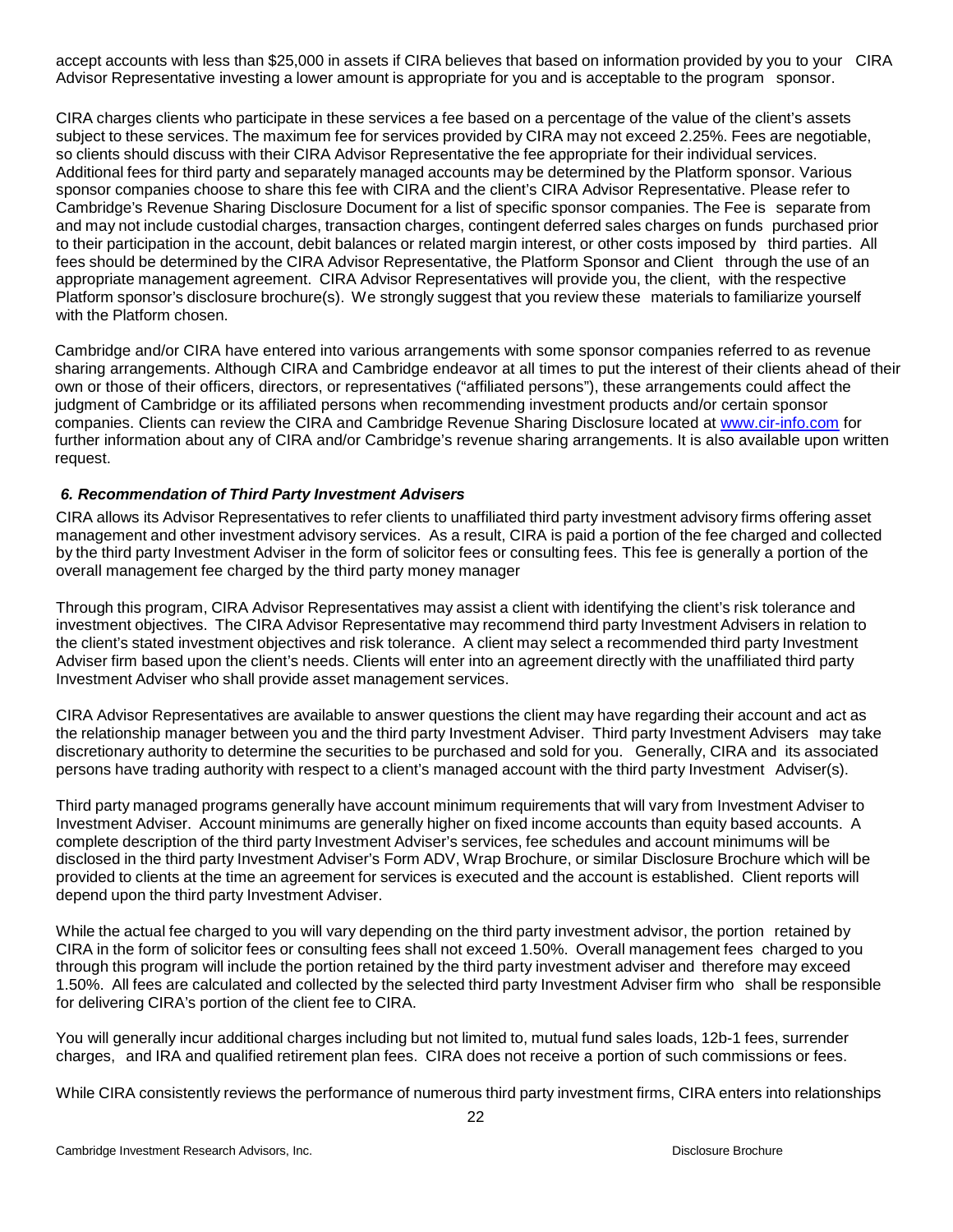accept accounts with less than \$25,000 in assets if CIRA believes that based on information provided by you to your CIRA Advisor Representative investing a lower amount is appropriate for you and is acceptable to the program sponsor.

CIRA charges clients who participate in these services a fee based on a percentage of the value of the client's assets subject to these services. The maximum fee for services provided by CIRA may not exceed 2.25%. Fees are negotiable, so clients should discuss with their CIRA Advisor Representative the fee appropriate for their individual services. Additional fees for third party and separately managed accounts may be determined by the Platform sponsor. Various sponsor companies choose to share this fee with CIRA and the client's CIRA Advisor Representative. Please refer to Cambridge's Revenue Sharing Disclosure Document for a list of specific sponsor companies. The Fee is separate from and may not include custodial charges, transaction charges, contingent deferred sales charges on funds purchased prior to their participation in the account, debit balances or related margin interest, or other costs imposed by third parties. All fees should be determined by the CIRA Advisor Representative, the Platform Sponsor and Client through the use of an appropriate management agreement. CIRA Advisor Representatives will provide you, the client, with the respective Platform sponsor's disclosure brochure(s). We strongly suggest that you review these materials to familiarize yourself with the Platform chosen.

Cambridge and/or CIRA have entered into various arrangements with some sponsor companies referred to as revenue sharing arrangements. Although CIRA and Cambridge endeavor at all times to put the interest of their clients ahead of their own or those of their officers, directors, or representatives ("affiliated persons"), these arrangements could affect the judgment of Cambridge or its affiliated persons when recommending investment products and/or certain sponsor companies. Clients can review the CIRA and Cambridge Revenue Sharing Disclosure located at [www.cir-info.com](http://www.cir-info.com/) for further information about any of CIRA and/or Cambridge's revenue sharing arrangements. It is also available upon written request.

## <span id="page-21-0"></span>*6. Recommendation of Third Party Investment Advisers*

CIRA allows its Advisor Representatives to refer clients to unaffiliated third party investment advisory firms offering asset management and other investment advisory services. As a result, CIRA is paid a portion of the fee charged and collected by the third party Investment Adviser in the form of solicitor fees or consulting fees. This fee is generally a portion of the overall management fee charged by the third party money manager

Through this program, CIRA Advisor Representatives may assist a client with identifying the client's risk tolerance and investment objectives. The CIRA Advisor Representative may recommend third party Investment Advisers in relation to the client's stated investment objectives and risk tolerance. A client may select a recommended third party Investment Adviser firm based upon the client's needs. Clients will enter into an agreement directly with the unaffiliated third party Investment Adviser who shall provide asset management services.

CIRA Advisor Representatives are available to answer questions the client may have regarding their account and act as the relationship manager between you and the third party Investment Adviser. Third party Investment Advisers may take discretionary authority to determine the securities to be purchased and sold for you. Generally, CIRA and its associated persons have trading authority with respect to a client's managed account with the third party Investment Adviser(s).

Third party managed programs generally have account minimum requirements that will vary from Investment Adviser to Investment Adviser. Account minimums are generally higher on fixed income accounts than equity based accounts. A complete description of the third party Investment Adviser's services, fee schedules and account minimums will be disclosed in the third party Investment Adviser's Form ADV, Wrap Brochure, or similar Disclosure Brochure which will be provided to clients at the time an agreement for services is executed and the account is established. Client reports will depend upon the third party Investment Adviser.

While the actual fee charged to you will vary depending on the third party investment advisor, the portion retained by CIRA in the form of solicitor fees or consulting fees shall not exceed 1.50%. Overall management fees charged to you through this program will include the portion retained by the third party investment adviser and therefore may exceed 1.50%. All fees are calculated and collected by the selected third party Investment Adviser firm who shall be responsible for delivering CIRA's portion of the client fee to CIRA.

You will generally incur additional charges including but not limited to, mutual fund sales loads, 12b-1 fees, surrender charges, and IRA and qualified retirement plan fees. CIRA does not receive a portion of such commissions or fees.

While CIRA consistently reviews the performance of numerous third party investment firms, CIRA enters into relationships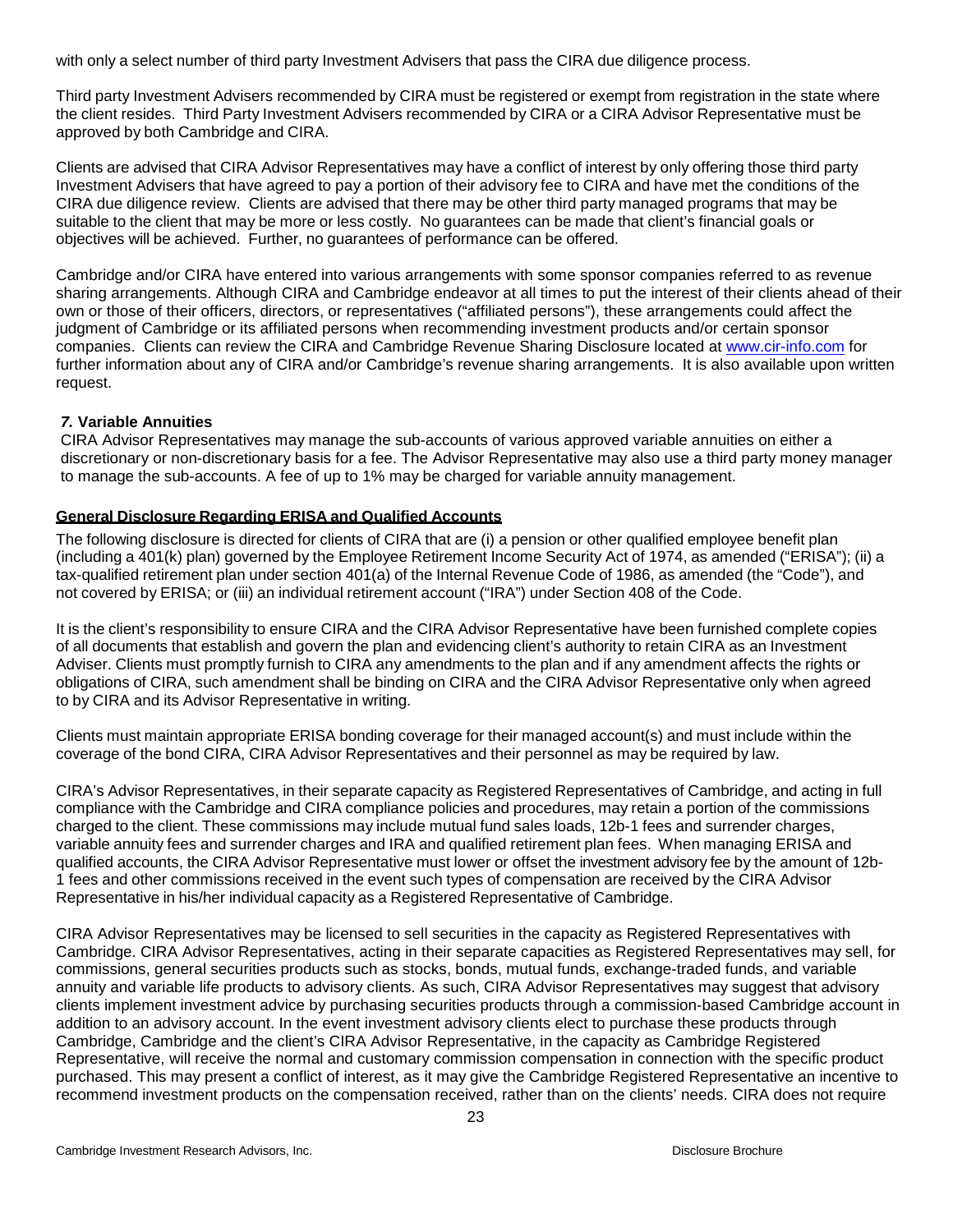with only a select number of third party Investment Advisers that pass the CIRA due diligence process.

Third party Investment Advisers recommended by CIRA must be registered or exempt from registration in the state where the client resides. Third Party Investment Advisers recommended by CIRA or a CIRA Advisor Representative must be approved by both Cambridge and CIRA.

Clients are advised that CIRA Advisor Representatives may have a conflict of interest by only offering those third party Investment Advisers that have agreed to pay a portion of their advisory fee to CIRA and have met the conditions of the CIRA due diligence review. Clients are advised that there may be other third party managed programs that may be suitable to the client that may be more or less costly. No guarantees can be made that client's financial goals or objectives will be achieved. Further, no guarantees of performance can be offered.

Cambridge and/or CIRA have entered into various arrangements with some sponsor companies referred to as revenue sharing arrangements. Although CIRA and Cambridge endeavor at all times to put the interest of their clients ahead of their own or those of their officers, directors, or representatives ("affiliated persons"), these arrangements could affect the judgment of Cambridge or its affiliated persons when recommending investment products and/or certain sponsor companies. Clients can review the CIRA and Cambridge Revenue Sharing Disclosure located at [www.cir-info.com](http://www.cir-info.com/) for further information about any of CIRA and/or Cambridge's revenue sharing arrangements. It is also available upon written request.

# *7.* **Variable Annuities**

CIRA Advisor Representatives may manage the sub-accounts of various approved variable annuities on either a discretionary or non-discretionary basis for a fee. The Advisor Representative may also use a third party money manager to manage the sub-accounts. A fee of up to 1% may be charged for variable annuity management.

## **General Disclosure Regarding ERISA and Qualified Accounts**

The following disclosure is directed for clients of CIRA that are (i) a pension or other qualified employee benefit plan (including a 401(k) plan) governed by the Employee Retirement Income Security Act of 1974, as amended ("ERISA"); (ii) a tax-qualified retirement plan under section 401(a) of the Internal Revenue Code of 1986, as amended (the "Code"), and not covered by ERISA; or (iii) an individual retirement account ("IRA") under Section 408 of the Code.

It is the client's responsibility to ensure CIRA and the CIRA Advisor Representative have been furnished complete copies of all documents that establish and govern the plan and evidencing client's authority to retain CIRA as an Investment Adviser. Clients must promptly furnish to CIRA any amendments to the plan and if any amendment affects the rights or obligations of CIRA, such amendment shall be binding on CIRA and the CIRA Advisor Representative only when agreed to by CIRA and its Advisor Representative in writing.

Clients must maintain appropriate ERISA bonding coverage for their managed account(s) and must include within the coverage of the bond CIRA, CIRA Advisor Representatives and their personnel as may be required by law.

CIRA's Advisor Representatives, in their separate capacity as Registered Representatives of Cambridge, and acting in full compliance with the Cambridge and CIRA compliance policies and procedures, may retain a portion of the commissions charged to the client. These commissions may include mutual fund sales loads, 12b-1 fees and surrender charges, variable annuity fees and surrender charges and IRA and qualified retirement plan fees. When managing ERISA and qualified accounts, the CIRA Advisor Representative must lower or offset the investment advisory fee by the amount of 12b-1 fees and other commissions received in the event such types of compensation are received by the CIRA Advisor Representative in his/her individual capacity as a Registered Representative of Cambridge.

CIRA Advisor Representatives may be licensed to sell securities in the capacity as Registered Representatives with Cambridge. CIRA Advisor Representatives, acting in their separate capacities as Registered Representatives may sell, for commissions, general securities products such as stocks, bonds, mutual funds, exchange-traded funds, and variable annuity and variable life products to advisory clients. As such, CIRA Advisor Representatives may suggest that advisory clients implement investment advice by purchasing securities products through a commission-based Cambridge account in addition to an advisory account. In the event investment advisory clients elect to purchase these products through Cambridge, Cambridge and the client's CIRA Advisor Representative, in the capacity as Cambridge Registered Representative, will receive the normal and customary commission compensation in connection with the specific product purchased. This may present a conflict of interest, as it may give the Cambridge Registered Representative an incentive to recommend investment products on the compensation received, rather than on the clients' needs. CIRA does not require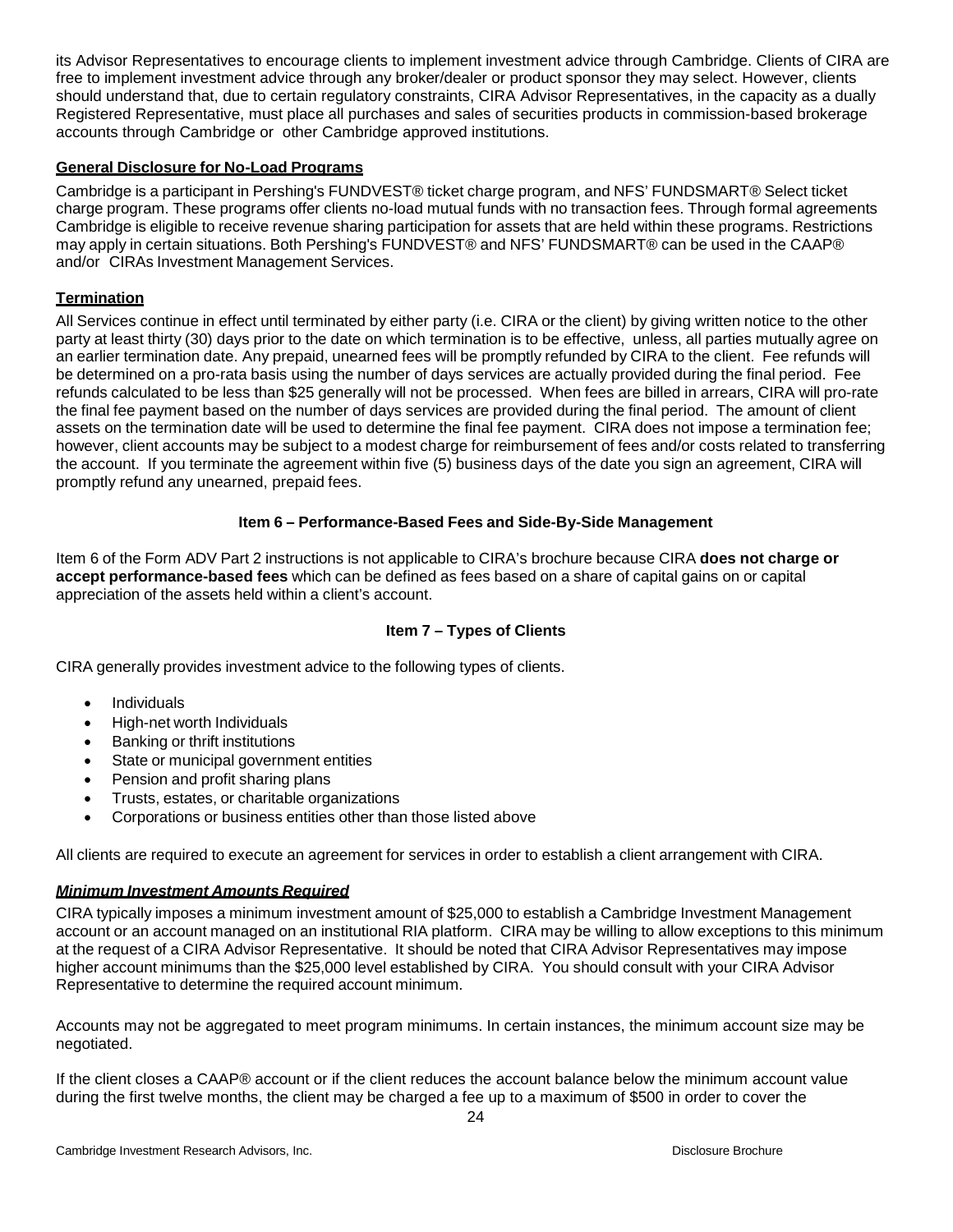its Advisor Representatives to encourage clients to implement investment advice through Cambridge. Clients of CIRA are free to implement investment advice through any broker/dealer or product sponsor they may select. However, clients should understand that, due to certain regulatory constraints, CIRA Advisor Representatives, in the capacity as a dually Registered Representative, must place all purchases and sales of securities products in commission-based brokerage accounts through Cambridge or other Cambridge approved institutions.

## **General Disclosure for No-Load Programs**

Cambridge is a participant in Pershing's FUNDVEST® ticket charge program, and NFS' FUNDSMART® Select ticket charge program. These programs offer clients no-load mutual funds with no transaction fees. Through formal agreements Cambridge is eligible to receive revenue sharing participation for assets that are held within these programs. Restrictions may apply in certain situations. Both Pershing's FUNDVEST® and NFS' FUNDSMART® can be used in the CAAP® and/or CIRAs Investment Management Services.

## **Termination**

All Services continue in effect until terminated by either party (i.e. CIRA or the client) by giving written notice to the other party at least thirty (30) days prior to the date on which termination is to be effective, unless, all parties mutually agree on an earlier termination date. Any prepaid, unearned fees will be promptly refunded by CIRA to the client. Fee refunds will be determined on a pro-rata basis using the number of days services are actually provided during the final period. Fee refunds calculated to be less than \$25 generally will not be processed. When fees are billed in arrears, CIRA will pro-rate the final fee payment based on the number of days services are provided during the final period. The amount of client assets on the termination date will be used to determine the final fee payment. CIRA does not impose a termination fee; however, client accounts may be subject to a modest charge for reimbursement of fees and/or costs related to transferring the account. If you terminate the agreement within five (5) business days of the date you sign an agreement, CIRA will promptly refund any unearned, prepaid fees.

## **Item 6 – Performance-Based Fees and Side-By-Side Management**

Item 6 of the Form ADV Part 2 instructions is not applicable to CIRA's brochure because CIRA **does not charge or accept performance-based fees** which can be defined as fees based on a share of capital gains on or capital appreciation of the assets held within a client's account.

# **Item 7 – Types of Clients**

CIRA generally provides investment advice to the following types of clients.

- Individuals
- High-net worth Individuals
- Banking or thrift institutions
- State or municipal government entities
- Pension and profit sharing plans
- Trusts, estates, or charitable organizations
- Corporations or business entities other than those listed above

All clients are required to execute an agreement for services in order to establish a client arrangement with CIRA.

#### *Minimum Investment Amounts Required*

CIRA typically imposes a minimum investment amount of \$25,000 to establish a Cambridge Investment Management account or an account managed on an institutional RIA platform. CIRA may be willing to allow exceptions to this minimum at the request of a CIRA Advisor Representative. It should be noted that CIRA Advisor Representatives may impose higher account minimums than the \$25,000 level established by CIRA. You should consult with your CIRA Advisor Representative to determine the required account minimum.

Accounts may not be aggregated to meet program minimums. In certain instances, the minimum account size may be negotiated.

If the client closes a CAAP® account or if the client reduces the account balance below the minimum account value during the first twelve months, the client may be charged a fee up to a maximum of \$500 in order to cover the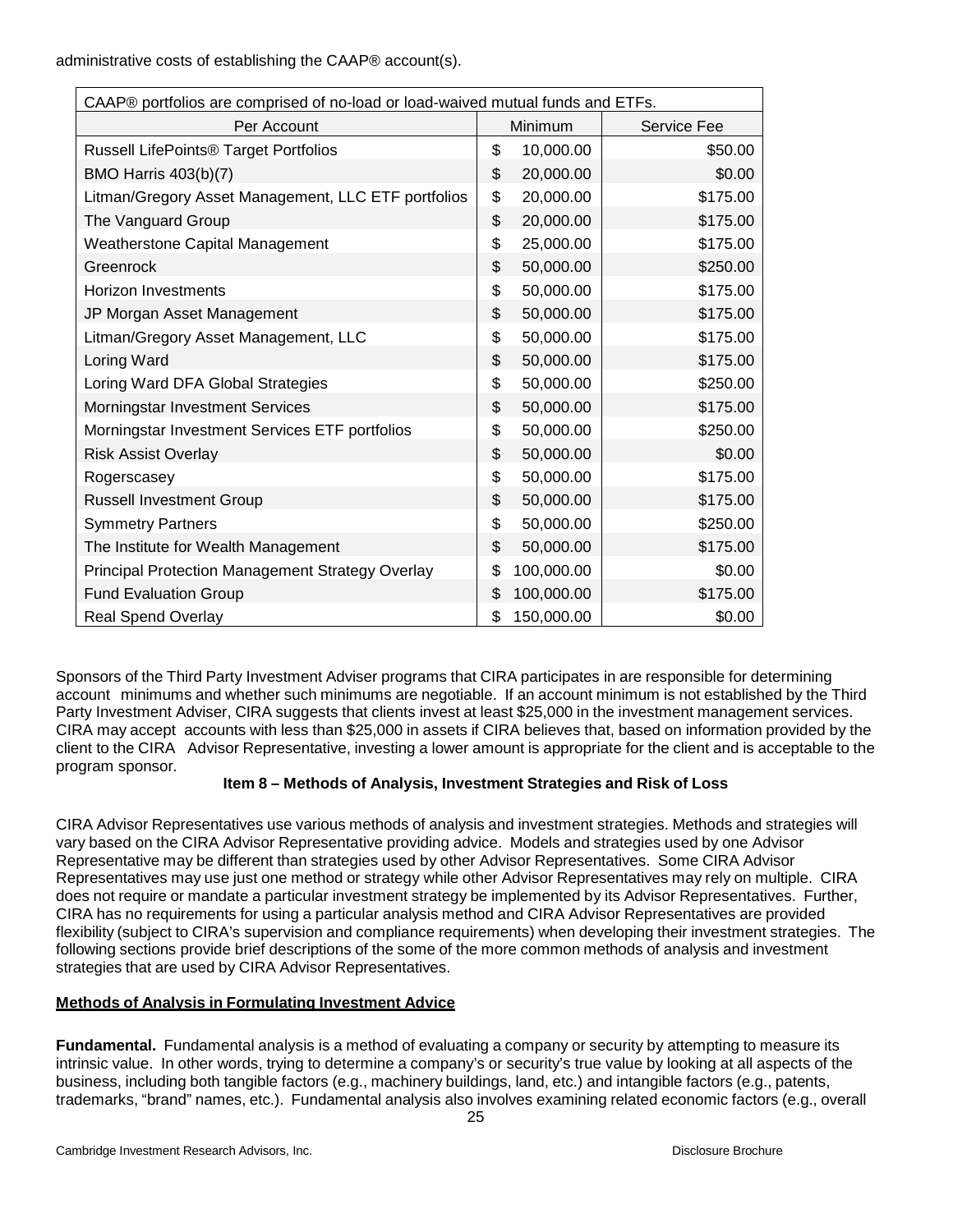administrative costs of establishing the CAAP® account(s).

| CAAP® portfolios are comprised of no-load or load-waived mutual funds and ETFs. |    |            |             |  |  |
|---------------------------------------------------------------------------------|----|------------|-------------|--|--|
| Per Account                                                                     |    | Minimum    | Service Fee |  |  |
| <b>Russell LifePoints® Target Portfolios</b>                                    |    | 10,000.00  | \$50.00     |  |  |
| <b>BMO Harris 403(b)(7)</b>                                                     |    | 20,000.00  | \$0.00      |  |  |
| Litman/Gregory Asset Management, LLC ETF portfolios                             | \$ | 20,000.00  | \$175.00    |  |  |
| The Vanguard Group                                                              | \$ | 20,000.00  | \$175.00    |  |  |
| <b>Weatherstone Capital Management</b>                                          |    | 25,000.00  | \$175.00    |  |  |
| Greenrock                                                                       |    | 50,000.00  | \$250.00    |  |  |
| <b>Horizon Investments</b>                                                      | \$ | 50,000.00  | \$175.00    |  |  |
| JP Morgan Asset Management                                                      | \$ | 50,000.00  | \$175.00    |  |  |
| Litman/Gregory Asset Management, LLC                                            | \$ | 50,000.00  | \$175.00    |  |  |
| Loring Ward                                                                     |    | 50,000.00  | \$175.00    |  |  |
| Loring Ward DFA Global Strategies                                               | \$ | 50,000.00  | \$250.00    |  |  |
| Morningstar Investment Services                                                 | \$ | 50,000.00  | \$175.00    |  |  |
| Morningstar Investment Services ETF portfolios                                  | \$ | 50,000.00  | \$250.00    |  |  |
| <b>Risk Assist Overlay</b>                                                      | \$ | 50,000.00  | \$0.00      |  |  |
| Rogerscasey                                                                     |    | 50,000.00  | \$175.00    |  |  |
| <b>Russell Investment Group</b>                                                 |    | 50,000.00  | \$175.00    |  |  |
| <b>Symmetry Partners</b>                                                        |    | 50,000.00  | \$250.00    |  |  |
| The Institute for Wealth Management                                             | \$ | 50,000.00  | \$175.00    |  |  |
| Principal Protection Management Strategy Overlay                                |    | 100,000.00 | \$0.00      |  |  |
| Fund Evaluation Group                                                           | \$ | 100,000.00 | \$175.00    |  |  |
| <b>Real Spend Overlay</b>                                                       | \$ | 150,000.00 | \$0.00      |  |  |

Sponsors of the Third Party Investment Adviser programs that CIRA participates in are responsible for determining account minimums and whether such minimums are negotiable. If an account minimum is not established by the Third Party Investment Adviser, CIRA suggests that clients invest at least \$25,000 in the investment management services. CIRA may accept accounts with less than \$25,000 in assets if CIRA believes that, based on information provided by the client to the CIRA Advisor Representative, investing a lower amount is appropriate for the client and is acceptable to the program sponsor.

# **Item 8 – Methods of Analysis, Investment Strategies and Risk of Loss**

<span id="page-24-0"></span>CIRA Advisor Representatives use various methods of analysis and investment strategies. Methods and strategies will vary based on the CIRA Advisor Representative providing advice. Models and strategies used by one Advisor Representative may be different than strategies used by other Advisor Representatives. Some CIRA Advisor Representatives may use just one method or strategy while other Advisor Representatives may rely on multiple. CIRA does not require or mandate a particular investment strategy be implemented by its Advisor Representatives. Further, CIRA has no requirements for using a particular analysis method and CIRA Advisor Representatives are provided flexibility (subject to CIRA's supervision and compliance requirements) when developing their investment strategies. The following sections provide brief descriptions of the some of the more common methods of analysis and investment strategies that are used by CIRA Advisor Representatives.

# **Methods of Analysis in Formulating Investment Advice**

**Fundamental.** Fundamental analysis is a method of evaluating a company or security by attempting to measure its intrinsic value. In other words, trying to determine a company's or security's true value by looking at all aspects of the business, including both tangible factors (e.g., machinery buildings, land, etc.) and intangible factors (e.g., patents, trademarks, "brand" names, etc.). Fundamental analysis also involves examining related economic factors (e.g., overall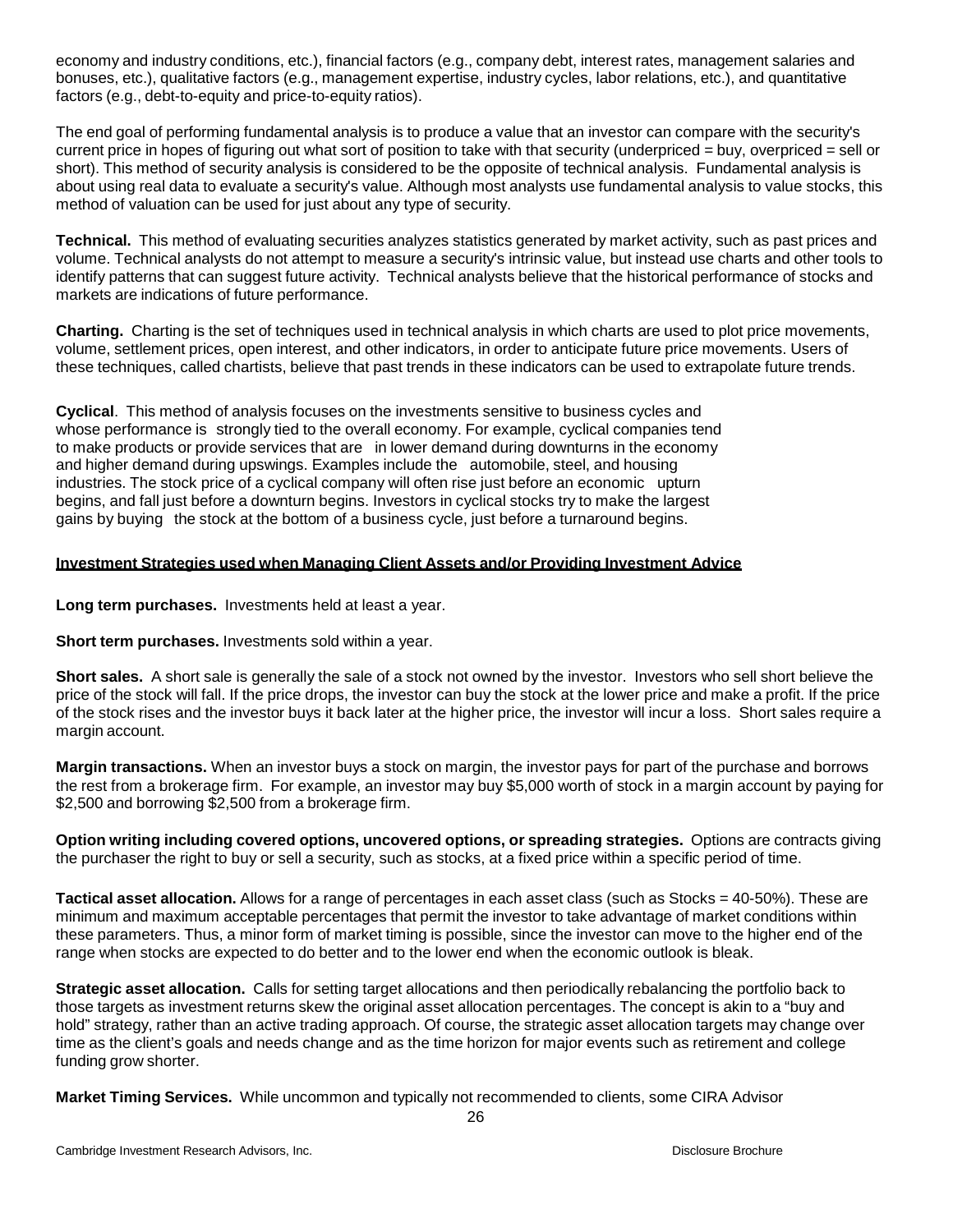economy and industry conditions, etc.), financial factors (e.g., company debt, interest rates, management salaries and bonuses, etc.), qualitative factors (e.g., management expertise, industry cycles, labor relations, etc.), and quantitative factors (e.g., debt-to-equity and price-to-equity ratios).

The end goal of performing fundamental analysis is to produce a value that an investor can compare with the security's current price in hopes of figuring out what sort of position to take with that security (underpriced = buy, overpriced = sell or short). This method of security analysis is considered to be the opposite of technical analysis. Fundamental analysis is about using real data to evaluate a security's value. Although most analysts use fundamental analysis to value stocks, this method of valuation can be used for just about any type of security.

**Technical.** This method of evaluating securities analyzes statistics generated by market activity, such as past prices and volume. Technical analysts do not attempt to measure a security's intrinsic value, but instead use charts and other tools to identify patterns that can suggest future activity. Technical analysts believe that the historical performance of stocks and markets are indications of future performance.

**Charting.** Charting is the [set](http://www.businessdictionary.com/definition/set.html) of [techniques](http://www.businessdictionary.com/definition/technique.html) used in [technical](http://www.investorwords.com/4925/technical_analysis.html) analysis in which [charts](http://www.investorwords.com/831/chart.html) are used to [plot](http://www.businessdictionary.com/definition/plot.html) [price](http://www.investorwords.com/3807/price.html) [movements,](http://www.investorwords.com/3149/movement.html) [volume,](http://www.investorwords.com/5258/volume.html) [settlement](http://www.investorwords.com/4512/settlement.html) prices, open [interest,](http://www.investorwords.com/3445/open_interest.html) and other [indicators,](http://www.investorwords.com/2435/indicator.html) in [order](http://www.businessdictionary.com/definition/order.html) to anticipate future price movements. [Users](http://www.businessdictionary.com/definition/user.html) of these techniques, called [chartists,](http://www.investorwords.com/838/chartist.html) believe that past [trends](http://www.investorwords.com/5067/trend.html) in these indicators can be used to extrapolate future trends.

**Cyclical**. This method of analysis focuses on the investments sensitive to [business](http://www.investorwords.com/625/business_cycle.html) cycles and whose [performance](http://www.investorwords.com/3665/performance.html) is strongly tied to the overall [economy.](http://www.investorwords.com/1652/economy.html) For example, [cyclical](http://www.investorwords.com/1271/cyclical.html) [companies](http://www.investorwords.com/992/company.html) tend to make [products](http://www.investorwords.com/3874/product.html) or provide [services](http://www.investorwords.com/6664/service.html) that are in lower [demand](http://www.investorwords.com/1396/demand.html) during [downturns](http://www.investorwords.com/1574/downturn.html) in the economy and higher demand during [upswings.](http://www.investorwords.com/5187/upswing.html) Examples include the automobile, [steel,](http://www.businessdictionary.com/definition/steel.html) and housing [industries.](http://www.investorwords.com/2447/industry.html) The stock [price](http://www.investorwords.com/3807/price.html) of a cyclical company will often rise just before an [economic](http://www.investorwords.com/1639/economic.html) [upturn](http://www.businessdictionary.com/definition/upturn.html) begins, and fall just before a [downturn](http://www.businessdictionary.com/definition/downturn.html) begins. [Investors](http://www.investorwords.com/2630/investor.html) in cyclical [stocks](http://www.investorwords.com/4725/stock.html) try to make the largest [gains](http://www.investorwords.com/2143/gain.html) by buying the stock at the [bottom](http://www.businessdictionary.com/definition/bottom.html) of a [business](http://www.investorwords.com/623/business.html) [cycle,](http://www.investorwords.com/1270/cycle.html) just before a [turnaround](http://www.investorwords.com/5092/turnaround.html) begins.

## <span id="page-25-0"></span>**Investment Strategies used when Managing Client Assets and/or Providing Investment Advice**

**Long term purchases.** Investments held at least a year.

**Short term purchases.** Investments sold within a year.

**Short sales.** A short sale is generally the sale of a stock not owned by the investor. Investors who sell short believe the price of the stock will fall. If the price drops, the investor can buy the stock at the lower price and make a profit. If the price of the stock rises and the investor buys it back later at the higher price, the investor will incur a loss. Short sales require a margin account.

**Margin transactions.** When an investor buys a stock on margin, the investor pays for part of the purchase and borrows the rest from a brokerage firm. For example, an investor may buy \$5,000 worth of stock in a margin account by paying for \$2,500 and borrowing \$2,500 from a brokerage firm.

**Option writing including covered options, uncovered options, or spreading strategies.** Options are contracts giving the purchaser the right to buy or sell a security, such as stocks, at a fixed price within a specific period of time.

**Tactical asset [allocation.](http://www.investopedia.com/terms/t/tacticalassetallocation.asp)** Allows for a range of percentages in each asset class (such as Stocks = 40-50%). These are minimum and maximum acceptable percentages that permit the investor to take advantage of market conditions within these parameters. Thus, a minor form of [market](http://www.investopedia.com/terms/m/markettiming.asp) timing is possible, since the investor can move to the higher end of the range when stocks are expected to do better and to the lower end when the economic outlook is bleak.

**Strategic asset [allocation.](http://www.investopedia.com/terms/s/strategicassetallocation.asp)** Calls for setting target allocations and then periodically rebalancing the portfolio back to those targets as investment returns skew the original asset allocation percentages. The concept is akin to a "buy and hold" strategy, rather than an active trading approach. Of course, the strategic asset allocation targets may change over time as the client's goals and needs change and as the time horizon for major events such as retirement and college funding grow shorter.

**Market Timing Services.** While uncommon and typically not recommended to clients, some CIRA Advisor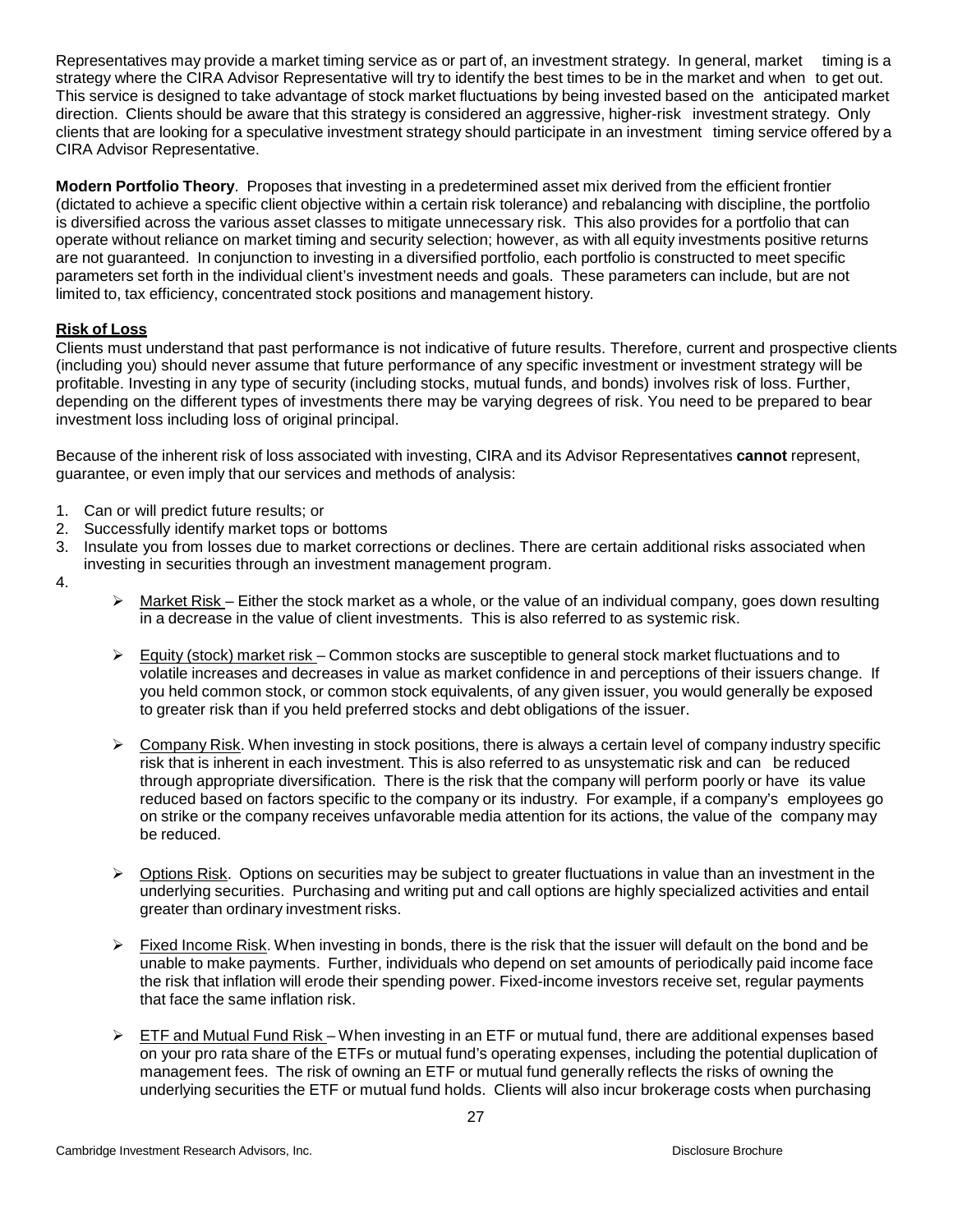Representatives may provide a market timing service as or part of, an investment strategy. In general, market timing is a strategy where the CIRA Advisor Representative will try to identify the best times to be in the market and when to get out. This service is designed to take advantage of stock market fluctuations by being invested based on the anticipated market direction. Clients should be aware that this strategy is considered an aggressive, higher-risk investment strategy. Only clients that are looking for a speculative investment strategy should participate in an investment timing service offered by a CIRA Advisor Representative.

**Modern Portfolio Theory**. Proposes that investing in a predetermined asset mix derived from the efficient frontier (dictated to achieve a specific client objective within a certain risk tolerance) and rebalancing with discipline, the portfolio is diversified across the various asset classes to mitigate unnecessary risk. This also provides for a portfolio that can operate without reliance on market timing and security selection; however, as with all equity investments positive returns are not guaranteed. In conjunction to investing in a diversified portfolio, each portfolio is constructed to meet specific parameters set forth in the individual client's investment needs and goals. These parameters can include, but are not limited to, tax efficiency, concentrated stock positions and management history.

# <span id="page-26-0"></span>**Risk of Loss**

Clients must understand that past performance is not indicative of future results. Therefore, current and prospective clients (including you) should never assume that future performance of any specific investment or investment strategy will be profitable. Investing in any type of security (including stocks, mutual funds, and bonds) involves risk of loss. Further, depending on the different types of investments there may be varying degrees of risk. You need to be prepared to bear investment loss including loss of original principal.

Because of the inherent risk of loss associated with investing, CIRA and its Advisor Representatives **cannot** represent, guarantee, or even imply that our services and methods of analysis:

- 1. Can or will predict future results; or
- 2. Successfully identify market tops or bottoms
- 3. Insulate you from losses due to market corrections or declines. There are certain additional risks associated when investing in securities through an investment management program.
- 4.
- $\triangleright$  Market Risk Either the stock market as a whole, or the value of an individual company, goes down resulting in a decrease in the value of client investments. This is also referred to as systemic risk.
- $\triangleright$  Equity (stock) market risk Common stocks are susceptible to general stock market fluctuations and to volatile increases and decreases in value as market confidence in and perceptions of their issuers change. If you held common stock, or common stock equivalents, of any given issuer, you would generally be exposed to greater risk than if you held preferred stocks and debt obligations of the issuer.
- $\triangleright$  Company Risk. When investing in stock positions, there is always a certain level of company industry specific risk that is inherent in each investment. This is also referred to as unsystematic risk and can be reduced through appropriate diversification. There is the risk that the company will perform poorly or have its value reduced based on factors specific to the company or its industry. For example, if a company's employees go on strike or the company receives unfavorable media attention for its actions, the value of the company may be reduced.
- $\triangleright$  Options Risk. Options on securities may be subject to greater fluctuations in value than an investment in the underlying securities. Purchasing and writing put and call options are highly specialized activities and entail greater than ordinary investment risks.
- $\triangleright$  Fixed Income Risk. When investing in bonds, there is the risk that the issuer will default on the bond and be unable to make payments. Further, individuals who depend on set amounts of periodically paid income face the [risk](http://www.investopedia.com/terms/f/fixedincome.asp) that inflation will erode their spending power. Fixed-income investors receive set, regular payments that face the same inflation risk.
- $\triangleright$  ETF and Mutual Fund Risk When investing in an ETF or mutual fund, there are additional expenses based on your pro rata share of the ETFs or mutual fund's operating expenses, including the potential duplication of management fees. The risk of owning an ETF or mutual fund generally reflects the risks of owning the underlying securities the ETF or mutual fund holds. Clients will also incur brokerage costs when purchasing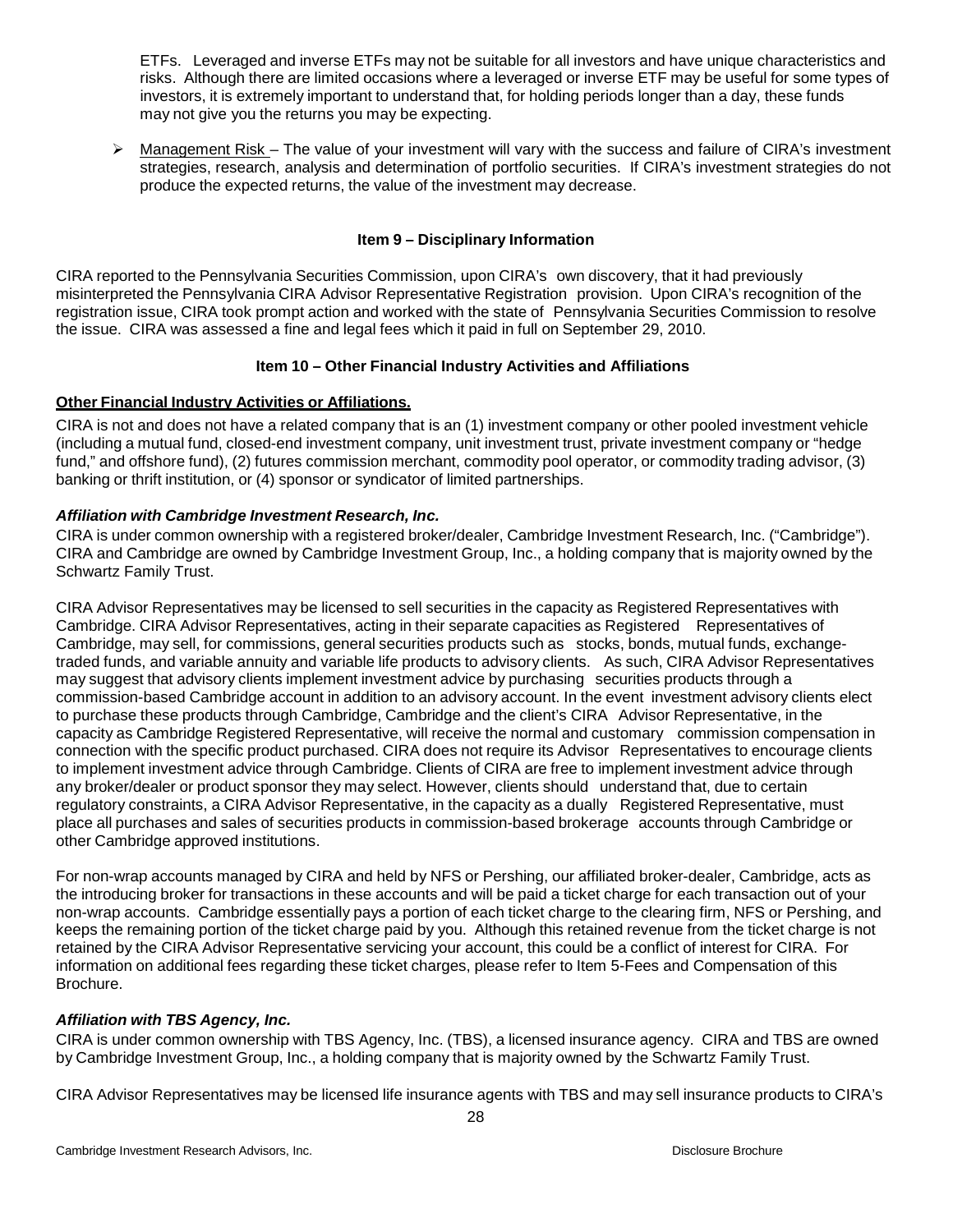ETFs. Leveraged and inverse ETFs may not be suitable for all investors and have unique characteristics and risks. Although there are limited occasions where a leveraged or inverse ETF may be useful for some types of investors, it is extremely important to understand that, for holding periods longer than a day, these funds may not give you the returns you may be expecting.

 $\triangleright$  Management Risk – The value of your investment will vary with the success and failure of CIRA's investment strategies, research, analysis and determination of portfolio securities. If CIRA's investment strategies do not produce the expected returns, the value of the investment may decrease.

# <span id="page-27-2"></span><span id="page-27-1"></span>**Item 9 – Disciplinary Information**

<span id="page-27-0"></span>CIRA reported to the Pennsylvania Securities Commission, upon CIRA's own discovery, that it had previously misinterpreted the Pennsylvania CIRA Advisor Representative Registration provision. Upon CIRA's recognition of the registration issue, CIRA took prompt action and worked with the state of Pennsylvania Securities Commission to resolve the issue. CIRA was assessed a fine and legal fees which it paid in full on September 29, 2010.

# **Item 10 – Other Financial Industry Activities and Affiliations**

# **Other Financial Industry Activities or Affiliations.**

CIRA is not and does not have a related company that is an (1) investment company or other pooled investment vehicle (including a mutual fund, closed-end investment company, unit investment trust, private investment company or "hedge fund," and offshore fund), (2) futures commission merchant, commodity pool operator, or commodity trading advisor, (3) banking or thrift institution, or (4) sponsor or syndicator of limited partnerships.

# *Affiliation with Cambridge Investment Research, Inc.*

CIRA is under common ownership with a registered broker/dealer, Cambridge Investment Research, Inc. ("Cambridge"). CIRA and Cambridge are owned by Cambridge Investment Group, Inc., a holding company that is majority owned by the Schwartz Family Trust.

CIRA Advisor Representatives may be licensed to sell securities in the capacity as Registered Representatives with Cambridge. CIRA Advisor Representatives, acting in their separate capacities as Registered Representatives of Cambridge, may sell, for commissions, general securities products such as stocks, bonds, mutual funds, exchangetraded funds, and variable annuity and variable life products to advisory clients. As such, CIRA Advisor Representatives may suggest that advisory clients implement investment advice by purchasing securities products through a commission-based Cambridge account in addition to an advisory account. In the event investment advisory clients elect to purchase these products through Cambridge, Cambridge and the client's CIRA Advisor Representative, in the capacity as Cambridge Registered Representative, will receive the normal and customary commission compensation in connection with the specific product purchased. CIRA does not require its Advisor Representatives to encourage clients to implement investment advice through Cambridge. Clients of CIRA are free to implement investment advice through any broker/dealer or product sponsor they may select. However, clients should understand that, due to certain regulatory constraints, a CIRA Advisor Representative, in the capacity as a dually Registered Representative, must place all purchases and sales of securities products in commission-based brokerage accounts through Cambridge or other Cambridge approved institutions.

For non-wrap accounts managed by CIRA and held by NFS or Pershing, our affiliated broker-dealer, Cambridge, acts as the introducing broker for transactions in these accounts and will be paid a ticket charge for each transaction out of your non-wrap accounts. Cambridge essentially pays a portion of each ticket charge to the clearing firm, NFS or Pershing, and keeps the remaining portion of the ticket charge paid by you. Although this retained revenue from the ticket charge is not retained by the CIRA Advisor Representative servicing your account, this could be a conflict of interest for CIRA. For information on additional fees regarding these ticket charges, please refer to Item 5-Fees and Compensation of this Brochure.

# *Affiliation with TBS Agency, Inc.*

CIRA is under common ownership with TBS Agency, Inc. (TBS), a licensed insurance agency. CIRA and TBS are owned by Cambridge Investment Group, Inc., a holding company that is majority owned by the Schwartz Family Trust.

CIRA Advisor Representatives may be licensed life insurance agents with TBS and may sell insurance products to CIRA's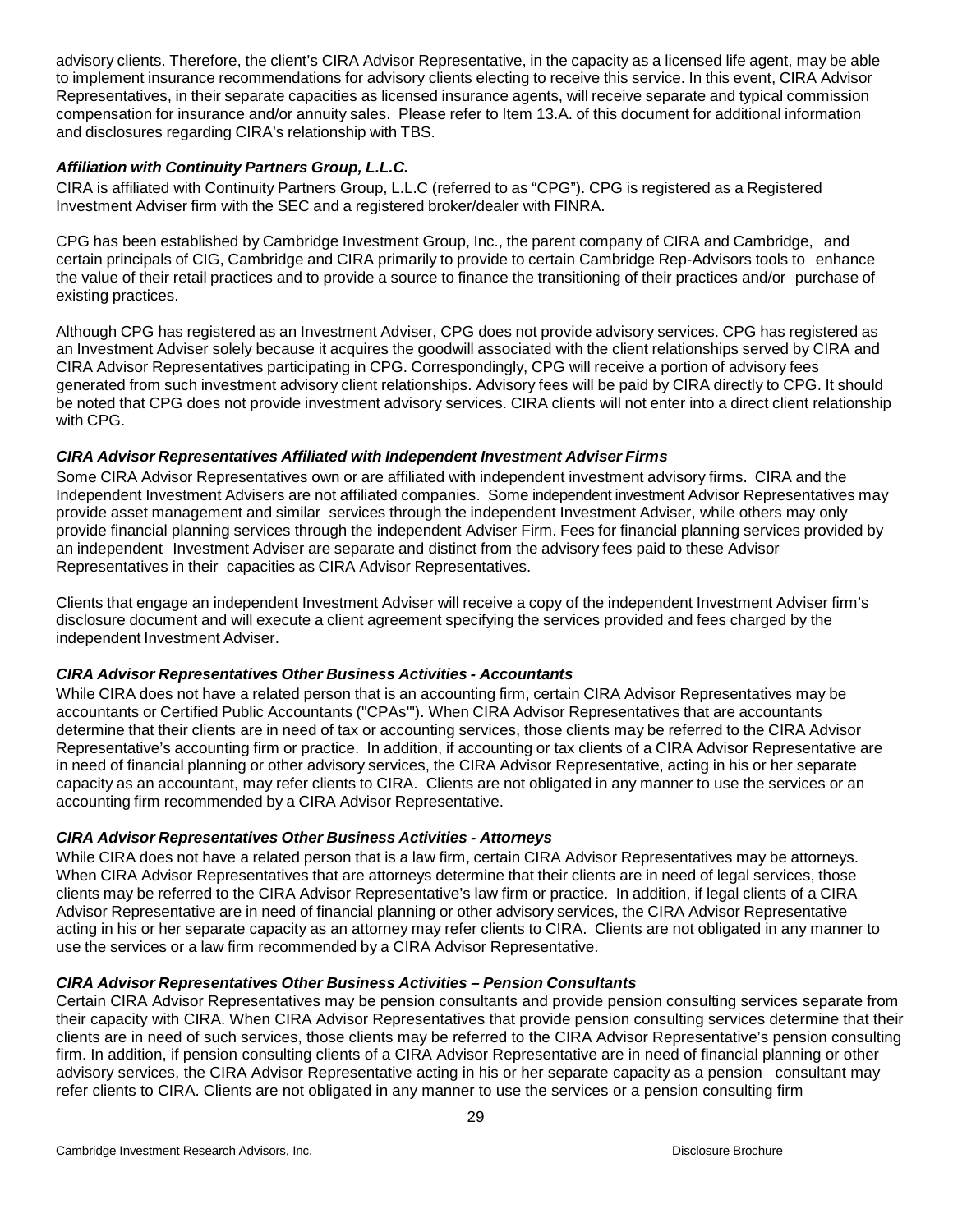advisory clients. Therefore, the client's CIRA Advisor Representative, in the capacity as a licensed life agent, may be able to implement insurance recommendations for advisory clients electing to receive this service. In this event, CIRA Advisor Representatives, in their separate capacities as licensed insurance agents, will receive separate and typical commission compensation for insurance and/or annuity sales. Please refer to Item 13.A. of this document for additional information and disclosures regarding CIRA's relationship with TBS.

# *Affiliation with Continuity Partners Group, L.L.C.*

CIRA is affiliated with Continuity Partners Group, L.L.C (referred to as "CPG"). CPG is registered as a Registered Investment Adviser firm with the SEC and a registered broker/dealer with FINRA.

CPG has been established by Cambridge Investment Group, Inc., the parent company of CIRA and Cambridge, and certain principals of CIG, Cambridge and CIRA primarily to provide to certain Cambridge Rep-Advisors tools to enhance the value of their retail practices and to provide a source to finance the transitioning of their practices and/or purchase of existing practices.

Although CPG has registered as an Investment Adviser, CPG does not provide advisory services. CPG has registered as an Investment Adviser solely because it acquires the goodwill associated with the client relationships served by CIRA and CIRA Advisor Representatives participating in CPG. Correspondingly, CPG will receive a portion of advisory fees generated from such investment advisory client relationships. Advisory fees will be paid by CIRA directly to CPG. It should be noted that CPG does not provide investment advisory services. CIRA clients will not enter into a direct client relationship with CPG.

# *CIRA Advisor Representatives Affiliated with Independent Investment Adviser Firms*

Some CIRA Advisor Representatives own or are affiliated with independent investment advisory firms. CIRA and the Independent Investment Advisers are not affiliated companies. Some independent investment Advisor Representatives may provide asset management and similar services through the independent Investment Adviser, while others may only provide financial planning services through the independent Adviser Firm. Fees for financial planning services provided by an independent Investment Adviser are separate and distinct from the advisory fees paid to these Advisor Representatives in their capacities as CIRA Advisor Representatives.

Clients that engage an independent Investment Adviser will receive a copy of the independent Investment Adviser firm's disclosure document and will execute a client agreement specifying the services provided and fees charged by the independent Investment Adviser.

# *CIRA Advisor Representatives Other Business Activities - Accountants*

While CIRA does not have a related person that is an accounting firm, certain CIRA Advisor Representatives may be accountants or Certified Public Accountants ("CPAs'"). When CIRA Advisor Representatives that are accountants determine that their clients are in need of tax or accounting services, those clients may be referred to the CIRA Advisor Representative's accounting firm or practice. In addition, if accounting or tax clients of a CIRA Advisor Representative are in need of financial planning or other advisory services, the CIRA Advisor Representative, acting in his or her separate capacity as an accountant, may refer clients to CIRA. Clients are not obligated in any manner to use the services or an accounting firm recommended by a CIRA Advisor Representative.

# *CIRA Advisor Representatives Other Business Activities - Attorneys*

While CIRA does not have a related person that is a law firm, certain CIRA Advisor Representatives may be attorneys. When CIRA Advisor Representatives that are attorneys determine that their clients are in need of legal services, those clients may be referred to the CIRA Advisor Representative's law firm or practice. In addition, if legal clients of a CIRA Advisor Representative are in need of financial planning or other advisory services, the CIRA Advisor Representative acting in his or her separate capacity as an attorney may refer clients to CIRA. Clients are not obligated in any manner to use the services or a law firm recommended by a CIRA Advisor Representative.

# *CIRA Advisor Representatives Other Business Activities – Pension Consultants*

Certain CIRA Advisor Representatives may be pension consultants and provide pension consulting services separate from their capacity with CIRA. When CIRA Advisor Representatives that provide pension consulting services determine that their clients are in need of such services, those clients may be referred to the CIRA Advisor Representative's pension consulting firm. In addition, if pension consulting clients of a CIRA Advisor Representative are in need of financial planning or other advisory services, the CIRA Advisor Representative acting in his or her separate capacity as a pension consultant may refer clients to CIRA. Clients are not obligated in any manner to use the services or a pension consulting firm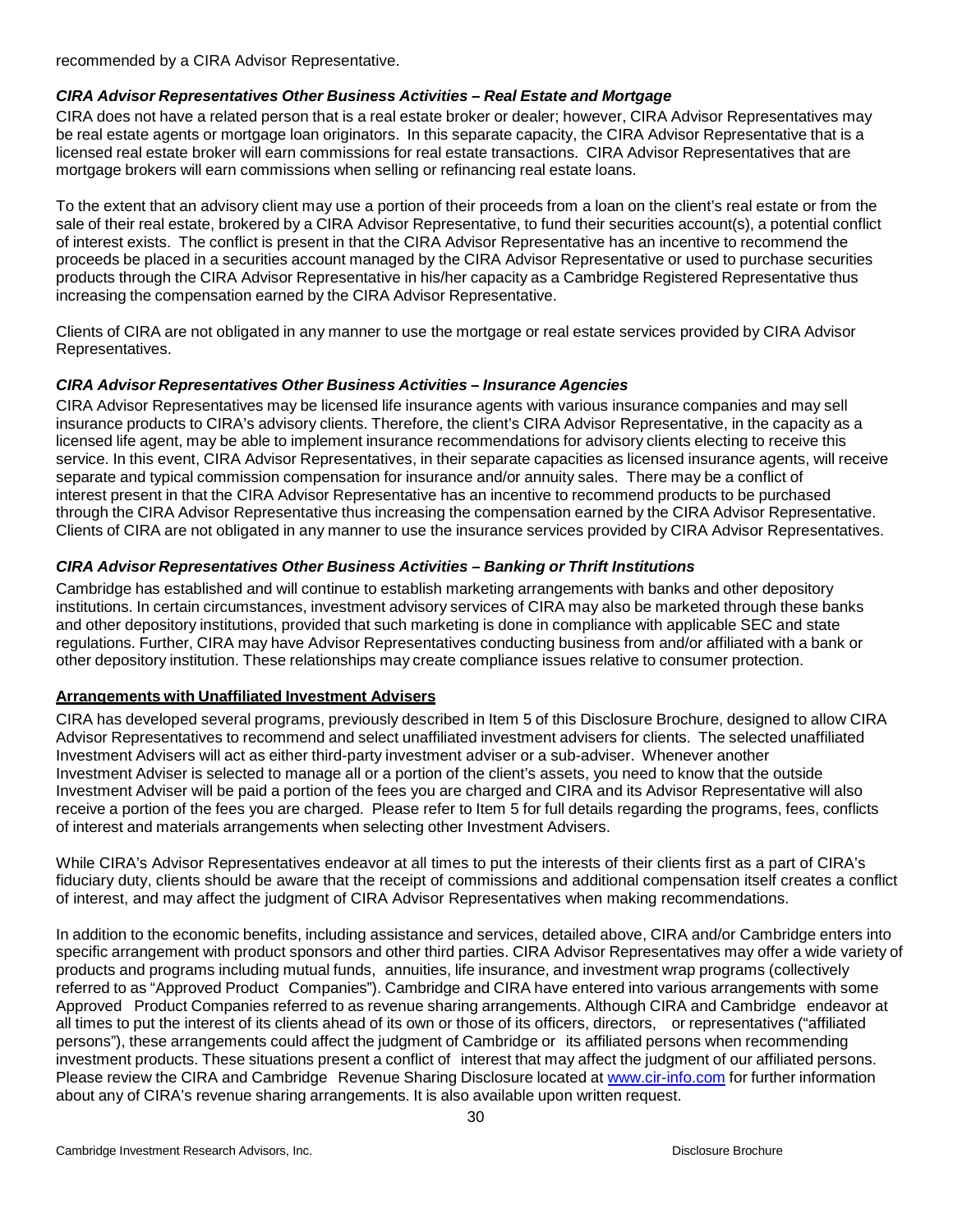recommended by a CIRA Advisor Representative.

## *CIRA Advisor Representatives Other Business Activities – Real Estate and Mortgage*

CIRA does not have a related person that is a real estate broker or dealer; however, CIRA Advisor Representatives may be real estate agents or mortgage loan originators. In this separate capacity, the CIRA Advisor Representative that is a licensed real estate broker will earn commissions for real estate transactions. CIRA Advisor Representatives that are mortgage brokers will earn commissions when selling or refinancing real estate loans.

To the extent that an advisory client may use a portion of their proceeds from a loan on the client's real estate or from the sale of their real estate, brokered by a CIRA Advisor Representative, to fund their securities account(s), a potential conflict of interest exists. The conflict is present in that the CIRA Advisor Representative has an incentive to recommend the proceeds be placed in a securities account managed by the CIRA Advisor Representative or used to purchase securities products through the CIRA Advisor Representative in his/her capacity as a Cambridge Registered Representative thus increasing the compensation earned by the CIRA Advisor Representative.

Clients of CIRA are not obligated in any manner to use the mortgage or real estate services provided by CIRA Advisor Representatives.

## *CIRA Advisor Representatives Other Business Activities – Insurance Agencies*

CIRA Advisor Representatives may be licensed life insurance agents with various insurance companies and may sell insurance products to CIRA's advisory clients. Therefore, the client's CIRA Advisor Representative, in the capacity as a licensed life agent, may be able to implement insurance recommendations for advisory clients electing to receive this service. In this event, CIRA Advisor Representatives, in their separate capacities as licensed insurance agents, will receive separate and typical commission compensation for insurance and/or annuity sales. There may be a conflict of interest present in that the CIRA Advisor Representative has an incentive to recommend products to be purchased through the CIRA Advisor Representative thus increasing the compensation earned by the CIRA Advisor Representative. Clients of CIRA are not obligated in any manner to use the insurance services provided by CIRA Advisor Representatives.

## *CIRA Advisor Representatives Other Business Activities – Banking or Thrift Institutions*

Cambridge has established and will continue to establish marketing arrangements with banks and other depository institutions. In certain circumstances, investment advisory services of CIRA may also be marketed through these banks and other depository institutions, provided that such marketing is done in compliance with applicable SEC and state regulations. Further, CIRA may have Advisor Representatives conducting business from and/or affiliated with a bank or other depository institution. These relationships may create compliance issues relative to consumer protection.

## <span id="page-29-0"></span>**Arrangements with Unaffiliated Investment Advisers**

CIRA has developed several programs, previously described in Item 5 of this Disclosure Brochure, designed to allow CIRA Advisor Representatives to recommend and select unaffiliated investment advisers for clients. The selected unaffiliated Investment Advisers will act as either third-party investment adviser or a sub-adviser. Whenever another Investment Adviser is selected to manage all or a portion of the client's assets, you need to know that the outside Investment Adviser will be paid a portion of the fees you are charged and CIRA and its Advisor Representative will also receive a portion of the fees you are charged. Please refer to Item 5 for full details regarding the programs, fees, conflicts of interest and materials arrangements when selecting other Investment Advisers.

While CIRA's Advisor Representatives endeavor at all times to put the interests of their clients first as a part of CIRA's fiduciary duty, clients should be aware that the receipt of commissions and additional compensation itself creates a conflict of interest, and may affect the judgment of CIRA Advisor Representatives when making recommendations.

<span id="page-29-1"></span>In addition to the economic benefits, including assistance and services, detailed above, CIRA and/or Cambridge enters into specific arrangement with product sponsors and other third parties. CIRA Advisor Representatives may offer a wide variety of products and programs including mutual funds, annuities, life insurance, and investment wrap programs (collectively referred to as "Approved Product Companies"). Cambridge and CIRA have entered into various arrangements with some Approved Product Companies referred to as revenue sharing arrangements. Although CIRA and Cambridge endeavor at all times to put the interest of its clients ahead of its own or those of its officers, directors, or representatives ("affiliated persons"), these arrangements could affect the judgment of Cambridge or its affiliated persons when recommending investment products. These situations present a conflict of interest that may affect the judgment of our affiliated persons. Please review the CIRA and Cambridge Revenue Sharing Disclosure located at [www.cir-i](http://www.cir-info.com/)nfo.com for further information about any of CIRA's revenue sharing arrangements. It is also available upon written request.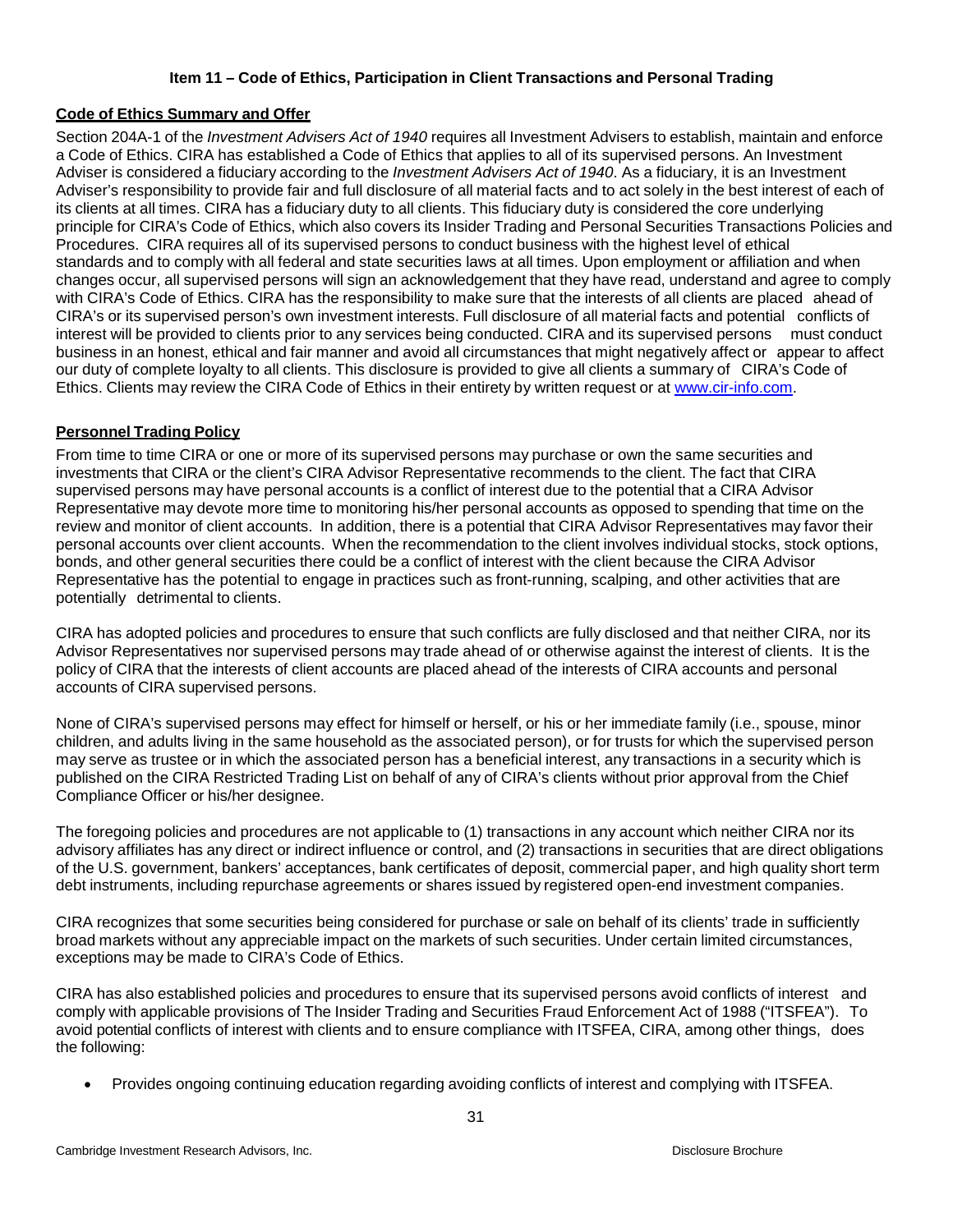# <span id="page-30-0"></span>**Item 11 – Code of Ethics, Participation in Client Transactions and Personal Trading**

#### **Code of Ethics Summary and Offer**

Section 204A-1 of the *Investment Advisers Act of 1940* requires all Investment Advisers to establish, maintain and enforce a Code of Ethics. CIRA has established a Code of Ethics that applies to all of its supervised persons. An Investment Adviser is considered a fiduciary according to the *Investment Advisers Act of 1940*. As a fiduciary, it is an Investment Adviser's responsibility to provide fair and full disclosure of all material facts and to act solely in the best interest of each of its clients at all times. CIRA has a fiduciary duty to all clients. This fiduciary duty is considered the core underlying principle for CIRA's Code of Ethics, which also covers its Insider Trading and Personal Securities Transactions Policies and Procedures. CIRA requires all of its supervised persons to conduct business with the highest level of ethical standards and to comply with all federal and state securities laws at all times. Upon employment or affiliation and when changes occur, all supervised persons will sign an acknowledgement that they have read, understand and agree to comply with CIRA's Code of Ethics. CIRA has the responsibility to make sure that the interests of all clients are placed ahead of CIRA's or its supervised person's own investment interests. Full disclosure of all material facts and potential conflicts of interest will be provided to clients prior to any services being conducted. CIRA and its supervised persons must conduct business in an honest, ethical and fair manner and avoid all circumstances that might negatively affect or appear to affect our duty of complete loyalty to all clients. This disclosure is provided to give all clients a summary of CIRA's Code of Ethics. Clients may review the CIRA Code of Ethics in their entirety by written request or at www.cir[-info.com.](http://www.cir-info.com/)

## <span id="page-30-1"></span>**Personnel Trading Policy**

From time to time CIRA or one or more of its supervised persons may purchase or own the same securities and investments that CIRA or the client's CIRA Advisor Representative recommends to the client. The fact that CIRA supervised persons may have personal accounts is a conflict of interest due to the potential that a CIRA Advisor Representative may devote more time to monitoring his/her personal accounts as opposed to spending that time on the review and monitor of client accounts. In addition, there is a potential that CIRA Advisor Representatives may favor their personal accounts over client accounts. When the recommendation to the client involves individual stocks, stock options, bonds, and other general securities there could be a conflict of interest with the client because the CIRA Advisor Representative has the potential to engage in practices such as front-running, scalping, and other activities that are potentially detrimental to clients.

CIRA has adopted policies and procedures to ensure that such conflicts are fully disclosed and that neither CIRA, nor its Advisor Representatives nor supervised persons may trade ahead of or otherwise against the interest of clients. It is the policy of CIRA that the interests of client accounts are placed ahead of the interests of CIRA accounts and personal accounts of CIRA supervised persons.

None of CIRA's supervised persons may effect for himself or herself, or his or her immediate family (i.e., spouse, minor children, and adults living in the same household as the associated person), or for trusts for which the supervised person may serve as trustee or in which the associated person has a beneficial interest, any transactions in a security which is published on the CIRA Restricted Trading List on behalf of any of CIRA's clients without prior approval from the Chief Compliance Officer or his/her designee.

The foregoing policies and procedures are not applicable to (1) transactions in any account which neither CIRA nor its advisory affiliates has any direct or indirect influence or control, and (2) transactions in securities that are direct obligations of the U.S. government, bankers' acceptances, bank certificates of deposit, commercial paper, and high quality short term debt instruments, including repurchase agreements or shares issued by registered open-end investment companies.

CIRA recognizes that some securities being considered for purchase or sale on behalf of its clients' trade in sufficiently broad markets without any appreciable impact on the markets of such securities. Under certain limited circumstances, exceptions may be made to CIRA's Code of Ethics.

CIRA has also established policies and procedures to ensure that its supervised persons avoid conflicts of interest and comply with applicable provisions of The Insider Trading and Securities Fraud Enforcement Act of 1988 ("ITSFEA"). To avoid potential conflicts of interest with clients and to ensure compliance with ITSFEA, CIRA, among other things, does the following:

• Provides ongoing continuing education regarding avoiding conflicts of interest and complying with ITSFEA.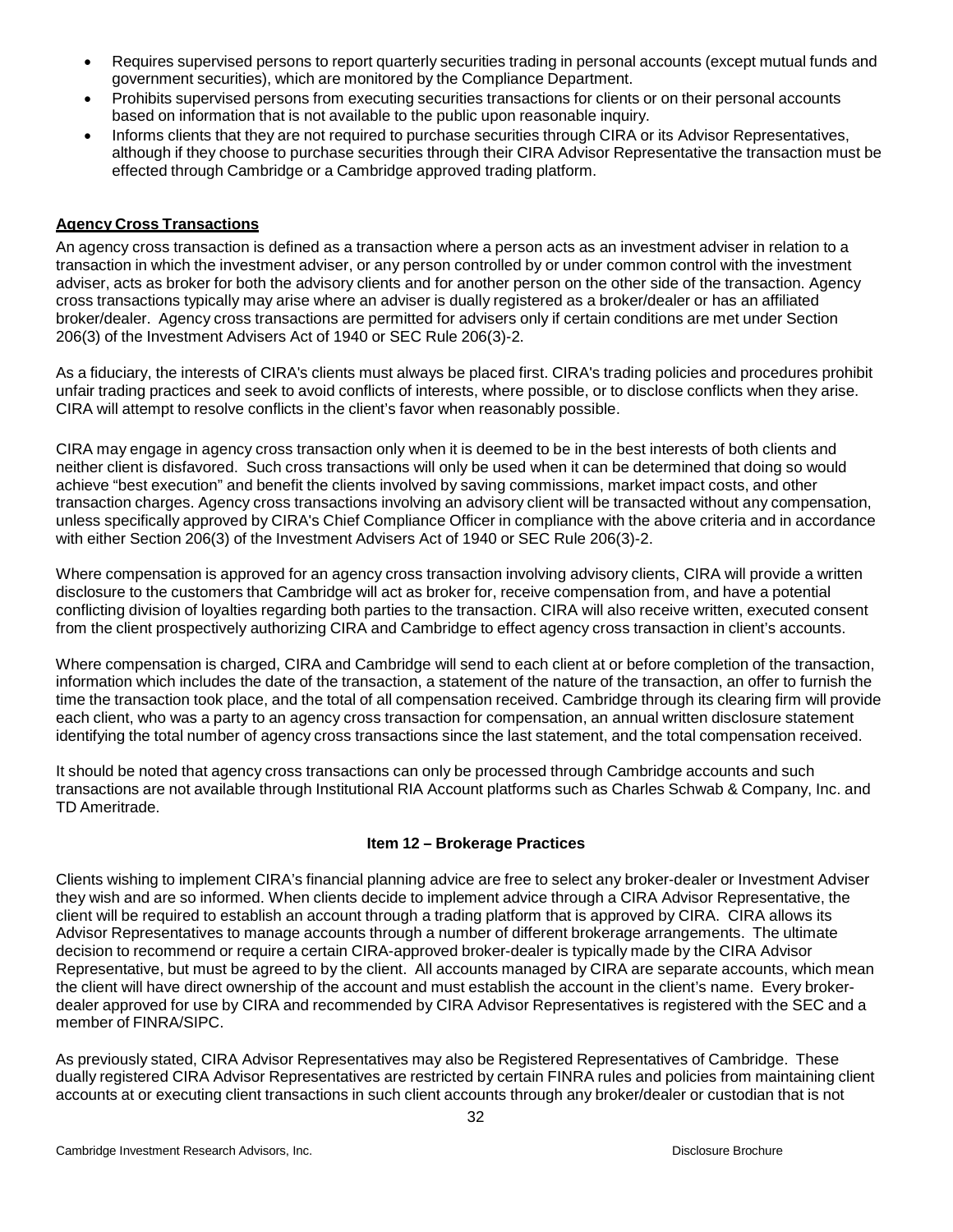- Requires supervised persons to report quarterly securities trading in personal accounts (except mutual funds and government securities), which are monitored by the Compliance Department.
- Prohibits supervised persons from executing securities transactions for clients or on their personal accounts based on information that is not available to the public upon reasonable inquiry.
- Informs clients that they are not required to purchase securities through CIRA or its Advisor Representatives, although if they choose to purchase securities through their CIRA Advisor Representative the transaction must be effected through Cambridge or a Cambridge approved trading platform.

## <span id="page-31-0"></span>**Agency Cross Transactions**

An agency cross transaction is defined as a transaction where a person acts as an investment adviser in relation to a transaction in which the investment adviser, or any person controlled by or under common control with the investment adviser, acts as broker for both the advisory clients and for another person on the other side of the transaction. Agency cross transactions typically may arise where an adviser is dually registered as a broker/dealer or has an affiliated broker/dealer. Agency cross transactions are permitted for advisers only if certain conditions are met under Section 206(3) of the Investment Advisers Act of 1940 or SEC Rule 206(3)-2.

As a fiduciary, the interests of CIRA's clients must always be placed first. CIRA's trading policies and procedures prohibit unfair trading practices and seek to avoid conflicts of interests, where possible, or to disclose conflicts when they arise. CIRA will attempt to resolve conflicts in the client's favor when reasonably possible.

CIRA may engage in agency cross transaction only when it is deemed to be in the best interests of both clients and neither client is disfavored. Such cross transactions will only be used when it can be determined that doing so would achieve "best execution" and benefit the clients involved by saving commissions, market impact costs, and other transaction charges. Agency cross transactions involving an advisory client will be transacted without any compensation, unless specifically approved by CIRA's Chief Compliance Officer in compliance with the above criteria and in accordance with either Section 206(3) of the Investment Advisers Act of 1940 or SEC Rule 206(3)-2.

Where compensation is approved for an agency cross transaction involving advisory clients, CIRA will provide a written disclosure to the customers that Cambridge will act as broker for, receive compensation from, and have a potential conflicting division of loyalties regarding both parties to the transaction. CIRA will also receive written, executed consent from the client prospectively authorizing CIRA and Cambridge to effect agency cross transaction in client's accounts.

Where compensation is charged, CIRA and Cambridge will send to each client at or before completion of the transaction, information which includes the date of the transaction, a statement of the nature of the transaction, an offer to furnish the time the transaction took place, and the total of all compensation received. Cambridge through its clearing firm will provide each client, who was a party to an agency cross transaction for compensation, an annual written disclosure statement identifying the total number of agency cross transactions since the last statement, and the total compensation received.

<span id="page-31-1"></span>It should be noted that agency cross transactions can only be processed through Cambridge accounts and such transactions are not available through Institutional RIA Account platforms such as Charles Schwab & Company, Inc. and TD Ameritrade.

# **Item 12 – Brokerage Practices**

Clients wishing to implement CIRA's financial planning advice are free to select any broker-dealer or Investment Adviser they wish and are so informed. When clients decide to implement advice through a CIRA Advisor Representative, the client will be required to establish an account through a trading platform that is approved by CIRA. CIRA allows its Advisor Representatives to manage accounts through a number of different brokerage arrangements. The ultimate decision to recommend or require a certain CIRA-approved broker-dealer is typically made by the CIRA Advisor Representative, but must be agreed to by the client. All accounts managed by CIRA are separate accounts, which mean the client will have direct ownership of the account and must establish the account in the client's name. Every brokerdealer approved for use by CIRA and recommended by CIRA Advisor Representatives is registered with the SEC and a member of FINRA/SIPC.

As previously stated, CIRA Advisor Representatives may also be Registered Representatives of Cambridge. These dually registered CIRA Advisor Representatives are restricted by certain FINRA rules and policies from maintaining client accounts at or executing client transactions in such client accounts through any broker/dealer or custodian that is not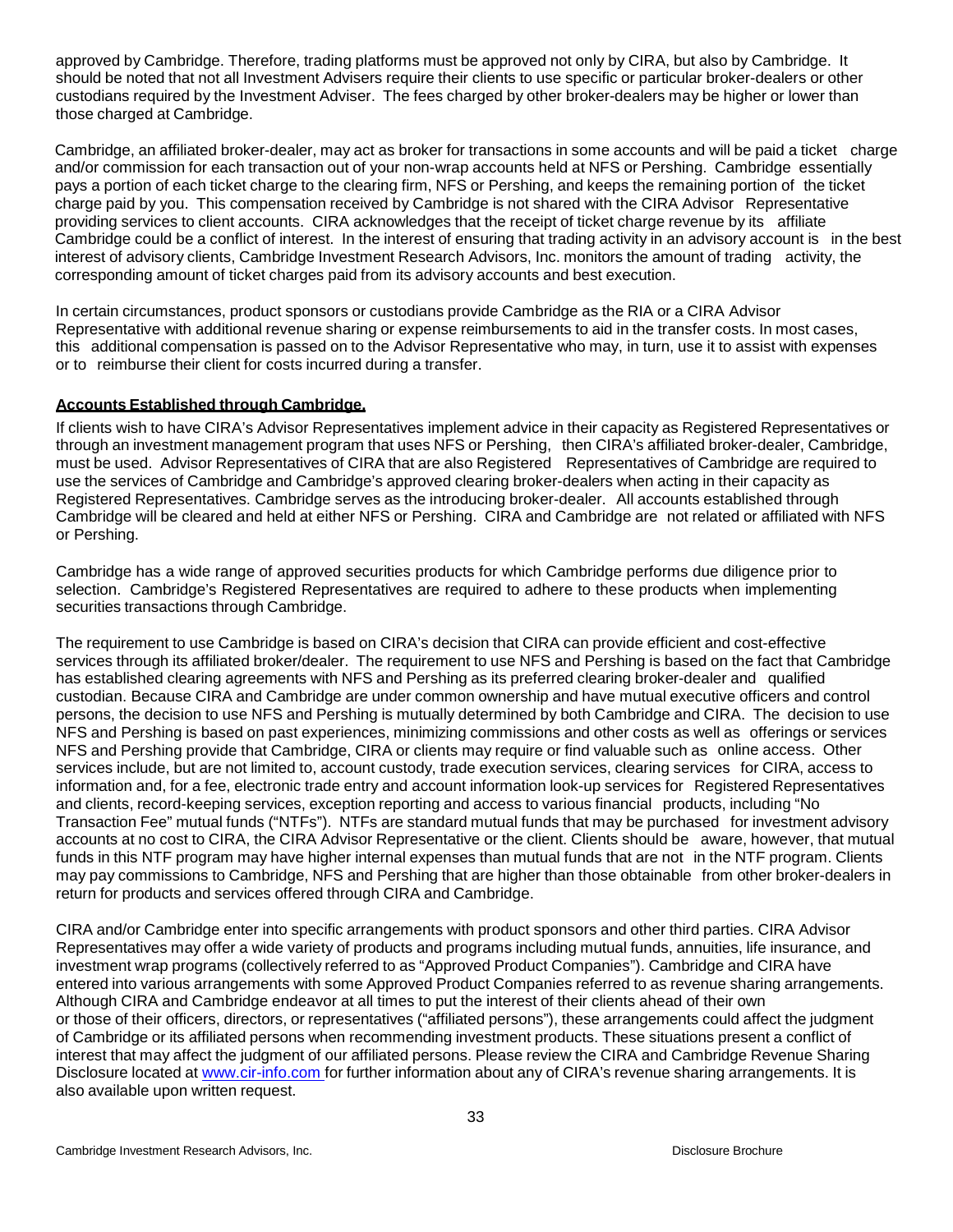approved by Cambridge. Therefore, trading platforms must be approved not only by CIRA, but also by Cambridge. It should be noted that not all Investment Advisers require their clients to use specific or particular broker-dealers or other custodians required by the Investment Adviser. The fees charged by other broker-dealers may be higher or lower than those charged at Cambridge.

Cambridge, an affiliated broker-dealer, may act as broker for transactions in some accounts and will be paid a ticket charge and/or commission for each transaction out of your non-wrap accounts held at NFS or Pershing. Cambridge essentially pays a portion of each ticket charge to the clearing firm, NFS or Pershing, and keeps the remaining portion of the ticket charge paid by you. This compensation received by Cambridge is not shared with the CIRA Advisor Representative providing services to client accounts. CIRA acknowledges that the receipt of ticket charge revenue by its affiliate Cambridge could be a conflict of interest. In the interest of ensuring that trading activity in an advisory account is in the best interest of advisory clients, Cambridge Investment Research Advisors, Inc. monitors the amount of trading activity, the corresponding amount of ticket charges paid from its advisory accounts and best execution.

In certain circumstances, product sponsors or custodians provide Cambridge as the RIA or a CIRA Advisor Representative with additional revenue sharing or expense reimbursements to aid in the transfer costs. In most cases, this additional compensation is passed on to the Advisor Representative who may, in turn, use it to assist with expenses or to reimburse their client for costs incurred during a transfer.

## <span id="page-32-0"></span>**Accounts Established through Cambridge.**

If clients wish to have CIRA's Advisor Representatives implement advice in their capacity as Registered Representatives or through an investment management program that uses NFS or Pershing, then CIRA's affiliated broker-dealer, Cambridge, must be used. Advisor Representatives of CIRA that are also Registered Representatives of Cambridge are required to use the services of Cambridge and Cambridge's approved clearing broker-dealers when acting in their capacity as Registered Representatives. Cambridge serves as the introducing broker-dealer. All accounts established through Cambridge will be cleared and held at either NFS or Pershing. CIRA and Cambridge are not related or affiliated with NFS or Pershing.

Cambridge has a wide range of approved securities products for which Cambridge performs due diligence prior to selection. Cambridge's Registered Representatives are required to adhere to these products when implementing securities transactions through Cambridge.

The requirement to use Cambridge is based on CIRA's decision that CIRA can provide efficient and cost-effective services through its affiliated broker/dealer. The requirement to use NFS and Pershing is based on the fact that Cambridge has established clearing agreements with NFS and Pershing as its preferred clearing broker-dealer and qualified custodian. Because CIRA and Cambridge are under common ownership and have mutual executive officers and control persons, the decision to use NFS and Pershing is mutually determined by both Cambridge and CIRA. The decision to use NFS and Pershing is based on past experiences, minimizing commissions and other costs as well as offerings or services NFS and Pershing provide that Cambridge, CIRA or clients may require or find valuable such as online access. Other services include, but are not limited to, account custody, trade execution services, clearing services for CIRA, access to information and, for a fee, electronic trade entry and account information look-up services for Registered Representatives and clients, record-keeping services, exception reporting and access to various financial products, including "No Transaction Fee" mutual funds ("NTFs"). NTFs are standard mutual funds that may be purchased for investment advisory accounts at no cost to CIRA, the CIRA Advisor Representative or the client. Clients should be aware, however, that mutual funds in this NTF program may have higher internal expenses than mutual funds that are not in the NTF program. Clients may pay commissions to Cambridge, NFS and Pershing that are higher than those obtainable from other broker-dealers in return for products and services offered through CIRA and Cambridge.

CIRA and/or Cambridge enter into specific arrangements with product sponsors and other third parties. CIRA Advisor Representatives may offer a wide variety of products and programs including mutual funds, annuities, life insurance, and investment wrap programs (collectively referred to as "Approved Product Companies"). Cambridge and CIRA have entered into various arrangements with some Approved Product Companies referred to as revenue sharing arrangements. Although CIRA and Cambridge endeavor at all times to put the interest of their clients ahead of their own or those of their officers, directors, or representatives ("affiliated persons"), these arrangements could affect the judgment of Cambridge or its affiliated persons when recommending investment products. These situations present a conflict of interest that may affect the judgment of our affiliated persons. Please review the CIRA and Cambridge Revenue Sharing Disclosure located at [www.cir-info.com](http://www.cir-info.com/) for further information about any of CIRA's revenue sharing arrangements. It is also available upon written request.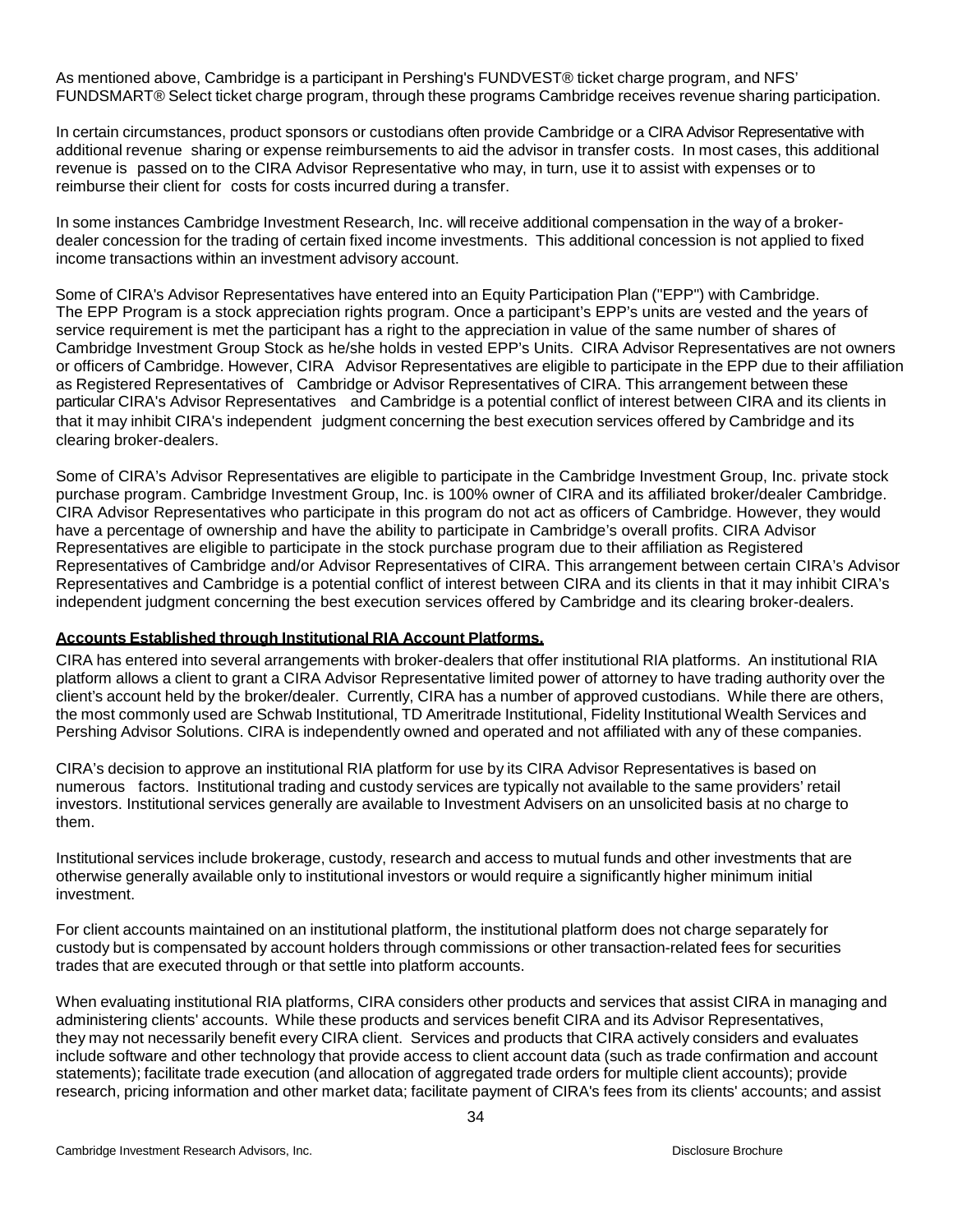As mentioned above, Cambridge is a participant in Pershing's FUNDVEST® ticket charge program, and NFS' FUNDSMART® Select ticket charge program, through these programs Cambridge receives revenue sharing participation.

In certain circumstances, product sponsors or custodians often provide Cambridge or a CIRA Advisor Representative with additional revenue sharing or expense reimbursements to aid the advisor in transfer costs. In most cases, this additional revenue is passed on to the CIRA Advisor Representative who may, in turn, use it to assist with expenses or to reimburse their client for costs for costs incurred during a transfer.

In some instances Cambridge Investment Research, Inc. will receive additional compensation in the way of a brokerdealer concession for the trading of certain fixed income investments. This additional concession is not applied to fixed income transactions within an investment advisory account.

 Some of CIRA's Advisor Representatives have entered into an Equity Participation Plan ("EPP") with Cambridge. The EPP Program is a stock appreciation rights program. Once a participant's EPP's units are vested and the years of service requirement is met the participant has a right to the appreciation in value of the same number of shares of Cambridge Investment Group Stock as he/she holds in vested EPP's Units. CIRA Advisor Representatives are not owners or officers of Cambridge. However, CIRA Advisor Representatives are eligible to participate in the EPP due to their affiliation as Registered Representatives of Cambridge or Advisor Representatives of CIRA. This arrangement between these particular CIRA's Advisor Representatives and Cambridge is a potential conflict of interest between CIRA and its clients in that it may inhibit CIRA's independent judgment concerning the best execution services offered by Cambridge and its clearing broker-dealers.

Some of CIRA's Advisor Representatives are eligible to participate in the Cambridge Investment Group, Inc. private stock purchase program. Cambridge Investment Group, Inc. is 100% owner of CIRA and its affiliated broker/dealer Cambridge. CIRA Advisor Representatives who participate in this program do not act as officers of Cambridge. However, they would have a percentage of ownership and have the ability to participate in Cambridge's overall profits. CIRA Advisor Representatives are eligible to participate in the stock purchase program due to their affiliation as Registered Representatives of Cambridge and/or Advisor Representatives of CIRA. This arrangement between certain CIRA's Advisor Representatives and Cambridge is a potential conflict of interest between CIRA and its clients in that it may inhibit CIRA's independent judgment concerning the best execution services offered by Cambridge and its clearing broker-dealers.

#### <span id="page-33-0"></span>**Accounts Established through Institutional RIA Account Platforms.**

CIRA has entered into several arrangements with broker-dealers that offer institutional RIA platforms. An institutional RIA platform allows a client to grant a CIRA Advisor Representative limited power of attorney to have trading authority over the client's account held by the broker/dealer. Currently, CIRA has a number of approved custodians. While there are others, the most commonly used are Schwab Institutional, TD Ameritrade Institutional, Fidelity Institutional Wealth Services and Pershing Advisor Solutions. CIRA is independently owned and operated and not affiliated with any of these companies.

CIRA's decision to approve an institutional RIA platform for use by its CIRA Advisor Representatives is based on numerous factors. Institutional trading and custody services are typically not available to the same providers' retail investors. Institutional services generally are available to Investment Advisers on an unsolicited basis at no charge to them.

Institutional services include brokerage, custody, research and access to mutual funds and other investments that are otherwise generally available only to institutional investors or would require a significantly higher minimum initial investment.

For client accounts maintained on an institutional platform, the institutional platform does not charge separately for custody but is compensated by account holders through commissions or other transaction-related fees for securities trades that are executed through or that settle into platform accounts.

When evaluating institutional RIA platforms, CIRA considers other products and services that assist CIRA in managing and administering clients' accounts. While these products and services benefit CIRA and its Advisor Representatives, they may not necessarily benefit every CIRA client. Services and products that CIRA actively considers and evaluates include software and other technology that provide access to client account data (such as trade confirmation and account statements); facilitate trade execution (and allocation of aggregated trade orders for multiple client accounts); provide research, pricing information and other market data; facilitate payment of CIRA's fees from its clients' accounts; and assist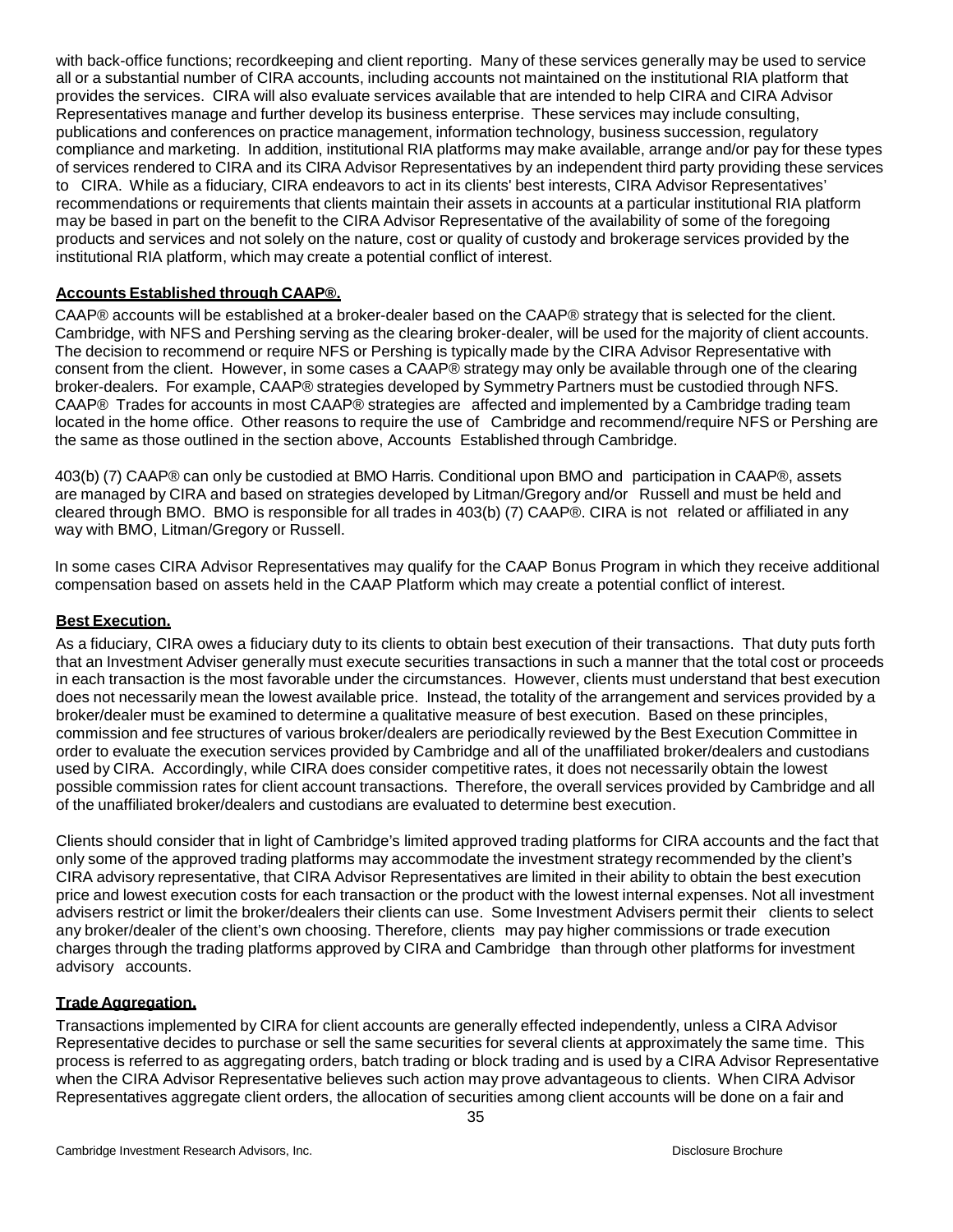with back-office functions; recordkeeping and client reporting. Many of these services generally may be used to service all or a substantial number of CIRA accounts, including accounts not maintained on the institutional RIA platform that provides the services. CIRA will also evaluate services available that are intended to help CIRA and CIRA Advisor Representatives manage and further develop its business enterprise. These services may include consulting, publications and conferences on practice management, information technology, business succession, regulatory compliance and marketing. In addition, institutional RIA platforms may make available, arrange and/or pay for these types of services rendered to CIRA and its CIRA Advisor Representatives by an independent third party providing these services to CIRA. While as a fiduciary, CIRA endeavors to act in its clients' best interests, CIRA Advisor Representatives' recommendations or requirements that clients maintain their assets in accounts at a particular institutional RIA platform may be based in part on the benefit to the CIRA Advisor Representative of the availability of some of the foregoing products and services and not solely on the nature, cost or quality of custody and brokerage services provided by the institutional RIA platform, which may create a potential conflict of interest.

#### <span id="page-34-0"></span>**Accounts Established through CAAP®.**

CAAP® accounts will be established at a broker-dealer based on the CAAP® strategy that is selected for the client. Cambridge, with NFS and Pershing serving as the clearing broker-dealer, will be used for the majority of client accounts. The decision to recommend or require NFS or Pershing is typically made by the CIRA Advisor Representative with consent from the client. However, in some cases a CAAP® strategy may only be available through one of the clearing broker-dealers. For example, CAAP® strategies developed by Symmetry Partners must be custodied through NFS. CAAP® Trades for accounts in most CAAP® strategies are affected and implemented by a Cambridge trading team located in the home office. Other reasons to require the use of Cambridge and recommend/require NFS or Pershing are the same as those outlined in the section above, Accounts Established through Cambridge.

403(b) (7) CAAP® can only be custodied at BMO Harris. Conditional upon BMO and participation in CAAP®, assets are managed by CIRA and based on strategies developed by Litman/Gregory and/or Russell and must be held and cleared through BMO. BMO is responsible for all trades in 403(b) (7) CAAP®. CIRA is not related or affiliated in any way with BMO, Litman/Gregory or Russell.

In some cases CIRA Advisor Representatives may qualify for the CAAP Bonus Program in which they receive additional compensation based on assets held in the CAAP Platform which may create a potential conflict of interest.

## <span id="page-34-1"></span>**Best Execution.**

As a fiduciary, CIRA owes a fiduciary duty to its clients to obtain best execution of their transactions. That duty puts forth that an Investment Adviser generally must execute securities transactions in such a manner that the total cost or proceeds in each transaction is the most favorable under the circumstances. However, clients must understand that best execution does not necessarily mean the lowest available price. Instead, the totality of the arrangement and services provided by a broker/dealer must be examined to determine a qualitative measure of best execution. Based on these principles, commission and fee structures of various broker/dealers are periodically reviewed by the Best Execution Committee in order to evaluate the execution services provided by Cambridge and all of the unaffiliated broker/dealers and custodians used by CIRA. Accordingly, while CIRA does consider competitive rates, it does not necessarily obtain the lowest possible commission rates for client account transactions. Therefore, the overall services provided by Cambridge and all of the unaffiliated broker/dealers and custodians are evaluated to determine best execution.

Clients should consider that in light of Cambridge's limited approved trading platforms for CIRA accounts and the fact that only some of the approved trading platforms may accommodate the investment strategy recommended by the client's CIRA advisory representative, that CIRA Advisor Representatives are limited in their ability to obtain the best execution price and lowest execution costs for each transaction or the product with the lowest internal expenses. Not all investment advisers restrict or limit the broker/dealers their clients can use. Some Investment Advisers permit their clients to select any broker/dealer of the client's own choosing. Therefore, clients may pay higher commissions or trade execution charges through the trading platforms approved by CIRA and Cambridge than through other platforms for investment advisory accounts.

#### <span id="page-34-2"></span>**Trade Aggregation.**

Transactions implemented by CIRA for client accounts are generally effected independently, unless a CIRA Advisor Representative decides to purchase or sell the same securities for several clients at approximately the same time. This process is referred to as aggregating orders, batch trading or block trading and is used by a CIRA Advisor Representative when the CIRA Advisor Representative believes such action may prove advantageous to clients. When CIRA Advisor Representatives aggregate client orders, the allocation of securities among client accounts will be done on a fair and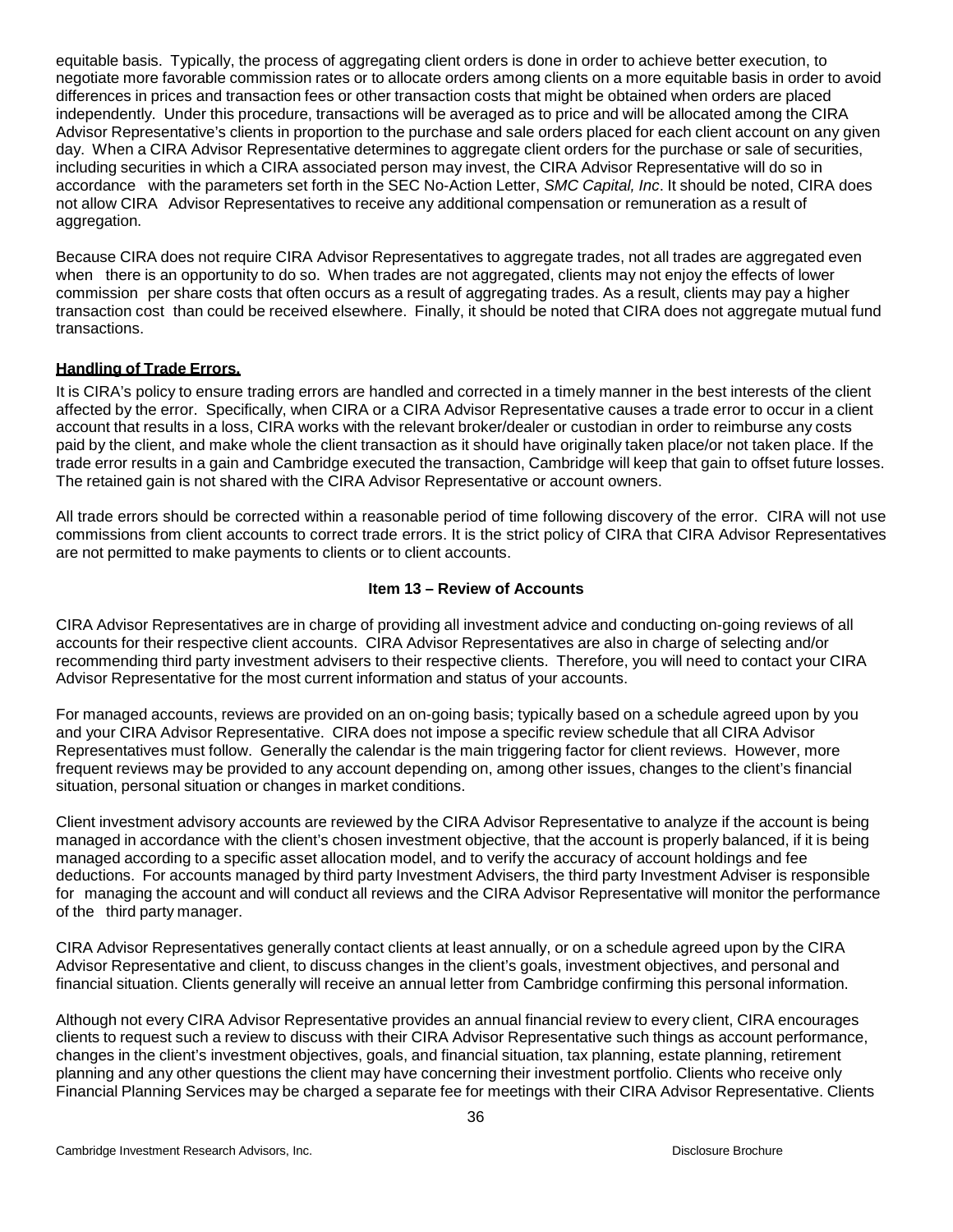equitable basis. Typically, the process of aggregating client orders is done in order to achieve better execution, to negotiate more favorable commission rates or to allocate orders among clients on a more equitable basis in order to avoid differences in prices and transaction fees or other transaction costs that might be obtained when orders are placed independently. Under this procedure, transactions will be averaged as to price and will be allocated among the CIRA Advisor Representative's clients in proportion to the purchase and sale orders placed for each client account on any given day. When a CIRA Advisor Representative determines to aggregate client orders for the purchase or sale of securities, including securities in which a CIRA associated person may invest, the CIRA Advisor Representative will do so in accordance with the parameters set forth in the SEC No-Action Letter, *SMC Capital, Inc*. It should be noted, CIRA does not allow CIRA Advisor Representatives to receive any additional compensation or remuneration as a result of aggregation.

Because CIRA does not require CIRA Advisor Representatives to aggregate trades, not all trades are aggregated even when there is an opportunity to do so. When trades are not aggregated, clients may not enjoy the effects of lower commission per share costs that often occurs as a result of aggregating trades. As a result, clients may pay a higher transaction cost than could be received elsewhere. Finally, it should be noted that CIRA does not aggregate mutual fund transactions.

# <span id="page-35-0"></span>**Handling of Trade Errors.**

It is CIRA's policy to ensure trading errors are handled and corrected in a timely manner in the best interests of the client affected by the error. Specifically, when CIRA or a CIRA Advisor Representative causes a trade error to occur in a client account that results in a loss, CIRA works with the relevant broker/dealer or custodian in order to reimburse any costs paid by the client, and make whole the client transaction as it should have originally taken place/or not taken place. If the trade error results in a gain and Cambridge executed the transaction, Cambridge will keep that gain to offset future losses. The retained gain is not shared with the CIRA Advisor Representative or account owners.

All trade errors should be corrected within a reasonable period of time following discovery of the error. CIRA will not use commissions from client accounts to correct trade errors. It is the strict policy of CIRA that CIRA Advisor Representatives are not permitted to make payments to clients or to client accounts.

## <span id="page-35-1"></span>**Item 13 – Review of Accounts**

CIRA Advisor Representatives are in charge of providing all investment advice and conducting on-going reviews of all accounts for their respective client accounts. CIRA Advisor Representatives are also in charge of selecting and/or recommending third party investment advisers to their respective clients. Therefore, you will need to contact your CIRA Advisor Representative for the most current information and status of your accounts.

For managed accounts, reviews are provided on an on-going basis; typically based on a schedule agreed upon by you and your CIRA Advisor Representative. CIRA does not impose a specific review schedule that all CIRA Advisor Representatives must follow. Generally the calendar is the main triggering factor for client reviews. However, more frequent reviews may be provided to any account depending on, among other issues, changes to the client's financial situation, personal situation or changes in market conditions.

Client investment advisory accounts are reviewed by the CIRA Advisor Representative to analyze if the account is being managed in accordance with the client's chosen investment objective, that the account is properly balanced, if it is being managed according to a specific asset allocation model, and to verify the accuracy of account holdings and fee deductions. For accounts managed by third party Investment Advisers, the third party Investment Adviser is responsible for managing the account and will conduct all reviews and the CIRA Advisor Representative will monitor the performance of the third party manager.

CIRA Advisor Representatives generally contact clients at least annually, or on a schedule agreed upon by the CIRA Advisor Representative and client, to discuss changes in the client's goals, investment objectives, and personal and financial situation. Clients generally will receive an annual letter from Cambridge confirming this personal information.

Although not every CIRA Advisor Representative provides an annual financial review to every client, CIRA encourages clients to request such a review to discuss with their CIRA Advisor Representative such things as account performance, changes in the client's investment objectives, goals, and financial situation, tax planning, estate planning, retirement planning and any other questions the client may have concerning their investment portfolio. Clients who receive only Financial Planning Services may be charged a separate fee for meetings with their CIRA Advisor Representative. Clients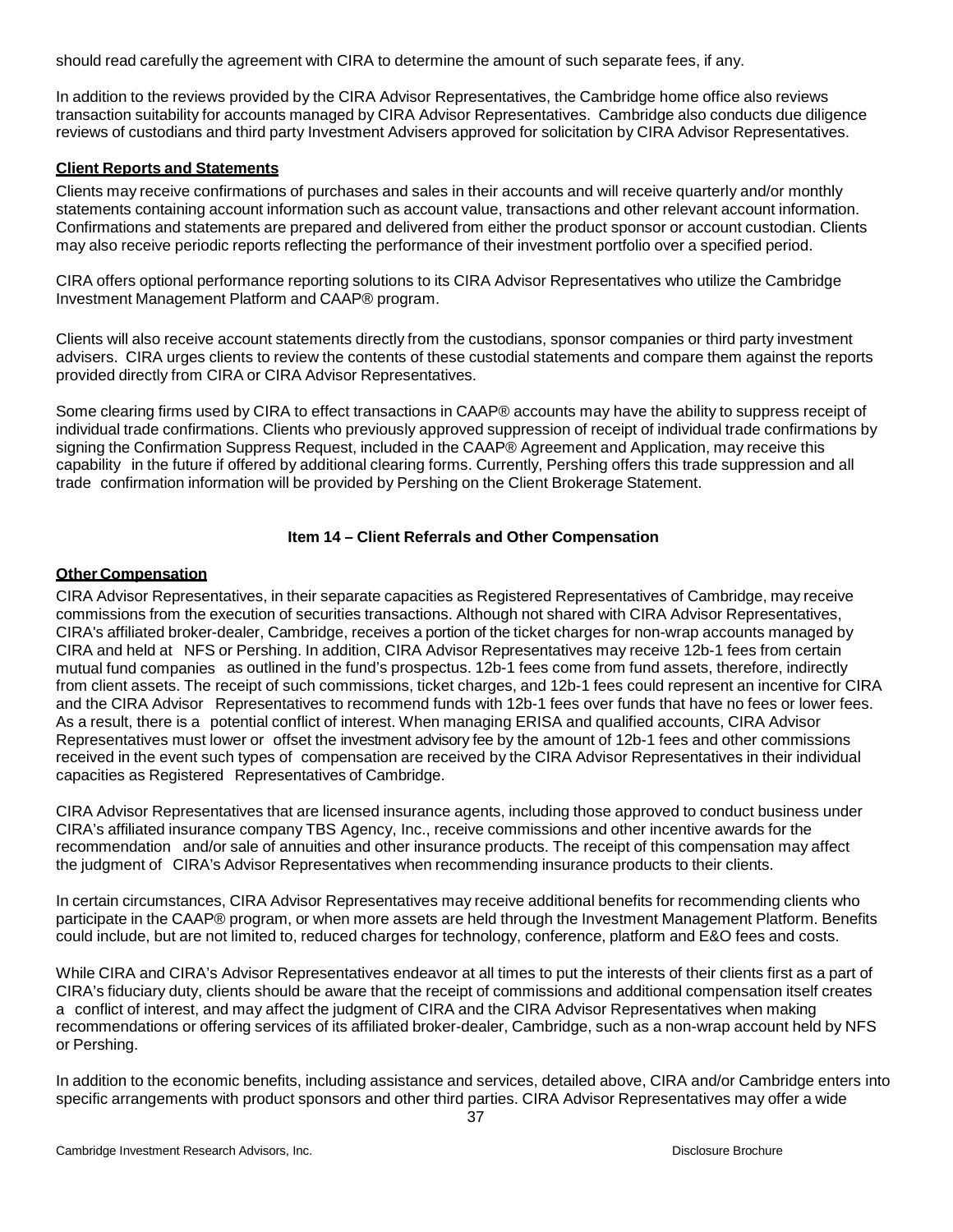should read carefully the agreement with CIRA to determine the amount of such separate fees, if any.

In addition to the reviews provided by the CIRA Advisor Representatives, the Cambridge home office also reviews transaction suitability for accounts managed by CIRA Advisor Representatives. Cambridge also conducts due diligence reviews of custodians and third party Investment Advisers approved for solicitation by CIRA Advisor Representatives.

## <span id="page-36-0"></span>**Client Reports and Statements**

Clients may receive confirmations of purchases and sales in their accounts and will receive quarterly and/or monthly statements containing account information such as account value, transactions and other relevant account information. Confirmations and statements are prepared and delivered from either the product sponsor or account custodian. Clients may also receive periodic reports reflecting the performance of their investment portfolio over a specified period.

CIRA offers optional performance reporting solutions to its CIRA Advisor Representatives who utilize the Cambridge Investment Management Platform and CAAP® program.

Clients will also receive account statements directly from the custodians, sponsor companies or third party investment advisers. CIRA urges clients to review the contents of these custodial statements and compare them against the reports provided directly from CIRA or CIRA Advisor Representatives.

Some clearing firms used by CIRA to effect transactions in CAAP® accounts may have the ability to suppress receipt of individual trade confirmations. Clients who previously approved suppression of receipt of individual trade confirmations by signing the Confirmation Suppress Request, included in the CAAP® Agreement and Application, may receive this capability in the future if offered by additional clearing forms. Currently, Pershing offers this trade suppression and all trade confirmation information will be provided by Pershing on the Client Brokerage Statement.

## **Item 14 – Client Referrals and Other Compensation**

## <span id="page-36-2"></span><span id="page-36-1"></span>**Other Compensation**

CIRA Advisor Representatives, in their separate capacities as Registered Representatives of Cambridge, may receive commissions from the execution of securities transactions. Although not shared with CIRA Advisor Representatives, CIRA's affiliated broker-dealer, Cambridge, receives a portion of the ticket charges for non-wrap accounts managed by CIRA and held at NFS or Pershing. In addition, CIRA Advisor Representatives may receive 12b-1 fees from certain mutual fund companies as outlined in the fund's prospectus. 12b-1 fees come from fund assets, therefore, indirectly from client assets. The receipt of such commissions, ticket charges, and 12b-1 fees could represent an incentive for CIRA and the CIRA Advisor Representatives to recommend funds with 12b-1 fees over funds that have no fees or lower fees. As a result, there is a potential conflict of interest. When managing ERISA and qualified accounts, CIRA Advisor Representatives must lower or offset the investment advisory fee by the amount of 12b-1 fees and other commissions received in the event such types of compensation are received by the CIRA Advisor Representatives in their individual capacities as Registered Representatives of Cambridge.

CIRA Advisor Representatives that are licensed insurance agents, including those approved to conduct business under CIRA's affiliated insurance company TBS Agency, Inc., receive commissions and other incentive awards for the recommendation and/or sale of annuities and other insurance products. The receipt of this compensation may affect the judgment of CIRA's Advisor Representatives when recommending insurance products to their clients.

In certain circumstances, CIRA Advisor Representatives may receive additional benefits for recommending clients who participate in the CAAP® program, or when more assets are held through the Investment Management Platform. Benefits could include, but are not limited to, reduced charges for technology, conference, platform and E&O fees and costs.

While CIRA and CIRA's Advisor Representatives endeavor at all times to put the interests of their clients first as a part of CIRA's fiduciary duty, clients should be aware that the receipt of commissions and additional compensation itself creates a conflict of interest, and may affect the judgment of CIRA and the CIRA Advisor Representatives when making recommendations or offering services of its affiliated broker-dealer, Cambridge, such as a non-wrap account held by NFS or Pershing.

In addition to the economic benefits, including assistance and services, detailed above, CIRA and/or Cambridge enters into specific arrangements with product sponsors and other third parties. CIRA Advisor Representatives may offer a wide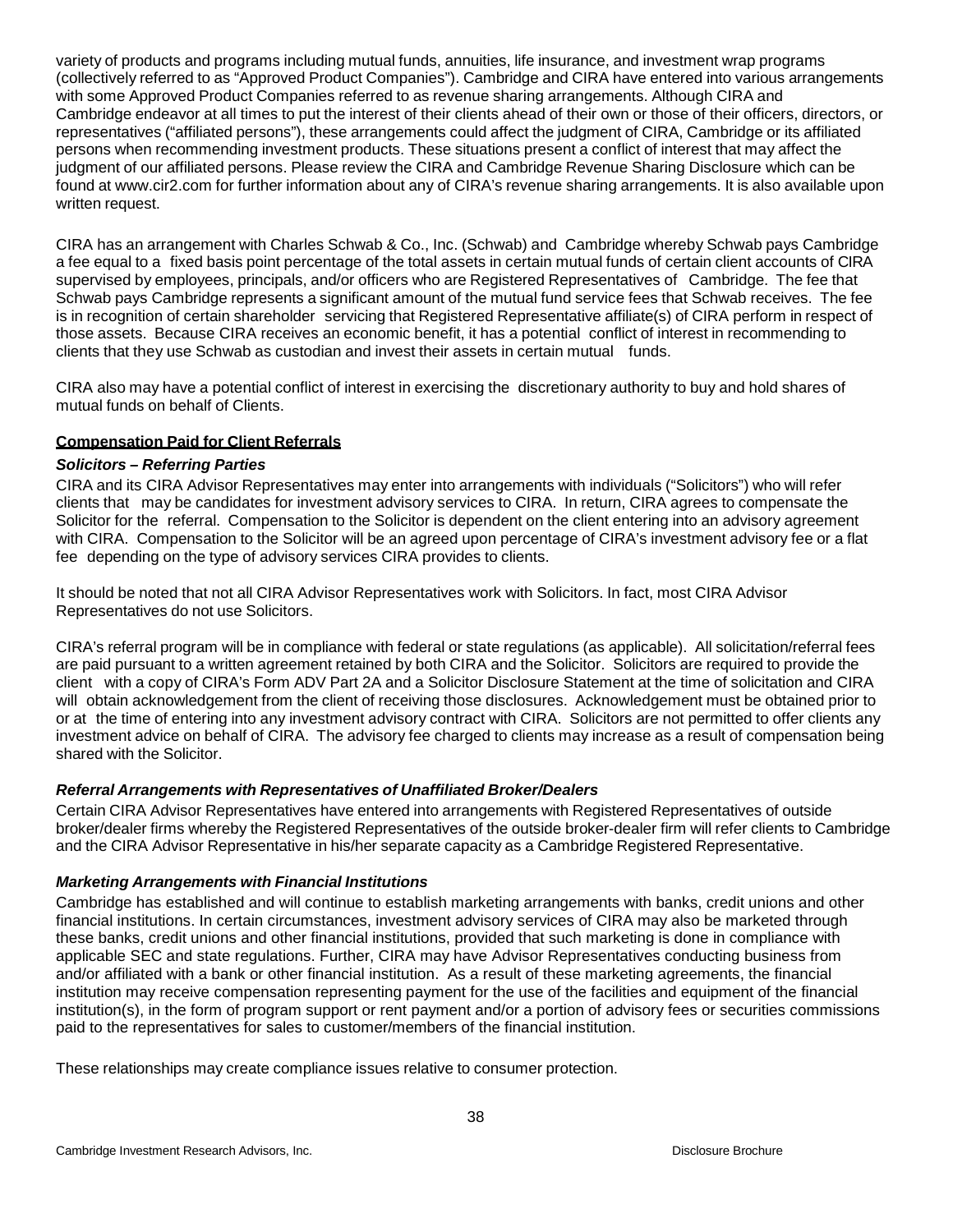variety of products and programs including mutual funds, annuities, life insurance, and investment wrap programs (collectively referred to as "Approved Product Companies"). Cambridge and CIRA have entered into various arrangements with some Approved Product Companies referred to as revenue sharing arrangements. Although CIRA and Cambridge endeavor at all times to put the interest of their clients ahead of their own or those of their officers, directors, or representatives ("affiliated persons"), these arrangements could affect the judgment of CIRA, Cambridge or its affiliated persons when recommending investment products. These situations present a conflict of interest that may affect the judgment of our affiliated persons. Please review the CIRA and Cambridge Revenue Sharing Disclosure which can be found at [www.cir2.com](http://www.cir2.com/) for further information about any of CIRA's revenue sharing arrangements. It is also available upon written request.

CIRA has an arrangement with Charles Schwab & Co., Inc. (Schwab) and Cambridge whereby Schwab pays Cambridge a fee equal to a fixed basis point percentage of the total assets in certain mutual funds of certain client accounts of CIRA supervised by employees, principals, and/or officers who are Registered Representatives of Cambridge. The fee that Schwab pays Cambridge represents a significant amount of the mutual fund service fees that Schwab receives. The fee is in recognition of certain shareholder servicing that Registered Representative affiliate(s) of CIRA perform in respect of those assets. Because CIRA receives an economic benefit, it has a potential conflict of interest in recommending to clients that they use Schwab as custodian and invest their assets in certain mutual funds.

CIRA also may have a potential conflict of interest in exercising the discretionary authority to buy and hold shares of mutual funds on behalf of Clients.

# <span id="page-37-0"></span>**Compensation Paid for Client Referrals**

## *Solicitors – Referring Parties*

CIRA and its CIRA Advisor Representatives may enter into arrangements with individuals ("Solicitors") who will refer clients that may be candidates for investment advisory services to CIRA. In return, CIRA agrees to compensate the Solicitor for the referral. Compensation to the Solicitor is dependent on the client entering into an advisory agreement with CIRA. Compensation to the Solicitor will be an agreed upon percentage of CIRA's investment advisory fee or a flat fee depending on the type of advisory services CIRA provides to clients.

It should be noted that not all CIRA Advisor Representatives work with Solicitors. In fact, most CIRA Advisor Representatives do not use Solicitors.

CIRA's referral program will be in compliance with federal or state regulations (as applicable). All solicitation/referral fees are paid pursuant to a written agreement retained by both CIRA and the Solicitor. Solicitors are required to provide the client with a copy of CIRA's Form ADV Part 2A and a Solicitor Disclosure Statement at the time of solicitation and CIRA will obtain acknowledgement from the client of receiving those disclosures. Acknowledgement must be obtained prior to or at the time of entering into any investment advisory contract with CIRA. Solicitors are not permitted to offer clients any investment advice on behalf of CIRA. The advisory fee charged to clients may increase as a result of compensation being shared with the Solicitor.

# *Referral Arrangements with Representatives of Unaffiliated Broker/Dealers*

Certain CIRA Advisor Representatives have entered into arrangements with Registered Representatives of outside broker/dealer firms whereby the Registered Representatives of the outside broker-dealer firm will refer clients to Cambridge and the CIRA Advisor Representative in his/her separate capacity as a Cambridge Registered Representative.

# *Marketing Arrangements with Financial Institutions*

Cambridge has established and will continue to establish marketing arrangements with banks, credit unions and other financial institutions. In certain circumstances, investment advisory services of CIRA may also be marketed through these banks, credit unions and other financial institutions, provided that such marketing is done in compliance with applicable SEC and state regulations. Further, CIRA may have Advisor Representatives conducting business from and/or affiliated with a bank or other financial institution. As a result of these marketing agreements, the financial institution may receive compensation representing payment for the use of the facilities and equipment of the financial institution(s), in the form of program support or rent payment and/or a portion of advisory fees or securities commissions paid to the representatives for sales to customer/members of the financial institution.

These relationships may create compliance issues relative to consumer protection.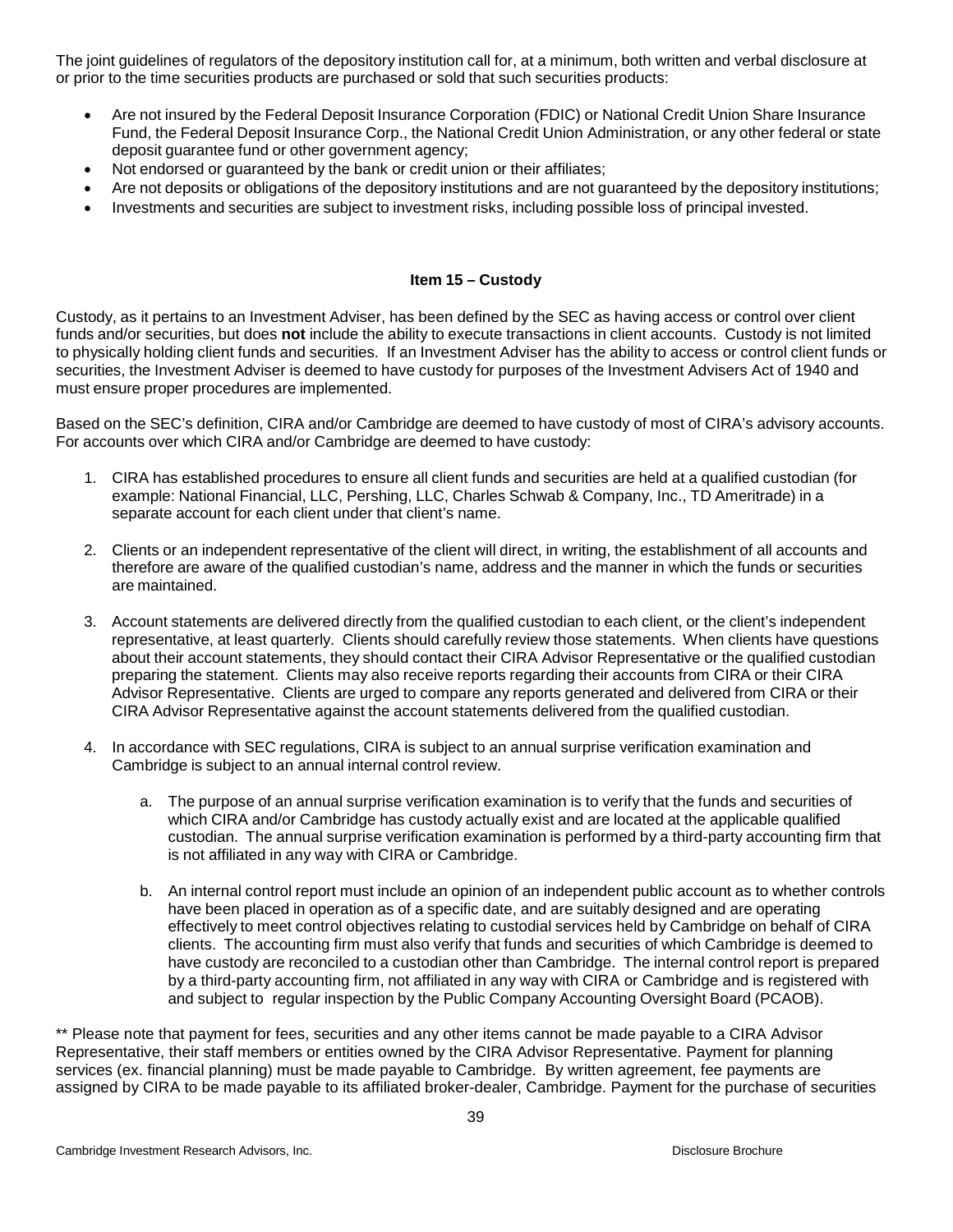The joint guidelines of regulators of the depository institution call for, at a minimum, both written and verbal disclosure at or prior to the time securities products are purchased or sold that such securities products:

- Are not insured by the Federal Deposit Insurance Corporation (FDIC) or National Credit Union Share Insurance Fund, the Federal Deposit Insurance Corp., the National Credit Union Administration, or any other federal or state deposit guarantee fund or other government agency;
- Not endorsed or guaranteed by the bank or credit union or their affiliates;
- Are not deposits or obligations of the depository institutions and are not guaranteed by the depository institutions;
- Investments and securities are subject to investment risks, including possible loss of principal invested.

#### **Item 15 – Custody**

<span id="page-38-0"></span>Custody, as it pertains to an Investment Adviser, has been defined by the SEC as having access or control over client funds and/or securities, but does **not** include the ability to execute transactions in client accounts. Custody is not limited to physically holding client funds and securities. If an Investment Adviser has the ability to access or control client funds or securities, the Investment Adviser is deemed to have custody for purposes of the Investment Advisers Act of 1940 and must ensure proper procedures are implemented.

Based on the SEC's definition, CIRA and/or Cambridge are deemed to have custody of most of CIRA's advisory accounts. For accounts over which CIRA and/or Cambridge are deemed to have custody:

- 1. CIRA has established procedures to ensure all client funds and securities are held at a qualified custodian (for example: National Financial, LLC, Pershing, LLC, Charles Schwab & Company, Inc., TD Ameritrade) in a separate account for each client under that client's name.
- 2. Clients or an independent representative of the client will direct, in writing, the establishment of all accounts and therefore are aware of the qualified custodian's name, address and the manner in which the funds or securities are maintained.
- 3. Account statements are delivered directly from the qualified custodian to each client, or the client's independent representative, at least quarterly. Clients should carefully review those statements. When clients have questions about their account statements, they should contact their CIRA Advisor Representative or the qualified custodian preparing the statement. Clients may also receive reports regarding their accounts from CIRA or their CIRA Advisor Representative. Clients are urged to compare any reports generated and delivered from CIRA or their CIRA Advisor Representative against the account statements delivered from the qualified custodian.
- 4. In accordance with SEC regulations, CIRA is subject to an annual surprise verification examination and Cambridge is subject to an annual internal control review.
	- a. The purpose of an annual surprise verification examination is to verify that the funds and securities of which CIRA and/or Cambridge has custody actually exist and are located at the applicable qualified custodian. The annual surprise verification examination is performed by a third-party accounting firm that is not affiliated in any way with CIRA or Cambridge.
	- b. An internal control report must include an opinion of an independent public account as to whether controls have been placed in operation as of a specific date, and are suitably designed and are operating effectively to meet control objectives relating to custodial services held by Cambridge on behalf of CIRA clients. The accounting firm must also verify that funds and securities of which Cambridge is deemed to have custody are reconciled to a custodian other than Cambridge. The internal control report is prepared by a third-party accounting firm, not affiliated in any way with CIRA or Cambridge and is registered with and subject to regular inspection by the Public Company Accounting Oversight Board (PCAOB).

\*\* Please note that payment for fees, securities and any other items cannot be made payable to a CIRA Advisor Representative, their staff members or entities owned by the CIRA Advisor Representative. Payment for planning services (ex. financial planning) must be made payable to Cambridge. By written agreement, fee payments are assigned by CIRA to be made payable to its affiliated broker-dealer, Cambridge. Payment for the purchase of securities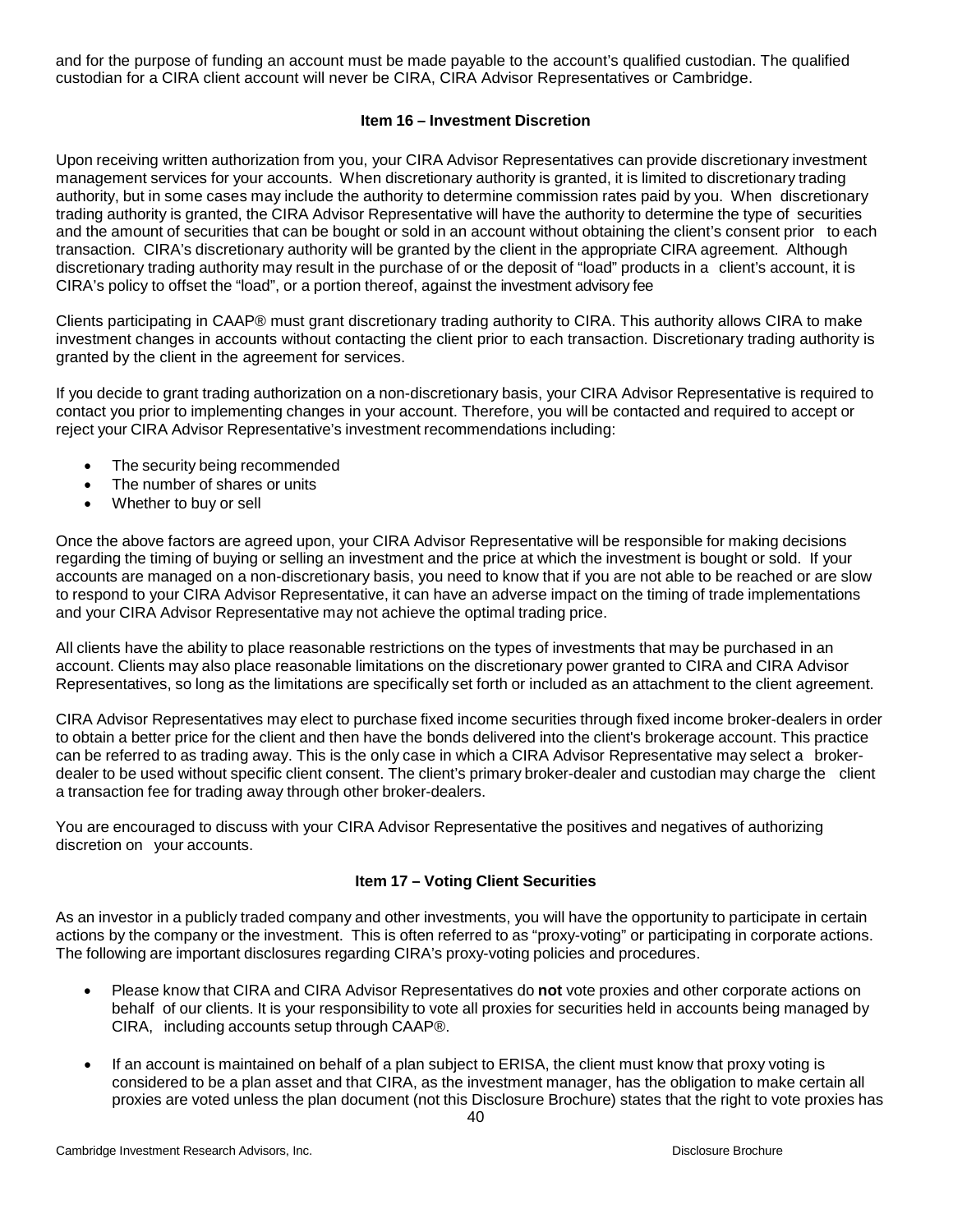and for the purpose of funding an account must be made payable to the account's qualified custodian. The qualified custodian for a CIRA client account will never be CIRA, CIRA Advisor Representatives or Cambridge.

## **Item 16 – Investment Discretion**

<span id="page-39-0"></span>Upon receiving written authorization from you, your CIRA Advisor Representatives can provide discretionary investment management services for your accounts. When discretionary authority is granted, it is limited to discretionary trading authority, but in some cases may include the authority to determine commission rates paid by you. When discretionary trading authority is granted, the CIRA Advisor Representative will have the authority to determine the type of securities and the amount of securities that can be bought or sold in an account without obtaining the client's consent prior to each transaction. CIRA's discretionary authority will be granted by the client in the appropriate CIRA agreement. Although discretionary trading authority may result in the purchase of or the deposit of "load" products in a client's account, it is CIRA's policy to offset the "load", or a portion thereof, against the investment advisory fee

Clients participating in CAAP® must grant discretionary trading authority to CIRA. This authority allows CIRA to make investment changes in accounts without contacting the client prior to each transaction. Discretionary trading authority is granted by the client in the agreement for services.

If you decide to grant trading authorization on a non-discretionary basis, your CIRA Advisor Representative is required to contact you prior to implementing changes in your account. Therefore, you will be contacted and required to accept or reject your CIRA Advisor Representative's investment recommendations including:

- The security being recommended
- The number of shares or units
- Whether to buy or sell

Once the above factors are agreed upon, your CIRA Advisor Representative will be responsible for making decisions regarding the timing of buying or selling an investment and the price at which the investment is bought or sold. If your accounts are managed on a non-discretionary basis, you need to know that if you are not able to be reached or are slow to respond to your CIRA Advisor Representative, it can have an adverse impact on the timing of trade implementations and your CIRA Advisor Representative may not achieve the optimal trading price.

All clients have the ability to place reasonable restrictions on the types of investments that may be purchased in an account. Clients may also place reasonable limitations on the discretionary power granted to CIRA and CIRA Advisor Representatives, so long as the limitations are specifically set forth or included as an attachment to the client agreement.

CIRA Advisor Representatives may elect to purchase fixed income securities through fixed income broker-dealers in order to obtain a better price for the client and then have the bonds delivered into the client's brokerage account. This practice can be referred to as trading away. This is the only case in which a CIRA Advisor Representative may select a brokerdealer to be used without specific client consent. The client's primary broker-dealer and custodian may charge the client a transaction fee for trading away through other broker-dealers.

You are encouraged to discuss with your CIRA Advisor Representative the positives and negatives of authorizing discretion on your accounts.

## **Item 17 – Voting Client Securities**

<span id="page-39-1"></span>As an investor in a publicly traded company and other investments, you will have the opportunity to participate in certain actions by the company or the investment. This is often referred to as "proxy-voting" or participating in corporate actions. The following are important disclosures regarding CIRA's proxy-voting policies and procedures.

- Please know that CIRA and CIRA Advisor Representatives do **not** vote proxies and other corporate actions on behalf of our clients. It is your responsibility to vote all proxies for securities held in accounts being managed by CIRA, including accounts setup through CAAP®.
- If an account is maintained on behalf of a plan subject to ERISA, the client must know that proxy voting is considered to be a plan asset and that CIRA, as the investment manager, has the obligation to make certain all proxies are voted unless the plan document (not this Disclosure Brochure) states that the right to vote proxies has